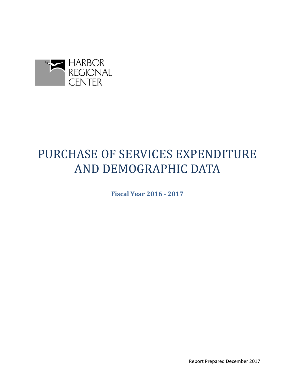

# PURCHASE OF SERVICES EXPENDITURE AND DEMOGRAPHIC DATA

**Fiscal Year 2016 - 2017** 

Report Prepared December 2017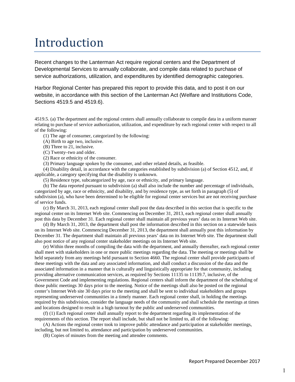## Introduction

Recent changes to the Lanterman Act require regional centers and the Department of Developmental Services to annually collaborate, and compile data related to purchase of service authorizations, utilization, and expenditures by identified demographic categories.

Harbor Regional Center has prepared this report to provide this data, and to post it on our website, in accordance with this section of the Lanterman Act (Welfare and Institutions Code, Sections 4519.5 and 4519.6).

4519.5. (a) The department and the regional centers shall annually collaborate to compile data in a uniform manner relating to purchase of service authorization, utilization, and expenditure by each regional center with respect to all of the following:

(1) The age of consumer, categorized by the following:

(A) Birth to age two, inclusive.

(B) Three to 21, inclusive.

(C) Twenty–two and older.

(2) Race or ethnicity of the consumer.

(3) Primary language spoken by the consumer, and other related details, as feasible.

(4) Disability detail, in accordance with the categories established by subdivision (a) of Section 4512, and, if applicable, a category specifying that the disability is unknown.

(5) Residence type, subcategorized by age, race or ethnicity, and primary language.

(b) The data reported pursuant to subdivision (a) shall also include the number and percentage of individuals, categorized by age, race or ethnicity, and disability, and by residence type, as set forth in paragraph (5) of subdivision (a), who have been determined to be eligible for regional center services but are not receiving purchase of service funds.

(c) By March 31, 2013, each regional center shall post the data described in this section that is specific to the regional center on its Internet Web site. Commencing on December 31, 2013, each regional center shall annually post this data by December 31. Each regional center shall maintain all previous years' data on its Internet Web site.

(d) By March 31, 2013, the department shall post the information described in this section on a statewide basis on its Internet Web site. Commencing December 31, 2013, the department shall annually post this information by December 31. The department shall maintain all previous years' data on its Internet Web site. The department shall also post notice of any regional center stakeholder meetings on its Internet Web site.

(e) Within three months of compiling the data with the department, and annually thereafter, each regional center shall meet with stakeholders in one or more public meetings regarding the data. The meeting or meetings shall be held separately from any meetings held pursuant to Section 4660. The regional center shall provide participants of these meetings with the data and any associated information, and shall conduct a discussion of the data and the associated information in a manner that is culturally and linguistically appropriate for that community, including providing alternative communication services, as required by Sections 11135 to 11139.7, inclusive, of the Government Code and implementing regulations. Regional centers shall inform the department of the scheduling of those public meetings 30 days prior to the meeting. Notice of the meetings shall also be posted on the regional center's Internet Web site 30 days prior to the meeting and shall be sent to individual stakeholders and groups representing underserved communities in a timely manner. Each regional center shall, in holding the meetings required by this subdivision, consider the language needs of the community and shall schedule the meetings at times and locations designed to result in a high turnout by the public and underserved communities.

(f) (1) Each regional center shall annually report to the department regarding its implementation of the requirements of this section. The report shall include, but shall not be limited to, all of the following:

(A) Actions the regional center took to improve public attendance and participation at stakeholder meetings, including, but not limited to, attendance and participation by underserved communities.

(B) Copies of minutes from the meeting and attendee comments.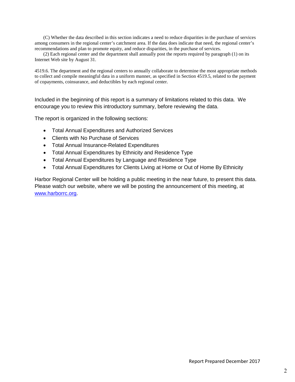(C) Whether the data described in this section indicates a need to reduce disparities in the purchase of services among consumers in the regional center's catchment area. If the data does indicate that need, the regional center's recommendations and plan to promote equity, and reduce disparities, in the purchase of services.

(2) Each regional center and the department shall annually post the reports required by paragraph (1) on its Internet Web site by August 31.

4519.6. The department and the regional centers to annually collaborate to determine the most appropriate methods to collect and compile meaningful data in a uniform manner, as specified in Section 4519.5, related to the payment of copayments, coinsurance, and deductibles by each regional center.

Included in the beginning of this report is a summary of limitations related to this data. We encourage you to review this introductory summary, before reviewing the data.

The report is organized in the following sections:

- Total Annual Expenditures and Authorized Services
- Clients with No Purchase of Services
- Total Annual Insurance-Related Expenditures
- Total Annual Expenditures by Ethnicity and Residence Type
- Total Annual Expenditures by Language and Residence Type
- Total Annual Expenditures for Clients Living at Home or Out of Home By Ethnicity

Harbor Regional Center will be holding a public meeting in the near future, to present this data. Please watch our website, where we will be posting the announcement of this meeting, at [www.harborrc.org.](http://www.harborrc.org/)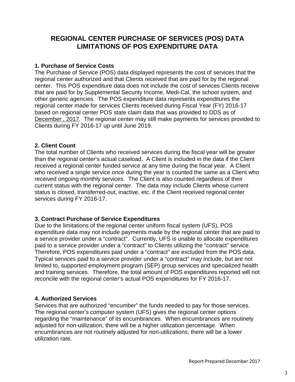## **REGIONAL CENTER PURCHASE OF SERVICES (POS) DATA LIMITATIONS OF POS EXPENDITURE DATA**

## **1. Purchase of Service Costs**

The Purchase of Service (POS) data displayed represents the cost of services that the regional center authorized and that Clients received that are paid for by the regional center. This POS expenditure data does not include the cost of services Clients receive that are paid for by Supplemental Security Income, Medi-Cal, the school system, and other generic agencies. The POS expenditure data represents expenditures the regional center made for services Clients received during Fiscal Year (FY) 2016-17 based on regional center POS state claim data that was provided to DDS as of December , 2017. The regional center may still make payments for services provided to Clients during FY 2016-17 up until June 2019.

## **2. Client Count**

The total number of Clients who received services during the fiscal year will be greater than the regional center's actual caseload. A Client is included in the data if the Client received a regional center funded service at any time during the fiscal year. A Client who received a single service once during the year is counted the same as a Client who received ongoing monthly services. The Client is also counted regardless of their current status with the regional center. The data may include Clients whose current status is closed, transferred-out, inactive, etc. if the Client received regional center services during FY 2016-17.

## **3. Contract Purchase of Service Expenditures**

Due to the limitations of the regional center uniform fiscal system (UFS), POS expenditure data may not include payments made by the regional center that are paid to a service provider under a "contract". Currently, UFS is unable to allocate expenditures paid to a service provider under a "contract" to Clients utilizing the "contract" service. Therefore, POS expenditures paid under a "contract" are excluded from the POS data. Typical services paid to a service provider under a "contract" may include, but are not limited to, supported employment program (SEP) group services and specialized health and training services. Therefore, the total amount of POS expenditures reported will not reconcile with the regional center's actual POS expenditures for FY 2016-17.

## **4. Authorized Services**

Services that are authorized "encumber" the funds needed to pay for those services. The regional center's computer system (UFS) gives the regional center options regarding the "maintenance" of its encumbrances. When encumbrances are routinely adjusted for non-utilization, there will be a higher utilization percentage. When encumbrances are not routinely adjusted for non-utilizations, there will be a lower utilization rate.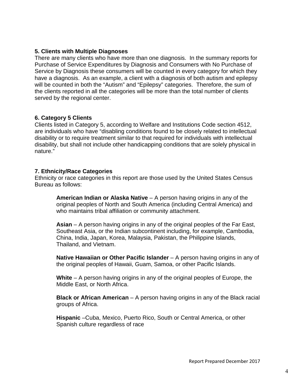#### **5. Clients with Multiple Diagnoses**

There are many clients who have more than one diagnosis. In the summary reports for Purchase of Service Expenditures by Diagnosis and Consumers with No Purchase of Service by Diagnosis these consumers will be counted in every category for which they have a diagnosis. As an example, a client with a diagnosis of both autism and epilepsy will be counted in both the "Autism" and "Epilepsy" categories. Therefore, the sum of the clients reported in all the categories will be more than the total number of clients served by the regional center.

#### **6. Category 5 Clients**

Clients listed in Category 5, according to Welfare and Institutions Code section 4512, are individuals who have "disabling conditions found to be closely related to intellectual disability or to require treatment similar to that required for individuals with intellectual disability, but shall not include other handicapping conditions that are solely physical in nature."

#### **7. Ethnicity/Race Categories**

Ethnicity or race categories in this report are those used by the United States Census Bureau as follows:

**American Indian or Alaska Native** – A person having origins in any of the original peoples of North and South America (including Central America) and who maintains tribal affiliation or community attachment.

**Asian** – A person having origins in any of the original peoples of the Far East, Southeast Asia, or the Indian subcontinent including, for example, Cambodia, China, India, Japan, Korea, Malaysia, Pakistan, the Philippine Islands, Thailand, and Vietnam.

**Native Hawaiian or Other Pacific Islander** – A person having origins in any of the original peoples of Hawaii, Guam, Samoa, or other Pacific Islands.

**White** – A person having origins in any of the original peoples of Europe, the Middle East, or North Africa.

**Black or African American** – A person having origins in any of the Black racial groups of Africa.

**Hispanic** –Cuba, Mexico, Puerto Rico, South or Central America, or other Spanish culture regardless of race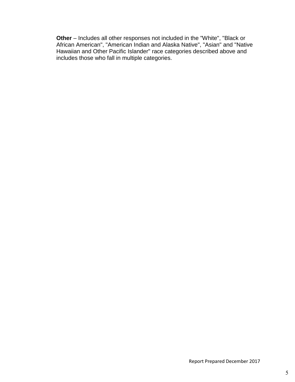**Other** – Includes all other responses not included in the "White", "Black or African American", "American Indian and Alaska Native", "Asian" and "Native Hawaiian and Other Pacific Islander" race categories described above and includes those who fall in multiple categories.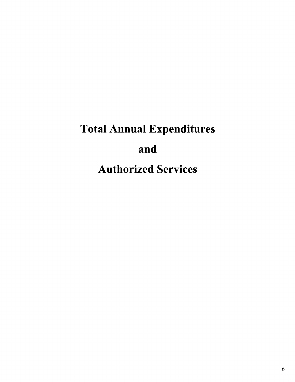# Total Annual Expenditures and Authorized Services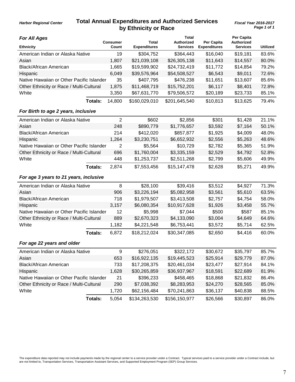## **Total Annual Expenditures and Authorized Services by Ethnicity or Race**

|  | Ear All Anne |  |
|--|--------------|--|

*Harbor Regional Center*

| <b>For All Ages</b>                       |                | <b>Consumer</b> | Total               | Total<br><b>Authorized</b> | Per Capita          | Per Capita<br>Authorized |                 |
|-------------------------------------------|----------------|-----------------|---------------------|----------------------------|---------------------|--------------------------|-----------------|
| <b>Ethnicity</b>                          |                | Count           | <b>Expenditures</b> | <b>Services</b>            | <b>Expenditures</b> | <b>Services</b>          | <b>Utilized</b> |
| American Indian or Alaska Native          |                | 19              | \$304,752           | \$364,443                  | \$16,040            | \$19,181                 | 83.6%           |
| Asian                                     |                | 1,807           | \$21,039,108        | \$26,305,138               | \$11,643            | \$14,557                 | 80.0%           |
| <b>Black/African American</b>             |                | 1,665           | \$19,599,902        | \$24,732,419               | \$11,772            | \$14,854                 | 79.2%           |
| Hispanic                                  |                | 6,049           | \$39,576,964        | \$54,508,527               | \$6,543             | \$9,011                  | 72.6%           |
| Native Hawaiian or Other Pacific Islander |                | 35              | \$407,795           | \$476,238                  | \$11,651            | \$13,607                 | 85.6%           |
| Other Ethnicity or Race / Multi-Cultural  |                | 1,875           | \$11,468,719        | \$15,752,201               | \$6,117             | \$8,401                  | 72.8%           |
| White                                     |                | 3,350           | \$67,631,770        | \$79,506,572               | \$20,189            | \$23,733                 | 85.1%           |
|                                           | Totals:        | 14,800          | \$160,029,010       | \$201,645,540              | \$10,813            | \$13,625                 | 79.4%           |
| For Birth to age 2 years, inclusive       |                |                 |                     |                            |                     |                          |                 |
| American Indian or Alaska Native          |                | $\overline{2}$  | \$602               | \$2,856                    | \$301               | \$1,428                  | 21.1%           |
| Asian                                     |                | 248             | \$890,779           | \$1,776,657                | \$3,592             | \$7,164                  | 50.1%           |
| <b>Black/African American</b>             |                | 214             | \$412,020           | \$857,877                  | \$1,925             | \$4,009                  | 48.0%           |
| Hispanic                                  |                | 1,264           | \$3,230,751         | \$6,652,932                | \$2,556             | \$5,263                  | 48.6%           |
| Native Hawaiian or Other Pacific Islander |                | $\overline{2}$  | \$5,564             | \$10,729                   | \$2,782             | \$5,365                  | 51.9%           |
| Other Ethnicity or Race / Multi-Cultural  |                | 696             | \$1,760,004         | \$3,335,159                | \$2,529             | \$4,792                  | 52.8%           |
| White                                     |                | 448             | \$1,253,737         | \$2,511,268                | \$2,799             | \$5,606                  | 49.9%           |
|                                           | Totals:        | 2,874           | \$7,553,456         | \$15,147,478               | \$2,628             | \$5,271                  | 49.9%           |
| For age 3 years to 21 years, inclusive    |                |                 |                     |                            |                     |                          |                 |
| American Indian or Alaska Native          |                | 8               | \$28,100            | \$39,416                   | \$3,512             | \$4,927                  | 71.3%           |
| Asian                                     |                | 906             | \$3,226,194         | \$5,082,958                | \$3,561             | \$5,610                  | 63.5%           |
| <b>Black/African American</b>             |                | 718             | \$1,979,507         | \$3,413,508                | \$2,757             | \$4,754                  | 58.0%           |
| Hispanic                                  |                | 3,157           | \$6,080,354         | \$10,917,628               | \$1,926             | \$3,458                  | 55.7%           |
| Native Hawaiian or Other Pacific Islander |                | 12              | \$5,998             | \$7,044                    | \$500               | \$587                    | 85.1%           |
| Other Ethnicity or Race / Multi-Cultural  |                | 889             | \$2,670,323         | \$4,133,090                | \$3,004             | \$4,649                  | 64.6%           |
| White                                     |                | 1,182           | \$4,221,548         | \$6,753,441                | \$3,572             | \$5,714                  | 62.5%           |
|                                           | Totals:        | 6,872           | \$18,212,024        | \$30,347,085               | \$2,650             | \$4,416                  | 60.0%           |
| For age 22 years and older                |                |                 |                     |                            |                     |                          |                 |
| American Indian or Alaska Native          |                | 9               | \$276,051           | \$322,172                  | \$30,672            | \$35,797                 | 85.7%           |
| Asian                                     |                | 653             | \$16,922,135        | \$19,445,523               | \$25,914            | \$29,779                 | 87.0%           |
| <b>Black/African American</b>             |                | 733             | \$17,208,375        | \$20,461,034               | \$23,477            | \$27,914                 | 84.1%           |
| Hispanic                                  |                | 1,628           | \$30,265,859        | \$36,937,967               | \$18,591            | \$22,689                 | 81.9%           |
| Native Hawaiian or Other Pacific Islander |                | 21              | \$396,233           | \$458,465                  | \$18,868            | \$21,832                 | 86.4%           |
| Other Ethnicity or Race / Multi-Cultural  |                | 290             | \$7,038,392         | \$8,283,953                | \$24,270            | \$28,565                 | 85.0%           |
| White                                     |                | 1,720           | \$62,156,484        | \$70,241,863               | \$36,137            | \$40,838                 | 88.5%           |
|                                           | <b>Totals:</b> | 5,054           | \$134,263,530       | \$156,150,977              | \$26,566            | \$30,897                 | 86.0%           |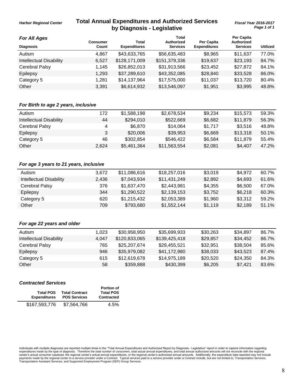## **Total Annual Expenditures and Authorized Services** *Fiscal Year 2016-2017* **by Diagnosis - Legislative**

**Total**

**Per Capita**

*For All Ages*

*Harbor Regional Center*

|       |                     | TULAI           |                     | rei Gabild      |                   |
|-------|---------------------|-----------------|---------------------|-----------------|-------------------|
| Count | <b>Expenditures</b> | <b>Services</b> | <b>Expenditures</b> | <b>Services</b> | Utilized          |
| 4.867 | \$43,633,765        | \$56,635,483    | \$8,965             | \$11,637        | 77.0%             |
| 6.527 | \$128,171,009       | \$151,379,336   | \$19,637            | \$23,193        | 84.7%             |
| 1.145 | \$26,852,013        | \$31,913,566    | \$23,452            | \$27,872        | 84.1%             |
| 1.293 | \$37,289,610        | \$43,352,085    | \$28,840            | \$33,528        | 86.0%             |
| 1.281 | \$14,137,964        | \$17,575,000    | \$11,037            | \$13,720        | 80.4%             |
| 3,391 | \$6,614,932         | \$13,546,097    | \$1,951             | \$3,995         | 48.8%             |
|       | Consumer            | Total           | <b>Authorized</b>   | Per Capita      | <b>Authorized</b> |

#### *For Birth to age 2 years, inclusive*

| Autism                  | 172   | \$1,588,198 | \$2.678.534  | \$9.234 | \$15,573 | 59.3% |
|-------------------------|-------|-------------|--------------|---------|----------|-------|
| Intellectual Disability | 44    | \$294.010   | \$522,669    | \$6.682 | \$11,879 | 56.3% |
| Cerebral Palsy          | 4     | \$6,870     | \$14.064     | \$1.717 | \$3.516  | 48.8% |
| Epilepsy                |       | \$20,006    | \$39.953     | \$6.669 | \$13,318 | 50.1% |
| Category 5              | 46    | \$302.854   | \$546.422    | \$6,584 | \$11,879 | 55.4% |
| Other                   | 2.624 | \$5,461,364 | \$11,563,554 | \$2,081 | \$4.407  | 47.2% |

#### *For age 3 years to 21 years, inclusive*

| Autism                         | 3.672 | \$11,086,616 | \$18,257,016 | \$3,019 | \$4.972 | 60.7% |
|--------------------------------|-------|--------------|--------------|---------|---------|-------|
| <b>Intellectual Disability</b> | 2.436 | \$7,043,934  | \$11,431,249 | \$2,892 | \$4,693 | 61.6% |
| Cerebral Palsy                 | 376   | \$1,637,470  | \$2,443,981  | \$4,355 | \$6,500 | 67.0% |
| Epilepsy                       | 344   | \$1,290,522  | \$2,139,153  | \$3,752 | \$6.218 | 60.3% |
| Category 5                     | 620   | \$1,215,432  | \$2,053,389  | \$1,960 | \$3,312 | 59.2% |
| Other                          | 709   | \$793.680    | \$1,552,144  | \$1,119 | \$2,189 | 51.1% |
|                                |       |              |              |         |         |       |

#### *For age 22 years and older*

| Autism                  | 1.023 | \$30,958,950  | \$35,699,933  | \$30,263 | \$34.897 | 86.7% |
|-------------------------|-------|---------------|---------------|----------|----------|-------|
| Intellectual Disability | 4.047 | \$120,833,065 | \$139,425,418 | \$29.857 | \$34.452 | 86.7% |
| Cerebral Palsy          | 765   | \$25,207,674  | \$29.455.521  | \$32.951 | \$38,504 | 85.6% |
| Epilepsy                | 946   | \$35,979,082  | \$41,172,980  | \$38,033 | \$43,523 | 87.4% |
| Category 5              | 615   | \$12,619,678  | \$14,975,189  | \$20,520 | \$24,350 | 84.3% |
| Other                   | 58    | \$359.888     | \$430.399     | \$6,205  | \$7.421  | 83.6% |
|                         |       |               |               |          |          |       |

#### *Contracted Services*

| <b>Total POS</b><br><b>Expenditures</b> | <b>Total Contract</b><br><b>POS Services</b> | <b>Portion of</b><br><b>Total POS</b><br><b>Contracted</b> |
|-----------------------------------------|----------------------------------------------|------------------------------------------------------------|
| \$167,593,776                           | \$7,564,766                                  | 4.5%                                                       |

Individuals with multiple diagnoses are reported multiple times in the "Total Annual Expenditures and Authorized Report by Diagnosis - Legislative" report in order to capture information regarding<br>expenditures made by the center's actual consumer caseload, the regional center's actual annual expenditures, or the regional center's authorized annual amounts. Additionally, the expenditure data reported may not include<br>payments made by the regi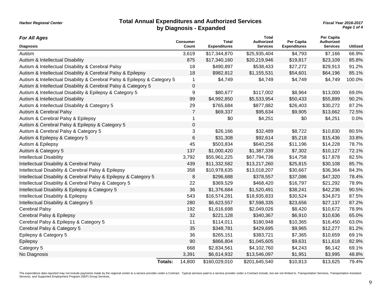#### **Total Annual Expenditures and Authorized Services** *Fiscal Year 2016-2017* **by Diagnosis - Expanded**

*Page 1 of 4*

| <b>For All Ages</b>                                                       |                | <b>Consumer</b>  | <b>Total</b>        | <b>Total</b><br>Authorized | Per Capita          | Per Capita<br><b>Authorized</b> |                 |
|---------------------------------------------------------------------------|----------------|------------------|---------------------|----------------------------|---------------------|---------------------------------|-----------------|
| <b>Diagnosis</b>                                                          |                | Count            | <b>Expenditures</b> | <b>Services</b>            | <b>Expenditures</b> | <b>Services</b>                 | <b>Utilized</b> |
| Autism                                                                    |                | 3,619            | \$17,344,870        | \$25,935,404               | \$4,793             | \$7,166                         | 66.9%           |
| Autism & Intellectual Disability                                          |                | 875              | \$17,340,160        | \$20,219,946               | \$19,817            | \$23,109                        | 85.8%           |
| Autism & Intellectual Disability & Cerebral Palsy                         |                | 18               | \$490,897           | \$538,433                  | \$27,272            | \$29,913                        | 91.2%           |
| Autism & Intellectual Disability & Cerebral Palsy & Epilepsy              |                | 18               | \$982,812           | \$1,155,531                | \$54,601            | \$64,196                        | 85.1%           |
| Autism & Intellectual Disability & Cerebral Palsy & Epilepsy & Category 5 |                | $\mathbf 1$      | \$4,749             | \$4,749                    | \$4,749             | \$4,749                         | 100.0%          |
| Autism & Intellectual Disability & Cerebral Palsy & Category 5            |                | 0                |                     |                            |                     |                                 |                 |
| Autism & Intellectual Disability & Epilepsy & Category 5                  |                | $\boldsymbol{9}$ | \$80,677            | \$117,002                  | \$8,964             | \$13,000                        | 69.0%           |
| Autism & Intellectual Disability                                          |                | 99               | \$4,992,850         | \$5,533,954                | \$50,433            | \$55,899                        | 90.2%           |
| Autism & Intellectual Disability & Category 5                             |                | 29               | \$765,684           | \$877,882                  | \$26,403            | \$30,272                        | 87.2%           |
| Autism & Cerebral Palsy                                                   |                | 7                | \$69,337            | \$95,634                   | \$9,905             | \$13,662                        | 72.5%           |
| Autism & Cerebral Palsy & Epilepsy                                        |                |                  | \$0                 | \$4,251                    | \$0                 | \$4,251                         | 0.0%            |
| Autism & Cerebral Palsy & Epilepsy & Category 5                           |                | 0                |                     |                            |                     |                                 |                 |
| Autism & Cerebral Palsy & Category 5                                      |                | 3                | \$26,166            | \$32,489                   | \$8,722             | \$10,830                        | 80.5%           |
| Autism & Epilepsy & Category 5                                            |                | 6                | \$31,308            | \$92,614                   | \$5,218             | \$15,436                        | 33.8%           |
| Autism & Epilepsy                                                         |                | 45               | \$503,834           | \$640,256                  | \$11,196            | \$14,228                        | 78.7%           |
| Autism & Category 5                                                       |                | 137              | \$1,000,420         | \$1,387,339                | \$7,302             | \$10,127                        | 72.1%           |
| <b>Intellectual Disability</b>                                            |                | 3,792            | \$55,961,225        | \$67,794,736               | \$14,758            | \$17,878                        | 82.5%           |
| Intellectual Disability & Cerebral Palsy                                  |                | 439              | \$11,332,582        | \$13,217,260               | \$25,815            | \$30,108                        | 85.7%           |
| Intellectual Disability & Cerebral Palsy & Epilepsy                       |                | 358              | \$10,978,635        | \$13,018,207               | \$30,667            | \$36,364                        | 84.3%           |
| Intellectual Disability & Cerebral Palsy & Epilepsy & Category 5          |                | 8                | \$296,688           | \$378,557                  | \$37,086            | \$47,320                        | 78.4%           |
| Intellectual Disability & Cerebral Palsy & Category 5                     |                | 22               | \$369,529           | \$468,420                  | \$16,797            | \$21,292                        | 78.9%           |
| Intellectual Disability & Epilepsy & Category 5                           |                | 36               | \$1,376,684         | \$1,520,491                | \$38,241            | \$42,236                        | 90.5%           |
| Intellectual Disability & Epilepsy                                        |                | 543              | \$16,574,281        | \$18,935,833               | \$30,524            | \$34,873                        | 87.5%           |
| Intellectual Disability & Category 5                                      |                | 280              | \$6,623,557         | \$7,598,335                | \$23,656            | \$27,137                        | 87.2%           |
| <b>Cerebral Palsy</b>                                                     |                | 192              | \$1,616,698         | \$2,049,026                | \$8,420             | \$10,672                        | 78.9%           |
| Cerebral Palsy & Epilepsy                                                 |                | 32               | \$221,128           | \$340,367                  | \$6,910             | \$10,636                        | 65.0%           |
| Cerebral Palsy & Epilepsy & Category 5                                    |                | 11               | \$114,011           | \$180,948                  | \$10,365            | \$16,450                        | 63.0%           |
| Cerebral Palsy & Category 5                                               |                | 35               | \$348,781           | \$429,695                  | \$9,965             | \$12,277                        | 81.2%           |
| Epilepsy & Category 5                                                     |                | 36               | \$265,151           | \$383,721                  | \$7,365             | \$10,659                        | 69.1%           |
| Epilepsy                                                                  |                | 90               | \$866,804           | \$1,045,605                | \$9,631             | \$11,618                        | 82.9%           |
| Category 5                                                                |                | 668              | \$2,834,561         | \$4,102,760                | \$4,243             | \$6,142                         | 69.1%           |
| No Diagnosis                                                              |                | 3,391            | \$6,614,932         | \$13,546,097               | \$1,951             | \$3,995                         | 48.8%           |
|                                                                           | <b>Totals:</b> | 14,800           | \$160,029,010       | \$201,645,540              | \$10,813            | \$13,625                        | 79.4%           |

The expenditure data reported may not include payments made by the regional center to a service provider under a Contract. Typical services paid to a service provider under a Contract include, but are not limited to, Trans Services, and Supported Employment Program (SEP) Group Services.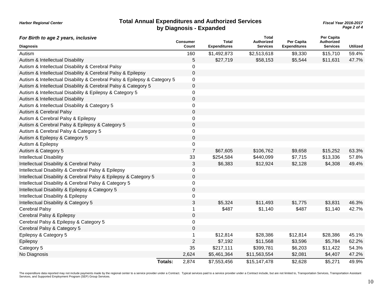| <b>Total Annual Expenditures and Authorized Services</b> |
|----------------------------------------------------------|
| by Diagnosis - Expanded                                  |

*Page 2 of 4* **Total Annual Expenditures and Authorized Services** *Fiscal Year 2016-2017*

| For Birth to age 2 years, inclusive                                       |                | <b>Consumer</b>  | <b>Total</b>        | <b>Total</b><br><b>Authorized</b> | Per Capita          | Per Capita<br>Authorized |                 |
|---------------------------------------------------------------------------|----------------|------------------|---------------------|-----------------------------------|---------------------|--------------------------|-----------------|
| <b>Diagnosis</b>                                                          |                | Count            | <b>Expenditures</b> | <b>Services</b>                   | <b>Expenditures</b> | <b>Services</b>          | <b>Utilized</b> |
| Autism                                                                    |                | 160              | \$1,492,873         | \$2,513,618                       | \$9,330             | \$15,710                 | 59.4%           |
| Autism & Intellectual Disability                                          |                | 5                | \$27,719            | \$58,153                          | \$5,544             | \$11,631                 | 47.7%           |
| Autism & Intellectual Disability & Cerebral Palsy                         |                | 0                |                     |                                   |                     |                          |                 |
| Autism & Intellectual Disability & Cerebral Palsy & Epilepsy              |                | $\mathbf 0$      |                     |                                   |                     |                          |                 |
| Autism & Intellectual Disability & Cerebral Palsy & Epilepsy & Category 5 |                | $\mathbf 0$      |                     |                                   |                     |                          |                 |
| Autism & Intellectual Disability & Cerebral Palsy & Category 5            |                | $\mathsf 0$      |                     |                                   |                     |                          |                 |
| Autism & Intellectual Disability & Epilepsy & Category 5                  |                | 0                |                     |                                   |                     |                          |                 |
| Autism & Intellectual Disability                                          |                | 0                |                     |                                   |                     |                          |                 |
| Autism & Intellectual Disability & Category 5                             |                | 0                |                     |                                   |                     |                          |                 |
| Autism & Cerebral Palsy                                                   |                | 0                |                     |                                   |                     |                          |                 |
| Autism & Cerebral Palsy & Epilepsy                                        |                | 0                |                     |                                   |                     |                          |                 |
| Autism & Cerebral Palsy & Epilepsy & Category 5                           |                | 0                |                     |                                   |                     |                          |                 |
| Autism & Cerebral Palsy & Category 5                                      |                | 0                |                     |                                   |                     |                          |                 |
| Autism & Epilepsy & Category 5                                            |                | 0                |                     |                                   |                     |                          |                 |
| Autism & Epilepsy                                                         |                | 0                |                     |                                   |                     |                          |                 |
| Autism & Category 5                                                       |                | $\overline{7}$   | \$67,605            | \$106,762                         | \$9,658             | \$15,252                 | 63.3%           |
| <b>Intellectual Disability</b>                                            |                | 33               | \$254,584           | \$440,099                         | \$7,715             | \$13,336                 | 57.8%           |
| Intellectual Disability & Cerebral Palsy                                  |                | 3                | \$6,383             | \$12,924                          | \$2,128             | \$4,308                  | 49.4%           |
| Intellectual Disability & Cerebral Palsy & Epilepsy                       |                | 0                |                     |                                   |                     |                          |                 |
| Intellectual Disability & Cerebral Palsy & Epilepsy & Category 5          |                | $\mathbf 0$      |                     |                                   |                     |                          |                 |
| Intellectual Disability & Cerebral Palsy & Category 5                     |                | 0                |                     |                                   |                     |                          |                 |
| Intellectual Disability & Epilepsy & Category 5                           |                | $\boldsymbol{0}$ |                     |                                   |                     |                          |                 |
| Intellectual Disability & Epilepsy                                        |                | 0                |                     |                                   |                     |                          |                 |
| Intellectual Disability & Category 5                                      |                | 3                | \$5,324             | \$11,493                          | \$1,775             | \$3,831                  | 46.3%           |
| Cerebral Palsy                                                            |                | 1                | \$487               | \$1,140                           | \$487               | \$1,140                  | 42.7%           |
| Cerebral Palsy & Epilepsy                                                 |                | 0                |                     |                                   |                     |                          |                 |
| Cerebral Palsy & Epilepsy & Category 5                                    |                | 0                |                     |                                   |                     |                          |                 |
| Cerebral Palsy & Category 5                                               |                | $\mathsf 0$      |                     |                                   |                     |                          |                 |
| Epilepsy & Category 5                                                     |                | 1                | \$12,814            | \$28,386                          | \$12,814            | \$28,386                 | 45.1%           |
| Epilepsy                                                                  |                | $\overline{2}$   | \$7,192             | \$11,568                          | \$3,596             | \$5,784                  | 62.2%           |
| Category 5                                                                |                | 35               | \$217,111           | \$399,781                         | \$6,203             | \$11,422                 | 54.3%           |
| No Diagnosis                                                              |                | 2,624            | \$5,461,364         | \$11,563,554                      | \$2,081             | \$4,407                  | 47.2%           |
|                                                                           | <b>Totals:</b> | 2,874            | \$7,553,456         | \$15,147,478                      | \$2,628             | \$5,271                  | 49.9%           |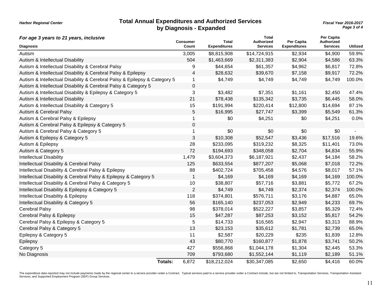|  | <b>Harbor Regional Center</b> |  |
|--|-------------------------------|--|
|--|-------------------------------|--|

#### **Total Annual Expenditures and Authorized Services** *Fiscal Year 2016-2017* **by Diagnosis - Expanded**

*Page 3 of 4*

| For age 3 years to 21 years, inclusive                                    |                | <b>Consumer</b> | <b>Total</b>        | Total<br>Authorized | Per Capita          | Per Capita<br>Authorized |                 |
|---------------------------------------------------------------------------|----------------|-----------------|---------------------|---------------------|---------------------|--------------------------|-----------------|
| <b>Diagnosis</b>                                                          |                | Count           | <b>Expenditures</b> | <b>Services</b>     | <b>Expenditures</b> | <b>Services</b>          | <b>Utilized</b> |
| Autism                                                                    |                | 3,005           | \$8,815,908         | \$14,724,915        | \$2,934             | \$4,900                  | 59.9%           |
| Autism & Intellectual Disability                                          |                | 504             | \$1,463,669         | \$2,311,383         | \$2,904             | \$4,586                  | 63.3%           |
| Autism & Intellectual Disability & Cerebral Palsy                         |                | 9               | \$44,654            | \$61,357            | \$4,962             | \$6,817                  | 72.8%           |
| Autism & Intellectual Disability & Cerebral Palsy & Epilepsy              |                | 4               | \$28,632            | \$39,670            | \$7,158             | \$9,917                  | 72.2%           |
| Autism & Intellectual Disability & Cerebral Palsy & Epilepsy & Category 5 |                | 1               | \$4,749             | \$4,749             | \$4,749             | \$4,749                  | 100.0%          |
| Autism & Intellectual Disability & Cerebral Palsy & Category 5            |                | 0               |                     |                     |                     |                          |                 |
| Autism & Intellectual Disability & Epilepsy & Category 5                  |                | 3               | \$3,482             | \$7,351             | \$1,161             | \$2,450                  | 47.4%           |
| Autism & Intellectual Disability                                          |                | 21              | \$78,438            | \$135,342           | \$3,735             | \$6,445                  | 58.0%           |
| Autism & Intellectual Disability & Category 5                             |                | 15              | \$191,994           | \$220,414           | \$12,800            | \$14,694                 | 87.1%           |
| Autism & Cerebral Palsy                                                   |                | 5               | \$16,995            | \$27,747            | \$3,399             | \$5,549                  | 61.3%           |
| Autism & Cerebral Palsy & Epilepsy                                        |                | 1               | \$0                 | \$4,251             | \$0                 | \$4,251                  | 0.0%            |
| Autism & Cerebral Palsy & Epilepsy & Category 5                           |                | 0               |                     |                     |                     |                          |                 |
| Autism & Cerebral Palsy & Category 5                                      |                | 1               | \$0                 | \$0                 | \$0                 | \$0                      |                 |
| Autism & Epilepsy & Category 5                                            |                | 3               | \$10,308            | \$52,547            | \$3,436             | \$17,516                 | 19.6%           |
| Autism & Epilepsy                                                         |                | 28              | \$233,095           | \$319,232           | \$8,325             | \$11,401                 | 73.0%           |
| Autism & Category 5                                                       |                | 72              | \$194,693           | \$348,058           | \$2,704             | \$4,834                  | 55.9%           |
| Intellectual Disability                                                   |                | 1,479           | \$3,604,373         | \$6,187,921         | \$2,437             | \$4,184                  | 58.2%           |
| Intellectual Disability & Cerebral Palsy                                  |                | 125             | \$633,554           | \$877,207           | \$5,068             | \$7,018                  | 72.2%           |
| Intellectual Disability & Cerebral Palsy & Epilepsy                       |                | 88              | \$402,724           | \$705,458           | \$4,576             | \$8,017                  | 57.1%           |
| Intellectual Disability & Cerebral Palsy & Epilepsy & Category 5          |                | $\mathbf{1}$    | \$4,169             | \$4,169             | \$4,169             | \$4,169                  | 100.0%          |
| Intellectual Disability & Cerebral Palsy & Category 5                     |                | 10              | \$38,807            | \$57,716            | \$3,881             | \$5,772                  | 67.2%           |
| Intellectual Disability & Epilepsy & Category 5                           |                | $\overline{2}$  | \$4,749             | \$4,749             | \$2,374             | \$2,374                  | 100.0%          |
| Intellectual Disability & Epilepsy                                        |                | 118             | \$374,801           | \$576,711           | \$3,176             | \$4,887                  | 65.0%           |
| Intellectual Disability & Category 5                                      |                | 56              | \$165,140           | \$237,053           | \$2,949             | \$4,233                  | 69.7%           |
| <b>Cerebral Palsy</b>                                                     |                | 98              | \$378,014           | \$522,227           | \$3,857             | \$5,329                  | 72.4%           |
| Cerebral Palsy & Epilepsy                                                 |                | 15              | \$47,287            | \$87,253            | \$3,152             | \$5,817                  | 54.2%           |
| Cerebral Palsy & Epilepsy & Category 5                                    |                | 5               | \$14,733            | \$16,565            | \$2,947             | \$3,313                  | 88.9%           |
| Cerebral Palsy & Category 5                                               |                | 13              | \$23,153            | \$35,612            | \$1,781             | \$2,739                  | 65.0%           |
| Epilepsy & Category 5                                                     |                | 11              | \$2,587             | \$20,229            | \$235               | \$1,839                  | 12.8%           |
| Epilepsy                                                                  |                | 43              | \$80,770            | \$160,877           | \$1,878             | \$3,741                  | 50.2%           |
| Category 5                                                                |                | 427             | \$556,868           | \$1,044,178         | \$1,304             | \$2,445                  | 53.3%           |
| No Diagnosis                                                              |                | 709             | \$793,680           | \$1,552,144         | \$1,119             | \$2,189                  | 51.1%           |
|                                                                           | <b>Totals:</b> | 6,872           | \$18,212,024        | \$30,347,085        | \$2,650             | \$4,416                  | 60.0%           |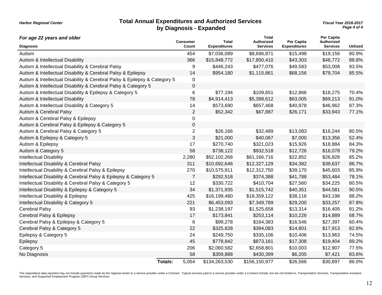#### **Total Annual Expenditures and Authorized Services** *Fiscal Year 2016-2017* **by Diagnosis - Expanded**

*Harbor Regional Center*

*Page 4 of 4*

| For age 22 years and older                                                | <b>Consumer</b>         | <b>Total</b>        | <b>Total</b><br>Authorized | Per Capita          | Per Capita<br>Authorized |                 |
|---------------------------------------------------------------------------|-------------------------|---------------------|----------------------------|---------------------|--------------------------|-----------------|
| <b>Diagnosis</b>                                                          | Count                   | <b>Expenditures</b> | <b>Services</b>            | <b>Expenditures</b> | <b>Services</b>          | <b>Utilized</b> |
| Autism                                                                    | 454                     | \$7,036,089         | \$8,696,871                | \$15,498            | \$19,156                 | 80.9%           |
| Autism & Intellectual Disability                                          | 366                     | \$15,848,772        | \$17,850,410               | \$43,303            | \$48,772                 | 88.8%           |
| Autism & Intellectual Disability & Cerebral Palsy                         | 9                       | \$446,243           | \$477,076                  | \$49,583            | \$53,008                 | 93.5%           |
| Autism & Intellectual Disability & Cerebral Palsy & Epilepsy              | 14                      | \$954,180           | \$1,115,861                | \$68,156            | \$79,704                 | 85.5%           |
| Autism & Intellectual Disability & Cerebral Palsy & Epilepsy & Category 5 | 0                       |                     |                            |                     |                          |                 |
| Autism & Intellectual Disability & Cerebral Palsy & Category 5            | $\boldsymbol{0}$        |                     |                            |                     |                          |                 |
| Autism & Intellectual Disability & Epilepsy & Category 5                  | 6                       | \$77,194            | \$109,651                  | \$12,866            | \$18,275                 | 70.4%           |
| Autism & Intellectual Disability                                          | 78                      | \$4,914,413         | \$5,398,612                | \$63,005            | \$69,213                 | 91.0%           |
| Autism & Intellectual Disability & Category 5                             | 14                      | \$573,690           | \$657,468                  | \$40,978            | \$46,962                 | 87.3%           |
| Autism & Cerebral Palsy                                                   | $\overline{c}$          | \$52,342            | \$67,887                   | \$26,171            | \$33,943                 | 77.1%           |
| Autism & Cerebral Palsy & Epilepsy                                        | 0                       |                     |                            |                     |                          |                 |
| Autism & Cerebral Palsy & Epilepsy & Category 5                           | 0                       |                     |                            |                     |                          |                 |
| Autism & Cerebral Palsy & Category 5                                      | $\overline{c}$          | \$26,166            | \$32,489                   | \$13,083            | \$16,244                 | 80.5%           |
| Autism & Epilepsy & Category 5                                            | 3                       | \$21,000            | \$40,067                   | \$7,000             | \$13,356                 | 52.4%           |
| Autism & Epilepsy                                                         | 17                      | \$270,740           | \$321,023                  | \$15,926            | \$18,884                 | 84.3%           |
| Autism & Category 5                                                       | 58                      | \$738,122           | \$932,518                  | \$12,726            | \$16,078                 | 79.2%           |
| <b>Intellectual Disability</b>                                            | 2,280                   | \$52,102,268        | \$61,166,716               | \$22,852            | \$26,828                 | 85.2%           |
| Intellectual Disability & Cerebral Palsy                                  | 311                     | \$10,692,646        | \$12,327,129               | \$34,382            | \$39,637                 | 86.7%           |
| Intellectual Disability & Cerebral Palsy & Epilepsy                       | 270                     | \$10,575,911        | \$12,312,750               | \$39,170            | \$45,603                 | 85.9%           |
| Intellectual Disability & Cerebral Palsy & Epilepsy & Category 5          | $\overline{7}$          | \$292,518           | \$374,388                  | \$41,788            | \$53,484                 | 78.1%           |
| Intellectual Disability & Cerebral Palsy & Category 5                     | 12                      | \$330,722           | \$410,704                  | \$27,560            | \$34,225                 | 80.5%           |
| Intellectual Disability & Epilepsy & Category 5                           | 34                      | \$1,371,935         | \$1,515,742                | \$40,351            | \$44,581                 | 90.5%           |
| Intellectual Disability & Epilepsy                                        | 425                     | \$16,199,480        | \$18,359,122               | \$38,116            | \$43,198                 | 88.2%           |
| Intellectual Disability & Category 5                                      | 221                     | \$6,453,093         | \$7,349,789                | \$29,200            | \$33,257                 | 87.8%           |
| <b>Cerebral Palsy</b>                                                     | 93                      | \$1,238,197         | \$1,525,658                | \$13,314            | \$16,405                 | 81.2%           |
| Cerebral Palsy & Epilepsy                                                 | 17                      | \$173,841           | \$253,114                  | \$10,226            | \$14,889                 | 68.7%           |
| Cerebral Palsy & Epilepsy & Category 5                                    | $\,6$                   | \$99,278            | \$164,383                  | \$16,546            | \$27,397                 | 60.4%           |
| Cerebral Palsy & Category 5                                               | 22                      | \$325,628           | \$394,083                  | \$14,801            | \$17,913                 | 82.6%           |
| Epilepsy & Category 5                                                     | 24                      | \$249,750           | \$335,106                  | \$10,406            | \$13,963                 | 74.5%           |
| Epilepsy                                                                  | 45                      | \$778,842           | \$873,161                  | \$17,308            | \$19,404                 | 89.2%           |
| Category 5                                                                | 206                     | \$2,060,582         | \$2,658,801                | \$10,003            | \$12,907                 | 77.5%           |
| No Diagnosis                                                              | 58                      | \$359,888           | \$430,399                  | \$6,205             | \$7,421                  | 83.6%           |
|                                                                           | 5,054<br><b>Totals:</b> | \$134,263,530       | \$156,150,977              | \$26,566            | \$30,897                 | 86.0%           |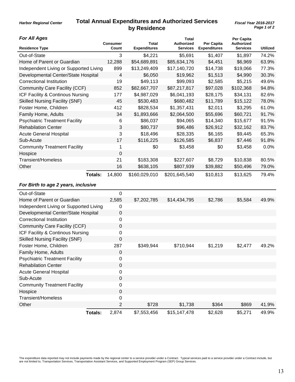## **Total Annual Expenditures and Authorized Services** *Fiscal Year 2016-2017* **by Residence**

**Total**

**Per Capita**

*For All Ages*

*Harbor Regional Center*

| <b>Residence Type</b>                  | <b>Consumer</b><br>Count | <b>Total</b><br><b>Expenditures</b> | <b>Authorized</b><br><b>Services</b> | Per Capita<br><b>Expenditures</b> | Authorized<br><b>Services</b> | <b>Utilized</b> |
|----------------------------------------|--------------------------|-------------------------------------|--------------------------------------|-----------------------------------|-------------------------------|-----------------|
| Out-of-State                           | 3                        | \$4,221                             | \$5,691                              | \$1,407                           | \$1,897                       | 74.2%           |
| Home of Parent or Guardian             | 12,288                   | \$54,689,891                        | \$85,634,176                         | \$4,451                           | \$6,969                       | 63.9%           |
| Independent Living or Supported Living | 899                      | \$13,249,409                        | \$17,140,720                         | \$14,738                          | \$19,066                      | 77.3%           |
| Developmental Center/State Hospital    | $\overline{4}$           | \$6,050                             | \$19,962                             | \$1,513                           | \$4,990                       | 30.3%           |
| <b>Correctional Institution</b>        | 19                       | \$49,113                            | \$99,093                             | \$2,585                           | \$5,215                       | 49.6%           |
| Community Care Facility (CCF)          | 852                      | \$82,667,707                        | \$87,217,817                         | \$97,028                          | \$102,368                     | 94.8%           |
| ICF Facility & Continous Nursing       | 177                      | \$4,987,029                         | \$6,041,193                          | \$28,175                          | \$34,131                      | 82.6%           |
| <b>Skilled Nursing Facility (SNF)</b>  | 45                       | \$530,483                           | \$680,482                            | \$11,789                          | \$15,122                      | 78.0%           |
| Foster Home, Children                  | 412                      | \$828,534                           | \$1,357,431                          | \$2,011                           | \$3,295                       | 61.0%           |
| Family Home, Adults                    | 34                       | \$1,893,666                         | \$2,064,500                          | \$55,696                          | \$60,721                      | 91.7%           |
| <b>Psychiatric Treatment Facility</b>  | 6                        | \$86,037                            | \$94,065                             | \$14,340                          | \$15,677                      | 91.5%           |
| <b>Rehabilation Center</b>             | 3                        | \$80,737                            | \$96,486                             | \$26,912                          | \$32,162                      | 83.7%           |
| <b>Acute General Hospital</b>          | 3                        | \$18,496                            | \$28,335                             | \$6,165                           | \$9,445                       | 65.3%           |
| Sub-Acute                              | 17                       | \$116,225                           | \$126,585                            | \$6,837                           | \$7,446                       | 91.8%           |
| <b>Community Treatment Facility</b>    | 1                        | \$0                                 | \$3,458                              | \$0                               | \$3,458                       | 0.0%            |
| Hospice                                | $\boldsymbol{0}$         |                                     |                                      |                                   |                               |                 |
| <b>Transient/Homeless</b>              | 21                       | \$183,308                           | \$227,607                            | \$8,729                           | \$10,838                      | 80.5%           |
| Other                                  | 16                       | \$638,105                           | \$807,939                            | \$39,882                          | \$50,496                      | 79.0%           |
| Totals:                                | 14,800                   | \$160,029,010                       | \$201,645,540                        | \$10,813                          | \$13,625                      | 79.4%           |
| For Birth to age 2 years, inclusive    |                          |                                     |                                      |                                   |                               |                 |
| Out-of-State                           | $\mathbf 0$              |                                     |                                      |                                   |                               |                 |
| Home of Parent or Guardian             | 2,585                    | \$7,202,785                         | \$14,434,795                         | \$2,786                           | \$5,584                       | 49.9%           |
| Independent Living or Supported Living | 0                        |                                     |                                      |                                   |                               |                 |
| Developmental Center/State Hospital    | $\boldsymbol{0}$         |                                     |                                      |                                   |                               |                 |
| <b>Correctional Institution</b>        | $\mathbf 0$              |                                     |                                      |                                   |                               |                 |
| Community Care Facility (CCF)          | $\pmb{0}$                |                                     |                                      |                                   |                               |                 |
| ICF Facility & Continous Nursing       | 0                        |                                     |                                      |                                   |                               |                 |
| <b>Skilled Nursing Facility (SNF)</b>  | $\pmb{0}$                |                                     |                                      |                                   |                               |                 |
| Foster Home, Children                  | 287                      | \$349,944                           | \$710,944                            | \$1,219                           | \$2,477                       | 49.2%           |
| Family Home, Adults                    | 0                        |                                     |                                      |                                   |                               |                 |
| <b>Psychiatric Treatment Facility</b>  | 0                        |                                     |                                      |                                   |                               |                 |
| <b>Rehabilation Center</b>             | $\pmb{0}$                |                                     |                                      |                                   |                               |                 |
| <b>Acute General Hospital</b>          | $\pmb{0}$                |                                     |                                      |                                   |                               |                 |
| Sub-Acute                              | $\mathbf 0$              |                                     |                                      |                                   |                               |                 |
| <b>Community Treatment Facility</b>    | $\pmb{0}$                |                                     |                                      |                                   |                               |                 |
| Hospice                                | $\pmb{0}$                |                                     |                                      |                                   |                               |                 |
| Transient/Homeless                     | 0                        |                                     |                                      |                                   |                               |                 |
| Other                                  | $\overline{2}$           | \$728                               | \$1,738                              | \$364                             | \$869                         | 41.9%           |
| <b>Totals:</b>                         | 2,874                    | \$7,553,456                         | \$15,147,478                         | \$2,628                           | \$5,271                       | 49.9%           |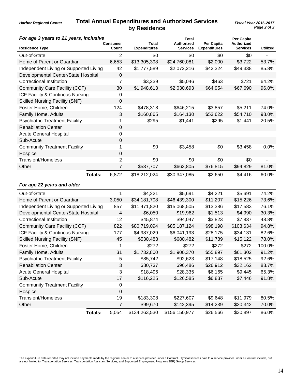## **Total Annual Expenditures and Authorized Services** *Fiscal Year 2016-2017* **by Residence**

*Harbor Regional Center*

| For age 3 years to 21 years, inclusive |                |                   |                              | Total                                |                                   | Per Capita                           |                          |
|----------------------------------------|----------------|-------------------|------------------------------|--------------------------------------|-----------------------------------|--------------------------------------|--------------------------|
| <b>Residence Type</b>                  |                | Consumer<br>Count | Total<br><b>Expenditures</b> | <b>Authorized</b><br><b>Services</b> | Per Capita<br><b>Expenditures</b> | <b>Authorized</b><br><b>Services</b> | <b>Utilized</b>          |
| Out-of-State                           |                | $\overline{2}$    | \$0                          | \$0                                  | \$0                               | \$0                                  | $\overline{\phantom{a}}$ |
| Home of Parent or Guardian             |                | 6,653             | \$13,305,398                 | \$24,760,081                         | \$2,000                           | \$3,722                              | 53.7%                    |
| Independent Living or Supported Living |                | 42                | \$1,777,589                  | \$2,072,216                          | \$42,324                          | \$49,338                             | 85.8%                    |
| Developmental Center/State Hospital    |                | $\mathbf 0$       |                              |                                      |                                   |                                      |                          |
| <b>Correctional Institution</b>        |                | 7                 | \$3,239                      | \$5,046                              | \$463                             | \$721                                | 64.2%                    |
| <b>Community Care Facility (CCF)</b>   |                | 30                | \$1,948,613                  | \$2,030,693                          | \$64,954                          | \$67,690                             | 96.0%                    |
| ICF Facility & Continous Nursing       |                | 0                 |                              |                                      |                                   |                                      |                          |
| <b>Skilled Nursing Facility (SNF)</b>  |                | 0                 |                              |                                      |                                   |                                      |                          |
| Foster Home, Children                  |                | 124               | \$478,318                    | \$646,215                            | \$3,857                           | \$5,211                              | 74.0%                    |
| Family Home, Adults                    |                | 3                 | \$160,865                    | \$164,130                            | \$53,622                          | \$54,710                             | 98.0%                    |
| <b>Psychiatric Treatment Facility</b>  |                | 1                 | \$295                        | \$1,441                              | \$295                             | \$1,441                              | 20.5%                    |
| <b>Rehabilation Center</b>             |                | 0                 |                              |                                      |                                   |                                      |                          |
| <b>Acute General Hospital</b>          |                | 0                 |                              |                                      |                                   |                                      |                          |
| Sub-Acute                              |                | $\mathbf 0$       |                              |                                      |                                   |                                      |                          |
| <b>Community Treatment Facility</b>    |                | 1                 | \$0                          | \$3,458                              | \$0                               | \$3,458                              | 0.0%                     |
| Hospice                                |                | $\mathbf 0$       |                              |                                      |                                   |                                      |                          |
| <b>Transient/Homeless</b>              |                | $\overline{c}$    | \$0                          | \$0                                  | \$0                               | \$0                                  |                          |
| Other                                  |                | $\overline{7}$    | \$537,707                    | \$663,805                            | \$76,815                          | \$94,829                             | 81.0%                    |
|                                        | Totals:        | 6,872             | \$18,212,024                 | \$30,347,085                         | \$2,650                           | \$4,416                              | 60.0%                    |
| For age 22 years and older             |                |                   |                              |                                      |                                   |                                      |                          |
| Out-of-State                           |                | 1                 | \$4,221                      | \$5,691                              | \$4,221                           | \$5,691                              | 74.2%                    |
| Home of Parent or Guardian             |                | 3,050             | \$34,181,708                 | \$46,439,300                         | \$11,207                          | \$15,226                             | 73.6%                    |
| Independent Living or Supported Living |                | 857               | \$11,471,820                 | \$15,068,505                         | \$13,386                          | \$17,583                             | 76.1%                    |
| Developmental Center/State Hospital    |                | $\overline{4}$    | \$6,050                      | \$19,962                             | \$1,513                           | \$4,990                              | 30.3%                    |
| <b>Correctional Institution</b>        |                | 12                | \$45,874                     | \$94,047                             | \$3,823                           | \$7,837                              | 48.8%                    |
| <b>Community Care Facility (CCF)</b>   |                | 822               | \$80,719,094                 | \$85,187,124                         | \$98,198                          | \$103,634                            | 94.8%                    |
| ICF Facility & Continous Nursing       |                | 177               | \$4,987,029                  | \$6,041,193                          | \$28,175                          | \$34,131                             | 82.6%                    |
| <b>Skilled Nursing Facility (SNF)</b>  |                | 45                | \$530,483                    | \$680,482                            | \$11,789                          | \$15,122                             | 78.0%                    |
| Foster Home, Children                  |                | 1                 | \$272                        | \$272                                | \$272                             | \$272                                | 100.0%                   |
| Family Home, Adults                    |                | 31                | \$1,732,800                  | \$1,900,370                          | \$55,897                          | \$61,302                             | 91.2%                    |
| <b>Psychiatric Treatment Facility</b>  |                | 5                 | \$85,742                     | \$92,623                             | \$17,148                          | \$18,525                             | 92.6%                    |
| <b>Rehabilation Center</b>             |                | 3                 | \$80,737                     | \$96,486                             | \$26,912                          | \$32,162                             | 83.7%                    |
| <b>Acute General Hospital</b>          |                | 3                 | \$18,496                     | \$28,335                             | \$6,165                           | \$9,445                              | 65.3%                    |
| Sub-Acute                              |                | 17                | \$116,225                    | \$126,585                            | \$6,837                           | \$7,446                              | 91.8%                    |
| <b>Community Treatment Facility</b>    |                | 0                 |                              |                                      |                                   |                                      |                          |
| Hospice                                |                | 0                 |                              |                                      |                                   |                                      |                          |
| <b>Transient/Homeless</b>              |                | 19                | \$183,308                    | \$227,607                            | \$9,648                           | \$11,979                             | 80.5%                    |
| Other                                  |                | $\overline{7}$    | \$99,670                     | \$142,395                            | \$14,239                          | \$20,342                             | 70.0%                    |
|                                        | <b>Totals:</b> | 5,054             | \$134,263,530                | \$156,150,977                        | \$26,566                          | \$30,897                             | 86.0%                    |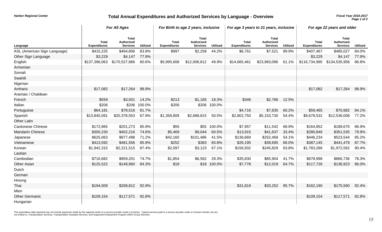## *Fiscal Year 2016-2017* **Total Annual Expenditures and Authorized Services by Language - Overview**

|                              |                                     | <b>For All Ages</b>                           |                 |                                     | For Birth to age 2 years, inclusive           |                 |                                     | For age 3 years to 21 years, inclusive        |                 |                                     | For age 22 years and older             |                 |  |
|------------------------------|-------------------------------------|-----------------------------------------------|-----------------|-------------------------------------|-----------------------------------------------|-----------------|-------------------------------------|-----------------------------------------------|-----------------|-------------------------------------|----------------------------------------|-----------------|--|
| Language                     | <b>Total</b><br><b>Expenditures</b> | <b>Total</b><br>Authorized<br><b>Services</b> | <b>Utilized</b> | <b>Total</b><br><b>Expenditures</b> | <b>Total</b><br>Authorized<br><b>Services</b> | <b>Utilized</b> | <b>Total</b><br><b>Expenditures</b> | <b>Total</b><br>Authorized<br><b>Services</b> | <b>Utilized</b> | <b>Total</b><br><b>Expenditures</b> | Total<br>Authorized<br><b>Services</b> | <b>Utilized</b> |  |
| ASL (American Sign Language) | \$415,225                           | \$494,806                                     | 83.9%           | \$997                               | \$2,258                                       | 44.2%           | \$6,761                             | \$7,521                                       | 89.9%           | \$407,467                           | \$485,027                              | 84.0%           |  |
| Other Sign Language          | \$3,229                             | \$4,147                                       | 77.9%           |                                     |                                               |                 |                                     |                                               |                 | \$3,229                             | \$4,147                                | 77.9%           |  |
| English                      | \$137,396,063                       | \$170,527,866                                 | 80.6%           | \$5,995,608                         | \$12,008,812                                  | 49.9%           | \$14,665,461                        | \$23,983,096                                  | 61.1%           | \$116,734,995                       | \$134,535,958                          | 86.8%           |  |
| Armenian                     |                                     |                                               |                 |                                     |                                               |                 |                                     |                                               |                 |                                     |                                        |                 |  |
| Somali                       |                                     |                                               |                 |                                     |                                               |                 |                                     |                                               |                 |                                     |                                        |                 |  |
| Swahili                      |                                     |                                               |                 |                                     |                                               |                 |                                     |                                               |                 |                                     |                                        |                 |  |
| Nigerian                     |                                     |                                               |                 |                                     |                                               |                 |                                     |                                               |                 |                                     |                                        |                 |  |
| Amharic                      | \$17,082                            | \$17,264                                      | 98.9%           |                                     |                                               |                 |                                     |                                               |                 | \$17,082                            | \$17,264                               | 98.9%           |  |
| Aramaic / Chaldean           |                                     |                                               |                 |                                     |                                               |                 |                                     |                                               |                 |                                     |                                        |                 |  |
| French                       | \$559                               | \$3,931                                       | 14.2%           | \$213                               | \$1,165                                       | 18.3%           | \$346                               | \$2,766                                       | 12.5%           |                                     |                                        |                 |  |
| Italian                      | \$206                               | \$206                                         | 100.0%          | \$206                               |                                               | \$206 100.0%    |                                     |                                               |                 |                                     |                                        |                 |  |
| Portuguese                   | \$64,181                            | \$78,516                                      | 81.7%           |                                     |                                               |                 | \$4,716                             | \$7,835                                       | 60.2%           | \$59,465                            | \$70,682                               | 84.1%           |  |
| Spanish                      | \$13,840,091                        | \$20,378,553                                  | 67.9%           | \$1,358,809                         | \$2,688,815                                   | 50.5%           | \$2,802,750                         | \$5,153,730                                   | 54.4%           | \$9,678,532                         | \$12,536,008                           | 77.2%           |  |
| <b>Other Latin</b>           |                                     |                                               |                 |                                     |                                               |                 |                                     |                                               |                 |                                     |                                        |                 |  |
| <b>Cantonese Chinese</b>     | \$172,865                           | \$201,273                                     | 85.9%           | \$55                                |                                               | \$55 100.0%     | \$7,957                             | \$11,542                                      | 68.9%           | \$164,852                           | \$189,676                              | 86.9%           |  |
| <b>Mandarin Chinese</b>      | \$300,230                           | \$402,216                                     | 74.6%           | \$5,469                             | \$9,044                                       | 60.5%           | \$13,915                            | \$41,637                                      | 33.4%           | \$280,846                           | \$351,535                              | 79.9%           |  |
| Japanese                     | \$625,063                           | \$877,498                                     | 71.2%           | \$42,160                            | \$101,486                                     | 41.5%           | \$136,669                           | \$252,468                                     | 54.1%           | \$446,234                           | \$523,544                              | 85.2%           |  |
| Vietnamese                   | \$413,592                           | \$481,556                                     | 85.9%           | \$252                               | \$383                                         | 65.8%           | \$26,195                            | \$39,695                                      | 66.0%           | \$387,145                           | \$441,479                              | 87.7%           |  |
| Korean                       | \$1,942,315                         | \$2,221,515                                   | 87.4%           | \$2,097                             | \$3,123                                       | 67.1%           | \$156,932                           | \$245,829                                     | 63.8%           | \$1,783,286                         | \$1,972,562                            | 90.4%           |  |
| Laotian                      |                                     |                                               |                 |                                     |                                               |                 |                                     |                                               |                 |                                     |                                        |                 |  |
| Cambodian                    | \$716,682                           | \$959,201                                     | 74.7%           | \$1,854                             | \$6,562                                       | 28.3%           | \$35,830                            | \$85,904                                      | 41.7%           | \$678,998                           | \$866,736                              | 78.3%           |  |
| Other Asian                  | \$125,522                           | \$148,960                                     | 84.3%           | \$18                                |                                               | \$18 100.0%     | \$7,778                             | \$12,019                                      | 64.7%           | \$117,726                           | \$136,923                              | 86.0%           |  |
| Dutch                        |                                     |                                               |                 |                                     |                                               |                 |                                     |                                               |                 |                                     |                                        |                 |  |
| German                       |                                     |                                               |                 |                                     |                                               |                 |                                     |                                               |                 |                                     |                                        |                 |  |
| Hmong                        |                                     |                                               |                 |                                     |                                               |                 |                                     |                                               |                 |                                     |                                        |                 |  |
| Thai                         | \$194,009                           | \$208,812                                     | 92.9%           |                                     |                                               |                 | \$31,819                            | \$33,252                                      | 95.7%           | \$162,190                           | \$175,560                              | 92.4%           |  |
| Mien                         |                                     |                                               |                 |                                     |                                               |                 |                                     |                                               |                 |                                     |                                        |                 |  |
| <b>Other Germanic</b>        | \$109,154                           | \$117,571                                     | 92.8%           |                                     |                                               |                 |                                     |                                               |                 | \$109,154                           | \$117,571                              | 92.8%           |  |
| Hungarian                    |                                     |                                               |                 |                                     |                                               |                 |                                     |                                               |                 |                                     |                                        |                 |  |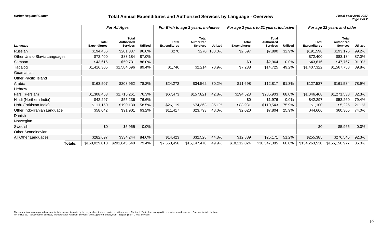## *Fiscal Year 2016-2017* **Total Annual Expenditures and Authorized Services by Language - Overview**

*Page 2 of 2*

|                               |                                     | <b>For All Ages</b>                                  |                 | For Birth to age 2 years, inclusive |                                               | For age 3 years to 21 years, inclusive |                                     |                                                      | For age 22 years and older |                                     |                                               |                 |
|-------------------------------|-------------------------------------|------------------------------------------------------|-----------------|-------------------------------------|-----------------------------------------------|----------------------------------------|-------------------------------------|------------------------------------------------------|----------------------------|-------------------------------------|-----------------------------------------------|-----------------|
| Language                      | <b>Total</b><br><b>Expenditures</b> | <b>Total</b><br><b>Authorized</b><br><b>Services</b> | <b>Utilized</b> | <b>Total</b><br><b>Expenditures</b> | <b>Total</b><br>Authorized<br><b>Services</b> | <b>Utilized</b>                        | <b>Total</b><br><b>Expenditures</b> | <b>Total</b><br><b>Authorized</b><br><b>Services</b> | <b>Utilized</b>            | <b>Total</b><br><b>Expenditures</b> | <b>Total</b><br>Authorized<br><b>Services</b> | <b>Utilized</b> |
| Russian                       | \$194,466                           | \$201,337                                            | 96.6%           | \$270                               |                                               | \$270 100.0%                           | \$2,597                             | \$7,890                                              | 32.9%                      | \$191,598                           | \$193,176                                     | 99.2%           |
| Other Uralic-Slavic Languages | \$72,400                            | \$83,184                                             | 87.0%           |                                     |                                               |                                        |                                     |                                                      |                            | \$72,400                            | \$83,184                                      | 87.0%           |
| Samoan                        | \$43,616                            | \$50,731                                             | 86.0%           |                                     |                                               |                                        | \$0                                 | \$2,964                                              | 0.0%                       | \$43,616                            | \$47,767                                      | 91.3%           |
| Tagalog                       | \$1,416,305                         | \$1,584,696                                          | 89.4%           | \$1,746                             | \$2,214                                       | 78.9%                                  | \$7,238                             | \$14,725                                             | 49.2%                      | \$1,407,322                         | \$1,567,758                                   | 89.8%           |
| Guamanian                     |                                     |                                                      |                 |                                     |                                               |                                        |                                     |                                                      |                            |                                     |                                               |                 |
| <b>Other Pacific Island</b>   |                                     |                                                      |                 |                                     |                                               |                                        |                                     |                                                      |                            |                                     |                                               |                 |
| Arabic                        | \$163,507                           | \$208,962                                            | 78.2%           | \$24,272                            | \$34,562                                      | 70.2%                                  | \$11,698                            | \$12,817                                             | 91.3%                      | \$127,537                           | \$161,584                                     | 78.9%           |
| Hebrew                        |                                     |                                                      |                 |                                     |                                               |                                        |                                     |                                                      |                            |                                     |                                               |                 |
| Farsi (Persian)               | \$1,308,463                         | \$1,715,261                                          | 76.3%           | \$67,473                            | \$157,821                                     | 42.8%                                  | \$194,523                           | \$285,903                                            | 68.0%                      | \$1,046,468                         | \$1,271,538                                   | 82.3%           |
| Hindi (Northern India)        | \$42,297                            | \$55,236                                             | 76.6%           |                                     |                                               |                                        | \$0                                 | \$1,976                                              | 0.0%                       | \$42,297                            | \$53,260                                      | 79.4%           |
| Urdu (Pakistan India)         | \$111,150                           | \$190,130                                            | 58.5%           | \$26,119                            | \$74,363                                      | 35.1%                                  | \$83,931                            | \$110,543                                            | 75.9%                      | \$1,100                             | \$5,225                                       | 21.1%           |
| Other Indo-Iranian Language   | \$58,042                            | \$91,901                                             | 63.2%           | \$11,417                            | \$23,793                                      | 48.0%                                  | \$2,020                             | \$7,804                                              | 25.9%                      | \$44,606                            | \$60,305                                      | 74.0%           |
| Danish                        |                                     |                                                      |                 |                                     |                                               |                                        |                                     |                                                      |                            |                                     |                                               |                 |
| Norwegian                     |                                     |                                                      |                 |                                     |                                               |                                        |                                     |                                                      |                            |                                     |                                               |                 |
| Swedish                       | \$0                                 | \$5,965                                              | 0.0%            |                                     |                                               |                                        |                                     |                                                      |                            | \$0                                 | \$5,965                                       | $0.0\%$         |
| Other Scandinavian            |                                     |                                                      |                 |                                     |                                               |                                        |                                     |                                                      |                            |                                     |                                               |                 |
| All Other Languages           | \$282,697                           | \$334,244                                            | 84.6%           | \$14,423                            | \$32,528                                      | 44.3%                                  | \$12,889                            | \$25,171                                             | 51.2%                      | \$255,385                           | \$276,545                                     | 92.3%           |
| <b>Totals:</b>                | \$160,029,010                       | \$201,645,540                                        | 79.4%           | \$7,553,456                         | \$15,147,478                                  | 49.9%                                  | \$18,212,024                        | \$30,347,085                                         | 60.0%                      | \$134,263,530                       | \$156,150,977                                 | 86.0%           |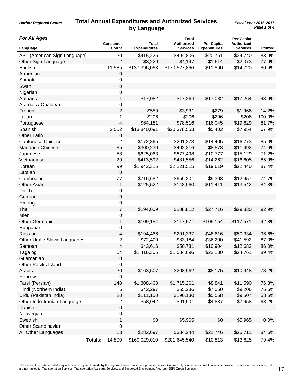## **Total Annual Expenditures and Authorized Services by Language**

*Harbor Regional Center*

| <b>For All Ages</b>           |                | <b>Consumer</b>  | Total               | <b>Total</b><br><b>Authorized</b> | Per Capita          | Per Capita<br><b>Authorized</b> |                 |
|-------------------------------|----------------|------------------|---------------------|-----------------------------------|---------------------|---------------------------------|-----------------|
| Language                      |                | Count            | <b>Expenditures</b> | <b>Services</b>                   | <b>Expenditures</b> | <b>Services</b>                 | <b>Utilized</b> |
| ASL (American Sign Language)  |                | 20               | \$415,225           | \$494,806                         | \$20,761            | \$24,740                        | 83.9%           |
| Other Sign Language           |                | $\overline{2}$   | \$3,229             | \$4,147                           | \$1,614             | \$2,073                         | 77.9%           |
| English                       |                | 11,585           | \$137,396,063       | \$170,527,866                     | \$11,860            | \$14,720                        | 80.6%           |
| Armenian                      |                | 0                |                     |                                   |                     |                                 |                 |
| Somali                        |                | 0                |                     |                                   |                     |                                 |                 |
| Swahili                       |                | 0                |                     |                                   |                     |                                 |                 |
| Nigerian                      |                | 0                |                     |                                   |                     |                                 |                 |
| Amharic                       |                | 1                | \$17,082            | \$17,264                          | \$17,082            | \$17,264                        | 98.9%           |
| Aramaic / Chaldean            |                | 0                |                     |                                   |                     |                                 |                 |
| French                        |                | $\overline{c}$   | \$559               | \$3,931                           | \$279               | \$1,966                         | 14.2%           |
| Italian                       |                | 1                | \$206               | \$206                             | \$206               | \$206                           | 100.0%          |
| Portuguese                    |                | 4                | \$64,181            | \$78,516                          | \$16,045            | \$19,629                        | 81.7%           |
| Spanish                       |                | 2,562            | \$13,840,091        | \$20,378,553                      | \$5,402             | \$7,954                         | 67.9%           |
| <b>Other Latin</b>            |                | 0                |                     |                                   |                     |                                 |                 |
| <b>Cantonese Chinese</b>      |                | 12               | \$172,865           | \$201,273                         | \$14,405            | \$16,773                        | 85.9%           |
| Mandarin Chinese              |                | 35               | \$300,230           | \$402,216                         | \$8,578             | \$11,492                        | 74.6%           |
| Japanese                      |                | 58               | \$625,063           | \$877,498                         | \$10,777            | \$15,129                        | 71.2%           |
| Vietnamese                    |                | 29               | \$413,592           | \$481,556                         | \$14,262            | \$16,605                        | 85.9%           |
| Korean                        |                | 99               | \$1,942,315         | \$2,221,515                       | \$19,619            | \$22,440                        | 87.4%           |
| Laotian                       |                | $\mathbf 0$      |                     |                                   |                     |                                 |                 |
| Cambodian                     |                | 77               | \$716,682           | \$959,201                         | \$9,308             | \$12,457                        | 74.7%           |
| Other Asian                   |                | 11               | \$125,522           | \$148,960                         | \$11,411            | \$13,542                        | 84.3%           |
| Dutch                         |                | $\boldsymbol{0}$ |                     |                                   |                     |                                 |                 |
| German                        |                | 0                |                     |                                   |                     |                                 |                 |
| Hmong                         |                | 0                |                     |                                   |                     |                                 |                 |
| Thai                          |                | $\overline{7}$   | \$194,009           | \$208,812                         | \$27,716            | \$29,830                        | 92.9%           |
| Mien                          |                | 0                |                     |                                   |                     |                                 |                 |
| <b>Other Germanic</b>         |                | 1                | \$109,154           | \$117,571                         | \$109,154           | \$117,571                       | 92.8%           |
| Hungarian                     |                | 0                |                     |                                   |                     |                                 |                 |
| Russian                       |                | 4                | \$194,466           | \$201,337                         | \$48,616            | \$50,334                        | 96.6%           |
| Other Uralic-Slavic Languages |                | 2                | \$72,400            | \$83,184                          | \$36,200            | \$41,592                        | 87.0%           |
| Samoan                        |                | 4                | \$43,616            | \$50,731                          | \$10,904            | \$12,683                        | 86.0%           |
| Tagalog                       |                | 64               | \$1,416,305         | \$1,584,696                       | \$22,130            | \$24,761                        | 89.4%           |
| Guamanian                     |                | 0                |                     |                                   |                     |                                 |                 |
| <b>Other Pacific Island</b>   |                | 0                |                     |                                   |                     |                                 |                 |
| Arabic                        |                | 20               | \$163,507           | \$208,962                         | \$8,175             | \$10,448                        | 78.2%           |
| Hebrew                        |                | $\pmb{0}$        |                     |                                   |                     |                                 |                 |
| Farsi (Persian)               |                | 148              | \$1,308,463         | \$1,715,261                       | \$8,841             | \$11,590                        | 76.3%           |
| Hindi (Northern India)        |                | 6                | \$42,297            | \$55,236                          | \$7,050             | \$9,206                         | 76.6%           |
| Urdu (Pakistan India)         |                | 20               | \$111,150           | \$190,130                         | \$5,558             | \$9,507                         | 58.5%           |
| Other Indo-Iranian Language   |                | 12               | \$58,042            | \$91,901                          | \$4,837             | \$7,658                         | 63.2%           |
| Danish                        |                | $\pmb{0}$        |                     |                                   |                     |                                 |                 |
| Norwegian                     |                | 0                |                     |                                   |                     |                                 |                 |
| Swedish                       |                | 1                | \$0                 | \$5,965                           | \$0                 | \$5,965                         | 0.0%            |
| Other Scandinavian            |                | 0                |                     |                                   |                     |                                 |                 |
| All Other Languages           |                | 13               | \$282,697           | \$334,244                         | \$21,746            | \$25,711                        | 84.6%           |
|                               | <b>Totals:</b> | 14,800           | \$160,029,010       | \$201,645,540                     | \$10,813            | \$13,625                        | 79.4%           |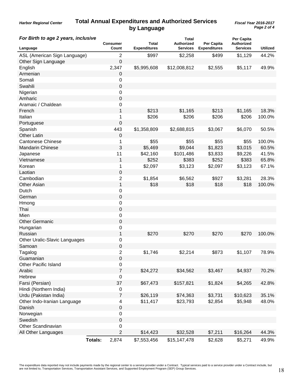## **Total Annual Expenditures and Authorized Services by Language**

*Harbor Regional Center*

| For Birth to age 2 years, inclusive |                | Consumer            | Total               | <b>Total</b><br><b>Authorized</b> | Per Capita          | Per Capita<br><b>Authorized</b> |                 |
|-------------------------------------|----------------|---------------------|---------------------|-----------------------------------|---------------------|---------------------------------|-----------------|
| Language                            |                | Count               | <b>Expenditures</b> | <b>Services</b>                   | <b>Expenditures</b> | Services                        | <b>Utilized</b> |
| ASL (American Sign Language)        |                | $\overline{2}$      | \$997               | \$2,258                           | \$499               | \$1,129                         | 44.2%           |
| Other Sign Language                 |                | $\mathbf 0$         |                     |                                   |                     |                                 |                 |
| English                             |                | 2,347               | \$5,995,608         | \$12,008,812                      | \$2,555             | \$5,117                         | 49.9%           |
| Armenian                            |                | 0                   |                     |                                   |                     |                                 |                 |
| Somali                              |                | 0                   |                     |                                   |                     |                                 |                 |
| Swahili                             |                | 0                   |                     |                                   |                     |                                 |                 |
| Nigerian                            |                | 0                   |                     |                                   |                     |                                 |                 |
| Amharic                             |                | 0                   |                     |                                   |                     |                                 |                 |
| Aramaic / Chaldean                  |                | 0                   |                     |                                   |                     |                                 |                 |
| French                              |                | 1                   | \$213               | \$1,165                           | \$213               | \$1,165                         | 18.3%           |
| Italian                             |                | 1                   | \$206               | \$206                             | \$206               | \$206                           | 100.0%          |
| Portuguese                          |                | 0                   |                     |                                   |                     |                                 |                 |
| Spanish                             |                | 443                 | \$1,358,809         | \$2,688,815                       | \$3,067             | \$6,070                         | 50.5%           |
| <b>Other Latin</b>                  |                | 0                   |                     |                                   |                     |                                 |                 |
| <b>Cantonese Chinese</b>            |                | 1                   | \$55                | \$55                              | \$55                | \$55                            | 100.0%          |
| <b>Mandarin Chinese</b>             |                | 3                   | \$5,469             | \$9,044                           | \$1,823             | \$3,015                         | 60.5%           |
| Japanese                            |                | 11                  | \$42,160            | \$101,486                         | \$3,833             | \$9,226                         | 41.5%           |
| Vietnamese                          |                | 1                   | \$252               | \$383                             | \$252               | \$383                           | 65.8%           |
| Korean                              |                | 1                   | \$2,097             | \$3,123                           | \$2,097             | \$3,123                         | 67.1%           |
| Laotian                             |                | 0                   |                     |                                   |                     |                                 |                 |
| Cambodian                           |                | $\overline{2}$      | \$1,854             | \$6,562                           | \$927               | \$3,281                         | 28.3%           |
| Other Asian                         |                | 1                   | \$18                | \$18                              | \$18                | \$18                            | 100.0%          |
| Dutch                               |                | 0                   |                     |                                   |                     |                                 |                 |
| German                              |                | $\mathbf 0$         |                     |                                   |                     |                                 |                 |
| Hmong                               |                | 0                   |                     |                                   |                     |                                 |                 |
| Thai                                |                | 0                   |                     |                                   |                     |                                 |                 |
| Mien                                |                | 0                   |                     |                                   |                     |                                 |                 |
| <b>Other Germanic</b>               |                | 0                   |                     |                                   |                     |                                 |                 |
| Hungarian                           |                | 0                   |                     |                                   |                     |                                 |                 |
| Russian                             |                | 1                   | \$270               | \$270                             | \$270               | \$270                           | 100.0%          |
| Other Uralic-Slavic Languages       |                | 0                   |                     |                                   |                     |                                 |                 |
| Samoan                              |                | $\mathbf 0$         |                     |                                   |                     |                                 |                 |
| Tagalog                             |                | 2                   | \$1,746             | \$2,214                           | \$873               | \$1,107                         | 78.9%           |
| Guamanian                           |                | 0                   |                     |                                   |                     |                                 |                 |
| <b>Other Pacific Island</b>         |                |                     |                     |                                   |                     |                                 |                 |
| Arabic                              |                | 0<br>$\overline{7}$ | \$24,272            | \$34,562                          | \$3,467             | \$4,937                         | 70.2%           |
| Hebrew                              |                | $\pmb{0}$           |                     |                                   |                     |                                 |                 |
|                                     |                | 37                  |                     |                                   |                     |                                 |                 |
| Farsi (Persian)                     |                |                     | \$67,473            | \$157,821                         | \$1,824             | \$4,265                         | 42.8%           |
| Hindi (Northern India)              |                | 0                   |                     |                                   |                     |                                 |                 |
| Urdu (Pakistan India)               |                | $\overline{7}$      | \$26,119            | \$74,363                          | \$3,731             | \$10,623                        | 35.1%           |
| Other Indo-Iranian Language         |                | 4                   | \$11,417            | \$23,793                          | \$2,854             | \$5,948                         | 48.0%           |
| Danish                              |                | 0                   |                     |                                   |                     |                                 |                 |
| Norwegian                           |                | 0                   |                     |                                   |                     |                                 |                 |
| Swedish                             |                | $\pmb{0}$           |                     |                                   |                     |                                 |                 |
| Other Scandinavian                  |                | 0                   |                     |                                   |                     |                                 |                 |
| All Other Languages                 |                | $\overline{2}$      | \$14,423            | \$32,528                          | \$7,211             | \$16,264                        | 44.3%           |
|                                     | <b>Totals:</b> | 2,874               | \$7,553,456         | \$15,147,478                      | \$2,628             | \$5,271                         | 49.9%           |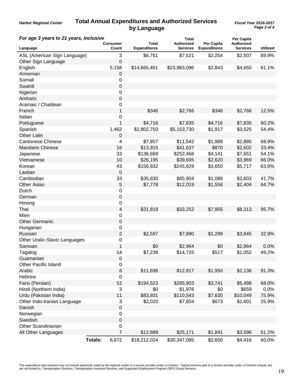#### **Total Annual Expenditures and Authorized Services by Language** *Harbor Regional Center*

| For age 3 years to 21 years, inclusive |                | Consumer       | Total               | <b>Total</b><br><b>Authorized</b> | <b>Per Capita</b>   | Per Capita<br>Authorized |                 |
|----------------------------------------|----------------|----------------|---------------------|-----------------------------------|---------------------|--------------------------|-----------------|
| Language                               |                | Count          | <b>Expenditures</b> | Services                          | <b>Expenditures</b> | <b>Services</b>          | <b>Utilized</b> |
| ASL (American Sign Language)           |                | 3              | \$6,761             | \$7,521                           | \$2,254             | \$2,507                  | 89.9%           |
| Other Sign Language                    |                | 0              |                     |                                   |                     |                          |                 |
| English                                |                | 5,158          | \$14,665,461        | \$23,983,096                      | \$2,843             | \$4,650                  | 61.1%           |
| Armenian                               |                | 0              |                     |                                   |                     |                          |                 |
| Somali                                 |                | 0              |                     |                                   |                     |                          |                 |
| Swahili                                |                | 0              |                     |                                   |                     |                          |                 |
| Nigerian                               |                | 0              |                     |                                   |                     |                          |                 |
| Amharic                                |                | 0              |                     |                                   |                     |                          |                 |
| Aramaic / Chaldean                     |                | 0              |                     |                                   |                     |                          |                 |
| French                                 |                | 1              | \$346               | \$2,766                           | \$346               | \$2,766                  | 12.5%           |
| Italian                                |                | 0              |                     |                                   |                     |                          |                 |
| Portuguese                             |                | 1              | \$4,716             | \$7,835                           | \$4,716             | \$7,835                  | 60.2%           |
| Spanish                                |                | 1,462          | \$2,802,750         | \$5,153,730                       | \$1,917             | \$3,525                  | 54.4%           |
| <b>Other Latin</b>                     |                | 0              |                     |                                   |                     |                          |                 |
| <b>Cantonese Chinese</b>               |                | 4              | \$7,957             | \$11,542                          | \$1,989             | \$2,885                  | 68.9%           |
| <b>Mandarin Chinese</b>                |                | 16             | \$13,915            | \$41,637                          | \$870               | \$2,602                  | 33.4%           |
| Japanese                               |                | 33             | \$136,669           | \$252,468                         | \$4,141             | \$7,651                  | 54.1%           |
| Vietnamese                             |                | 10             | \$26,195            | \$39,695                          | \$2,620             | \$3,969                  | 66.0%           |
| Korean                                 |                | 43             | \$156,932           | \$245,829                         | \$3,650             | \$5,717                  | 63.8%           |
| Laotian                                |                | $\mathbf 0$    |                     |                                   |                     |                          |                 |
| Cambodian                              |                | 33             | \$35,830            | \$85,904                          | \$1,086             | \$2,603                  | 41.7%           |
| Other Asian                            |                | 5              | \$7,778             | \$12,019                          | \$1,556             | \$2,404                  | 64.7%           |
| Dutch                                  |                | 0              |                     |                                   |                     |                          |                 |
| German                                 |                | 0              |                     |                                   |                     |                          |                 |
| Hmong                                  |                | 0              |                     |                                   |                     |                          |                 |
| Thai                                   |                | 4              | \$31,819            | \$33,252                          | \$7,955             | \$8,313                  | 95.7%           |
| Mien                                   |                | 0              |                     |                                   |                     |                          |                 |
| <b>Other Germanic</b>                  |                | 0              |                     |                                   |                     |                          |                 |
|                                        |                | 0              |                     |                                   |                     |                          |                 |
| Hungarian<br>Russian                   |                | $\overline{2}$ | \$2,597             |                                   | \$1,299             |                          | 32.9%           |
|                                        |                |                |                     | \$7,890                           |                     | \$3,945                  |                 |
| Other Uralic-Slavic Languages          |                | 0              |                     |                                   |                     |                          |                 |
| Samoan                                 |                | 1              | \$0                 | \$2,964                           | \$0                 | \$2,964                  | 0.0%            |
| Tagalog                                |                | 14             | \$7,238             | \$14,725                          | \$517               | \$1,052                  | 49.2%           |
| Guamanian                              |                | 0              |                     |                                   |                     |                          |                 |
| <b>Other Pacific Island</b>            |                | 0              |                     |                                   |                     |                          |                 |
| Arabic                                 |                | 6              | \$11,698            | \$12,817                          | \$1,950             | \$2,136                  | 91.3%           |
| Hebrew                                 |                | 0              |                     |                                   |                     |                          |                 |
| Farsi (Persian)                        |                | 52             | \$194,523           | \$285,903                         | \$3,741             | \$5,498                  | 68.0%           |
| Hindi (Northern India)                 |                | 3              | \$0                 | \$1,976                           | \$0                 | \$659                    | 0.0%            |
| Urdu (Pakistan India)                  |                | 11             | \$83,931            | \$110,543                         | \$7,630             | \$10,049                 | 75.9%           |
| Other Indo-Iranian Language            |                | 3              | \$2,020             | \$7,804                           | \$673               | \$2,601                  | 25.9%           |
| Danish                                 |                | 0              |                     |                                   |                     |                          |                 |
| Norwegian                              |                | 0              |                     |                                   |                     |                          |                 |
| Swedish                                |                | $\pmb{0}$      |                     |                                   |                     |                          |                 |
| Other Scandinavian                     |                | $\,0\,$        |                     |                                   |                     |                          |                 |
| All Other Languages                    |                | $\overline{7}$ | \$12,889            | \$25,171                          | \$1,841             | \$3,596                  | 51.2%           |
|                                        | <b>Totals:</b> | 6,872          | \$18,212,024        | \$30,347,085                      | \$2,650             | \$4,416                  | 60.0%           |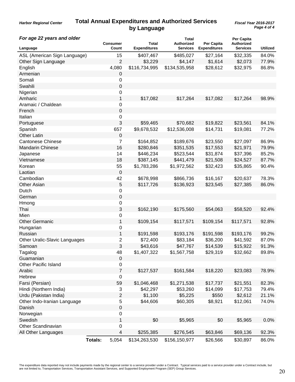#### **Total Annual Expenditures and Authorized Services by Language** *Harbor Regional Center*

| For age 22 years and older    |                |                   |                              | <b>Total</b>                         |                                          | Per Capita                           |                 |
|-------------------------------|----------------|-------------------|------------------------------|--------------------------------------|------------------------------------------|--------------------------------------|-----------------|
| Language                      |                | Consumer<br>Count | Total<br><b>Expenditures</b> | <b>Authorized</b><br><b>Services</b> | <b>Per Capita</b><br><b>Expenditures</b> | <b>Authorized</b><br><b>Services</b> | <b>Utilized</b> |
| ASL (American Sign Language)  |                | 15                | \$407,467                    | \$485,027                            | \$27,164                                 | \$32,335                             | 84.0%           |
| Other Sign Language           |                | $\overline{2}$    | \$3,229                      | \$4,147                              | \$1,614                                  | \$2,073                              | 77.9%           |
| English                       |                | 4,080             | \$116,734,995                | \$134,535,958                        | \$28,612                                 | \$32,975                             | 86.8%           |
| Armenian                      |                | 0                 |                              |                                      |                                          |                                      |                 |
| Somali                        |                | 0                 |                              |                                      |                                          |                                      |                 |
| Swahili                       |                | 0                 |                              |                                      |                                          |                                      |                 |
| Nigerian                      |                | 0                 |                              |                                      |                                          |                                      |                 |
| Amharic                       |                | 1                 | \$17,082                     | \$17,264                             | \$17,082                                 | \$17,264                             | 98.9%           |
| Aramaic / Chaldean            |                | 0                 |                              |                                      |                                          |                                      |                 |
| French                        |                | $\boldsymbol{0}$  |                              |                                      |                                          |                                      |                 |
| Italian                       |                | 0                 |                              |                                      |                                          |                                      |                 |
| Portuguese                    |                | 3                 | \$59,465                     | \$70,682                             | \$19,822                                 | \$23,561                             | 84.1%           |
| Spanish                       |                | 657               | \$9,678,532                  | \$12,536,008                         | \$14,731                                 | \$19,081                             | 77.2%           |
| <b>Other Latin</b>            |                | 0                 |                              |                                      |                                          |                                      |                 |
| <b>Cantonese Chinese</b>      |                | 7                 | \$164,852                    | \$189,676                            | \$23,550                                 | \$27,097                             | 86.9%           |
| <b>Mandarin Chinese</b>       |                | 16                | \$280,846                    | \$351,535                            | \$17,553                                 | \$21,971                             | 79.9%           |
| Japanese                      |                | 14                | \$446,234                    | \$523,544                            | \$31,874                                 | \$37,396                             | 85.2%           |
| Vietnamese                    |                | 18                | \$387,145                    | \$441,479                            | \$21,508                                 | \$24,527                             | 87.7%           |
| Korean                        |                | 55                | \$1,783,286                  | \$1,972,562                          | \$32,423                                 | \$35,865                             | 90.4%           |
| Laotian                       |                | $\mathbf 0$       |                              |                                      |                                          |                                      |                 |
| Cambodian                     |                | 42                | \$678,998                    | \$866,736                            | \$16,167                                 | \$20,637                             | 78.3%           |
| Other Asian                   |                | 5                 | \$117,726                    | \$136,923                            | \$23,545                                 | \$27,385                             | 86.0%           |
| Dutch                         |                | 0                 |                              |                                      |                                          |                                      |                 |
| German                        |                | 0                 |                              |                                      |                                          |                                      |                 |
| Hmong                         |                | 0                 |                              |                                      |                                          |                                      |                 |
| Thai                          |                | 3                 | \$162,190                    | \$175,560                            | \$54,063                                 | \$58,520                             | 92.4%           |
| Mien                          |                | 0                 |                              |                                      |                                          |                                      |                 |
| <b>Other Germanic</b>         |                | 1                 | \$109,154                    | \$117,571                            | \$109,154                                | \$117,571                            | 92.8%           |
| Hungarian                     |                | 0                 |                              |                                      |                                          |                                      |                 |
| Russian                       |                | 1                 | \$191,598                    | \$193,176                            | \$191,598                                | \$193,176                            | 99.2%           |
| Other Uralic-Slavic Languages |                | 2                 | \$72,400                     | \$83,184                             | \$36,200                                 | \$41,592                             | 87.0%           |
| Samoan                        |                | 3                 | \$43,616                     | \$47,767                             | \$14,539                                 | \$15,922                             | 91.3%           |
| Tagalog                       |                | 48                | \$1,407,322                  | \$1,567,758                          | \$29,319                                 | \$32,662                             | 89.8%           |
| Guamanian                     |                | $\boldsymbol{0}$  |                              |                                      |                                          |                                      |                 |
| <b>Other Pacific Island</b>   |                | 0                 |                              |                                      |                                          |                                      |                 |
| Arabic                        |                | $\overline{7}$    | \$127,537                    | \$161,584                            | \$18,220                                 | \$23,083                             | 78.9%           |
| Hebrew                        |                | 0                 |                              |                                      |                                          |                                      |                 |
| Farsi (Persian)               |                | 59                | \$1,046,468                  | \$1,271,538                          | \$17,737                                 | \$21,551                             | 82.3%           |
| Hindi (Northern India)        |                | 3                 | \$42,297                     | \$53,260                             | \$14,099                                 | \$17,753                             | 79.4%           |
| Urdu (Pakistan India)         |                | 2                 | \$1,100                      | \$5,225                              | \$550                                    | \$2,612                              | 21.1%           |
| Other Indo-Iranian Language   |                | 5                 | \$44,606                     | \$60,305                             | \$8,921                                  | \$12,061                             | 74.0%           |
| Danish                        |                | 0                 |                              |                                      |                                          |                                      |                 |
| Norwegian                     |                | 0                 |                              |                                      |                                          |                                      |                 |
| Swedish                       |                | 1                 | \$0                          | \$5,965                              | \$0                                      | \$5,965                              | 0.0%            |
| Other Scandinavian            |                | 0                 |                              |                                      |                                          |                                      |                 |
| All Other Languages           |                | 4                 | \$255,385                    | \$276,545                            | \$63,846                                 | \$69,136                             | 92.3%           |
|                               | <b>Totals:</b> | 5,054             | \$134,263,530                | \$156,150,977                        | \$26,566                                 | \$30,897                             | 86.0%           |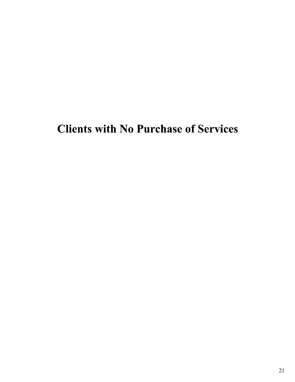## Clients with No Purchase of Services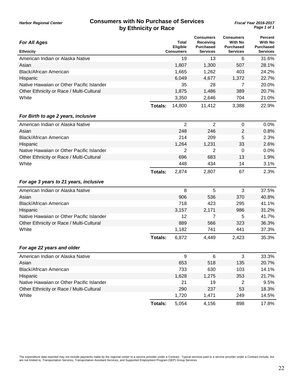## **Consumers with No Purchase of Services** *Fiscal Year 2016-2017* **by Ethnicity or Race**

| <b>For All Ages</b>                       |                | Total<br>Eligible | <b>Consumers</b><br>Receivina<br><b>Purchased</b> | <b>Consumers</b><br><b>With No</b><br><b>Purchased</b> | <b>Percent</b><br>With No<br><b>Purchased</b> |
|-------------------------------------------|----------------|-------------------|---------------------------------------------------|--------------------------------------------------------|-----------------------------------------------|
| <b>Ethnicity</b>                          |                | <b>Consumers</b>  | <b>Services</b>                                   | <b>Services</b>                                        | Services                                      |
| American Indian or Alaska Native          |                | 19                | 13                                                | 6                                                      | 31.6%                                         |
| Asian                                     |                | 1,807             | 1,300                                             | 507                                                    | 28.1%                                         |
| <b>Black/African American</b>             |                | 1,665             | 1,262                                             | 403                                                    | 24.2%                                         |
| Hispanic                                  |                | 6,049             | 4,677                                             | 1,372                                                  | 22.7%                                         |
| Native Hawaiian or Other Pacific Islander |                | 35                | 28                                                | 7                                                      | 20.0%                                         |
| Other Ethnicity or Race / Multi-Cultural  |                | 1,875             | 1,486                                             | 389                                                    | 20.7%                                         |
| White                                     |                | 3,350             | 2,646                                             | 704                                                    | 21.0%                                         |
|                                           | Totals:        | 14,800            | 11,412                                            | 3,388                                                  | 22.9%                                         |
| For Birth to age 2 years, inclusive       |                |                   |                                                   |                                                        |                                               |
| American Indian or Alaska Native          |                | $\overline{2}$    | $\overline{2}$                                    | $\mathbf 0$                                            | 0.0%                                          |
| Asian                                     |                | 248               | 246                                               | $\overline{2}$                                         | 0.8%                                          |
| <b>Black/African American</b>             |                | 214               | 209                                               | 5                                                      | 2.3%                                          |
| Hispanic                                  |                | 1,264             | 1,231                                             | 33                                                     | 2.6%                                          |
| Native Hawaiian or Other Pacific Islander |                | 2                 | 2                                                 | 0                                                      | 0.0%                                          |
| Other Ethnicity or Race / Multi-Cultural  |                | 696               | 683                                               | 13                                                     | 1.9%                                          |
| White                                     |                | 448               | 434                                               | 14                                                     | 3.1%                                          |
|                                           | <b>Totals:</b> | 2,874             | 2,807                                             | 67                                                     | 2.3%                                          |
| For age 3 years to 21 years, inclusive    |                |                   |                                                   |                                                        |                                               |
| American Indian or Alaska Native          |                | 8                 | 5                                                 | 3                                                      | 37.5%                                         |
| Asian                                     |                | 906               | 536                                               | 370                                                    | 40.8%                                         |
| <b>Black/African American</b>             |                | 718               | 423                                               | 295                                                    | 41.1%                                         |
| Hispanic                                  |                | 3,157             | 2,171                                             | 986                                                    | 31.2%                                         |
| Native Hawaiian or Other Pacific Islander |                | 12                | 7                                                 | 5                                                      | 41.7%                                         |
| Other Ethnicity or Race / Multi-Cultural  |                | 889               | 566                                               | 323                                                    | 36.3%                                         |
| White                                     |                | 1,182             | 741                                               | 441                                                    | 37.3%                                         |
|                                           | Totals:        | 6,872             | 4,449                                             | 2,423                                                  | 35.3%                                         |
| For age 22 years and older                |                |                   |                                                   |                                                        |                                               |
| American Indian or Alaska Native          |                | 9                 | 6                                                 | 3                                                      | 33.3%                                         |
| Asian                                     |                | 653               | 518                                               | 135                                                    | 20.7%                                         |
| <b>Black/African American</b>             |                | 733               | 630                                               | 103                                                    | 14.1%                                         |
| Hispanic                                  |                | 1,628             | 1,275                                             | 353                                                    | 21.7%                                         |
| Native Hawaiian or Other Pacific Islander |                | 21                | 19                                                | $\overline{2}$                                         | 9.5%                                          |
| Other Ethnicity or Race / Multi-Cultural  |                | 290               | 237                                               | 53                                                     | 18.3%                                         |
| White                                     |                | 1,720             | 1,471                                             | 249                                                    | 14.5%                                         |
|                                           | <b>Totals:</b> | 5,054             | 4,156                                             | 898                                                    | 17.8%                                         |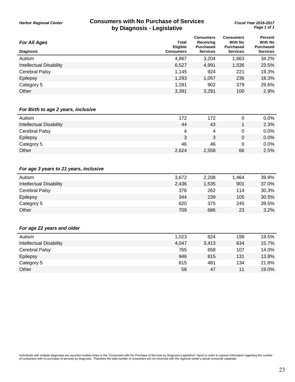## **Consumers with No Purchase of Services** *Fiscal Year 2016-2017* **by Diagnosis - Legislative**

| <b>For All Ages</b>            | Total<br><b>Eligible</b> | <b>Consumers</b><br>Receiving<br><b>Purchased</b> | <b>Consumers</b><br><b>With No</b><br><b>Purchased</b> | Percent<br><b>With No</b><br><b>Purchased</b> |
|--------------------------------|--------------------------|---------------------------------------------------|--------------------------------------------------------|-----------------------------------------------|
| <b>Diagnosis</b>               | <b>Consumers</b>         | <b>Services</b>                                   | <b>Services</b>                                        | <b>Services</b>                               |
| Autism                         | 4,867                    | 3.204                                             | 1,663                                                  | 34.2%                                         |
| <b>Intellectual Disability</b> | 6,527                    | 4,991                                             | 1,536                                                  | 23.5%                                         |
| Cerebral Palsy                 | 1,145                    | 924                                               | 221                                                    | 19.3%                                         |
| Epilepsy                       | 1,293                    | 1,057                                             | 236                                                    | 18.3%                                         |
| Category 5                     | 1,281                    | 902                                               | 379                                                    | 29.6%                                         |
| Other                          | 3,391                    | 3.291                                             | 100                                                    | 2.9%                                          |

#### *For Birth to age 2 years, inclusive*

| Autism                         | 172   | 172   |    | $0.0\%$ |
|--------------------------------|-------|-------|----|---------|
| <b>Intellectual Disability</b> | 44    | 43    |    | 2.3%    |
| <b>Cerebral Palsy</b>          | 4     | Δ     | 0  | 0.0%    |
| Epilepsy                       | 3     |       | 0  | 0.0%    |
| Category 5                     | 46    | 46    | 0  | 0.0%    |
| Other                          | 2,624 | 2,558 | 66 | 2.5%    |
|                                |       |       |    |         |

#### *For age 3 years to 21 years, inclusive*

| Autism                         | 3,672 | 2,208 | 1,464 | 39.9% |
|--------------------------------|-------|-------|-------|-------|
| <b>Intellectual Disability</b> | 2.436 | 1,535 | 901   | 37.0% |
| <b>Cerebral Palsy</b>          | 376   | 262   | 114   | 30.3% |
| Epilepsy                       | 344   | 239   | 105   | 30.5% |
| Category 5                     | 620   | 375   | 245   | 39.5% |
| Other                          | 709   | 686   | 23    | 3.2%  |
|                                |       |       |       |       |

#### *For age 22 years and older*

| Autism                         | 1,023 | 824   | 199 | 19.5% |
|--------------------------------|-------|-------|-----|-------|
| <b>Intellectual Disability</b> | 4,047 | 3,413 | 634 | 15.7% |
| <b>Cerebral Palsy</b>          | 765   | 658   | 107 | 14.0% |
| Epilepsy                       | 946   | 815   | 131 | 13.8% |
| Category 5                     | 615   | 481   | 134 | 21.8% |
| Other                          | 58    | 47    | 11  | 19.0% |
|                                |       |       |     |       |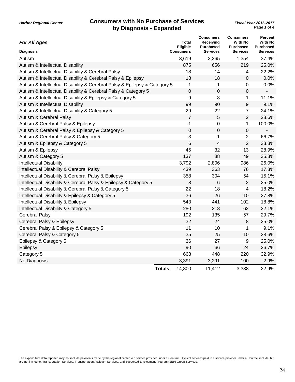| <b>For All Ages</b>                                                       |                | Total<br>Eligible | <b>Consumers</b><br>Receiving<br><b>Purchased</b> | <b>Consumers</b><br><b>With No</b><br><b>Purchased</b> | <b>Percent</b><br><b>With No</b><br><b>Purchased</b> |
|---------------------------------------------------------------------------|----------------|-------------------|---------------------------------------------------|--------------------------------------------------------|------------------------------------------------------|
| <b>Diagnosis</b>                                                          |                | <b>Consumers</b>  | <b>Services</b>                                   | <b>Services</b>                                        | <b>Services</b>                                      |
| Autism                                                                    |                | 3,619             | 2,265                                             | 1,354                                                  | 37.4%                                                |
| Autism & Intellectual Disability                                          |                | 875               | 656                                               | 219                                                    | 25.0%                                                |
| Autism & Intellectual Disability & Cerebral Palsy                         |                | 18                | 14                                                | $\overline{4}$                                         | 22.2%                                                |
| Autism & Intellectual Disability & Cerebral Palsy & Epilepsy              |                | 18                | 18                                                | 0                                                      | 0.0%                                                 |
| Autism & Intellectual Disability & Cerebral Palsy & Epilepsy & Category 5 |                | 1                 | 1                                                 | 0                                                      | 0.0%                                                 |
| Autism & Intellectual Disability & Cerebral Palsy & Category 5            |                | $\mathbf 0$       | 0                                                 | 0                                                      | $\overline{\phantom{a}}$                             |
| Autism & Intellectual Disability & Epilepsy & Category 5                  |                | 9                 | 8                                                 | 1                                                      | 11.1%                                                |
| Autism & Intellectual Disability                                          |                | 99                | 90                                                | 9                                                      | 9.1%                                                 |
| Autism & Intellectual Disability & Category 5                             |                | 29                | 22                                                | $\overline{7}$                                         | 24.1%                                                |
| Autism & Cerebral Palsy                                                   |                | $\overline{7}$    | 5                                                 | $\overline{2}$                                         | 28.6%                                                |
| Autism & Cerebral Palsy & Epilepsy                                        |                | 1                 | 0                                                 | 1                                                      | 100.0%                                               |
| Autism & Cerebral Palsy & Epilepsy & Category 5                           |                | $\boldsymbol{0}$  | 0                                                 | 0                                                      |                                                      |
| Autism & Cerebral Palsy & Category 5                                      |                | 3                 | 1                                                 | $\overline{2}$                                         | 66.7%                                                |
| Autism & Epilepsy & Category 5                                            |                | 6                 | 4                                                 | $\overline{2}$                                         | 33.3%                                                |
| Autism & Epilepsy                                                         |                | 45                | 32                                                | 13                                                     | 28.9%                                                |
| Autism & Category 5                                                       |                | 137               | 88                                                | 49                                                     | 35.8%                                                |
| <b>Intellectual Disability</b>                                            |                | 3,792             | 2,806                                             | 986                                                    | 26.0%                                                |
| Intellectual Disability & Cerebral Palsy                                  |                | 439               | 363                                               | 76                                                     | 17.3%                                                |
| Intellectual Disability & Cerebral Palsy & Epilepsy                       |                | 358               | 304                                               | 54                                                     | 15.1%                                                |
| Intellectual Disability & Cerebral Palsy & Epilepsy & Category 5          |                | 8                 | 6                                                 | $\overline{2}$                                         | 25.0%                                                |
| Intellectual Disability & Cerebral Palsy & Category 5                     |                | 22                | 18                                                | 4                                                      | 18.2%                                                |
| Intellectual Disability & Epilepsy & Category 5                           |                | 36                | 26                                                | 10                                                     | 27.8%                                                |
| Intellectual Disability & Epilepsy                                        |                | 543               | 441                                               | 102                                                    | 18.8%                                                |
| Intellectual Disability & Category 5                                      |                | 280               | 218                                               | 62                                                     | 22.1%                                                |
| <b>Cerebral Palsy</b>                                                     |                | 192               | 135                                               | 57                                                     | 29.7%                                                |
| Cerebral Palsy & Epilepsy                                                 |                | 32                | 24                                                | 8                                                      | 25.0%                                                |
| Cerebral Palsy & Epilepsy & Category 5                                    |                | 11                | 10                                                | 1                                                      | 9.1%                                                 |
| Cerebral Palsy & Category 5                                               |                | 35                | 25                                                | 10                                                     | 28.6%                                                |
| Epilepsy & Category 5                                                     |                | 36                | 27                                                | 9                                                      | 25.0%                                                |
| Epilepsy                                                                  |                | 90                | 66                                                | 24                                                     | 26.7%                                                |
| Category 5                                                                |                | 668               | 448                                               | 220                                                    | 32.9%                                                |
| No Diagnosis                                                              |                | 3,391             | 3,291                                             | 100                                                    | 2.9%                                                 |
|                                                                           | <b>Totals:</b> | 14,800            | 11,412                                            | 3,388                                                  | 22.9%                                                |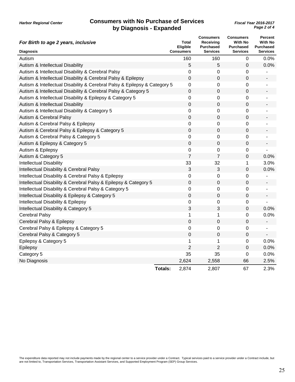| For Birth to age 2 years, inclusive                                       | Total<br><b>Eligible</b> | <b>Consumers</b><br>Receiving<br><b>Purchased</b> | <b>Consumers</b><br><b>With No</b><br><b>Purchased</b> | Percent<br><b>With No</b><br>Purchased |
|---------------------------------------------------------------------------|--------------------------|---------------------------------------------------|--------------------------------------------------------|----------------------------------------|
| <b>Diagnosis</b>                                                          | <b>Consumers</b>         | <b>Services</b>                                   | <b>Services</b>                                        | <b>Services</b>                        |
| Autism                                                                    | 160                      | 160                                               | 0                                                      | 0.0%                                   |
| Autism & Intellectual Disability                                          | 5                        | 5                                                 | $\mathbf 0$                                            | 0.0%                                   |
| Autism & Intellectual Disability & Cerebral Palsy                         | $\mathbf 0$              | 0                                                 | 0                                                      |                                        |
| Autism & Intellectual Disability & Cerebral Palsy & Epilepsy              | $\mathbf 0$              | $\mathbf 0$                                       | 0                                                      |                                        |
| Autism & Intellectual Disability & Cerebral Palsy & Epilepsy & Category 5 | $\mathbf 0$              | 0                                                 | 0                                                      |                                        |
| Autism & Intellectual Disability & Cerebral Palsy & Category 5            | $\mathbf 0$              | 0                                                 | 0                                                      |                                        |
| Autism & Intellectual Disability & Epilepsy & Category 5                  | 0                        | 0                                                 | 0                                                      |                                        |
| Autism & Intellectual Disability                                          | $\boldsymbol{0}$         | $\mathbf 0$                                       | 0                                                      |                                        |
| Autism & Intellectual Disability & Category 5                             | 0                        | 0                                                 | 0                                                      |                                        |
| Autism & Cerebral Palsy                                                   | $\boldsymbol{0}$         | $\mathbf 0$                                       | $\mathbf 0$                                            |                                        |
| Autism & Cerebral Palsy & Epilepsy                                        | $\mathbf 0$              | 0                                                 | 0                                                      |                                        |
| Autism & Cerebral Palsy & Epilepsy & Category 5                           | $\boldsymbol{0}$         | 0                                                 | $\mathbf 0$                                            |                                        |
| Autism & Cerebral Palsy & Category 5                                      | $\mathbf 0$              | 0                                                 | 0                                                      |                                        |
| Autism & Epilepsy & Category 5                                            | $\boldsymbol{0}$         | 0                                                 | 0                                                      |                                        |
| Autism & Epilepsy                                                         | $\mathbf 0$              | 0                                                 | 0                                                      |                                        |
| Autism & Category 5                                                       | $\overline{7}$           | $\overline{7}$                                    | 0                                                      | 0.0%                                   |
| <b>Intellectual Disability</b>                                            | 33                       | 32                                                | 1                                                      | 3.0%                                   |
| Intellectual Disability & Cerebral Palsy                                  | 3                        | 3                                                 | 0                                                      | 0.0%                                   |
| Intellectual Disability & Cerebral Palsy & Epilepsy                       | $\mathbf 0$              | 0                                                 | 0                                                      |                                        |
| Intellectual Disability & Cerebral Palsy & Epilepsy & Category 5          | $\mathbf 0$              | $\mathbf 0$                                       | $\mathbf 0$                                            | $\qquad \qquad \blacksquare$           |
| Intellectual Disability & Cerebral Palsy & Category 5                     | $\mathbf 0$              | 0                                                 | 0                                                      | $\blacksquare$                         |
| Intellectual Disability & Epilepsy & Category 5                           | $\mathbf 0$              | 0                                                 | 0                                                      | ÷                                      |
| Intellectual Disability & Epilepsy                                        | 0                        | 0                                                 | 0                                                      |                                        |
| Intellectual Disability & Category 5                                      | 3                        | 3                                                 | $\mathbf 0$                                            | 0.0%                                   |
| <b>Cerebral Palsy</b>                                                     | 1                        | 1                                                 | 0                                                      | 0.0%                                   |
| Cerebral Palsy & Epilepsy                                                 | $\mathbf 0$              | $\mathbf 0$                                       | 0                                                      | $\blacksquare$                         |
| Cerebral Palsy & Epilepsy & Category 5                                    | $\mathbf 0$              | 0                                                 | 0                                                      |                                        |
| Cerebral Palsy & Category 5                                               | $\boldsymbol{0}$         | $\mathbf 0$                                       | 0                                                      |                                        |
| Epilepsy & Category 5                                                     | 1                        | 1                                                 | $\mathbf 0$                                            | 0.0%                                   |
| Epilepsy                                                                  | $\overline{2}$           | $\overline{2}$                                    | 0                                                      | 0.0%                                   |
| Category 5                                                                | 35                       | 35                                                | $\boldsymbol{0}$                                       | 0.0%                                   |
| No Diagnosis                                                              | 2,624                    | 2,558                                             | 66                                                     | 2.5%                                   |
|                                                                           | 2,874<br>Totals:         | 2,807                                             | 67                                                     | 2.3%                                   |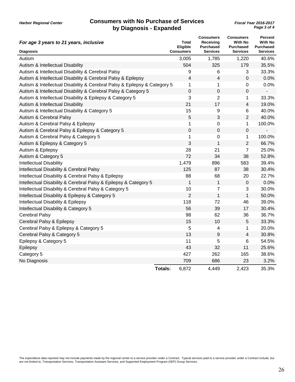| For age 3 years to 21 years, inclusive                                    | <b>Total</b><br>Eligible | <b>Consumers</b><br>Receiving<br><b>Purchased</b> | <b>Consumers</b><br><b>With No</b><br><b>Purchased</b> | Percent<br><b>With No</b><br><b>Purchased</b> |
|---------------------------------------------------------------------------|--------------------------|---------------------------------------------------|--------------------------------------------------------|-----------------------------------------------|
| <b>Diagnosis</b>                                                          | <b>Consumers</b>         | <b>Services</b>                                   | <b>Services</b>                                        | <b>Services</b>                               |
| Autism                                                                    | 3,005                    | 1,785                                             | 1,220                                                  | 40.6%                                         |
| Autism & Intellectual Disability                                          | 504                      | 325                                               | 179                                                    | 35.5%                                         |
| Autism & Intellectual Disability & Cerebral Palsy                         | 9                        | 6                                                 | 3                                                      | 33.3%                                         |
| Autism & Intellectual Disability & Cerebral Palsy & Epilepsy              | 4                        | 4                                                 | 0                                                      | 0.0%                                          |
| Autism & Intellectual Disability & Cerebral Palsy & Epilepsy & Category 5 | 1                        | 1                                                 | 0                                                      | 0.0%                                          |
| Autism & Intellectual Disability & Cerebral Palsy & Category 5            | 0                        | 0                                                 | 0                                                      | $\overline{\phantom{0}}$                      |
| Autism & Intellectual Disability & Epilepsy & Category 5                  | 3                        | $\overline{2}$                                    | 1                                                      | 33.3%                                         |
| Autism & Intellectual Disability                                          | 21                       | 17                                                | $\overline{4}$                                         | 19.0%                                         |
| Autism & Intellectual Disability & Category 5                             | 15                       | 9                                                 | 6                                                      | 40.0%                                         |
| Autism & Cerebral Palsy                                                   | 5                        | 3                                                 | $\overline{2}$                                         | 40.0%                                         |
| Autism & Cerebral Palsy & Epilepsy                                        | 1                        | 0                                                 | 1                                                      | 100.0%                                        |
| Autism & Cerebral Palsy & Epilepsy & Category 5                           | $\boldsymbol{0}$         | $\boldsymbol{0}$                                  | $\boldsymbol{0}$                                       | $\blacksquare$                                |
| Autism & Cerebral Palsy & Category 5                                      | 1                        | 0                                                 | $\mathbf 1$                                            | 100.0%                                        |
| Autism & Epilepsy & Category 5                                            | 3                        | 1                                                 | $\overline{2}$                                         | 66.7%                                         |
| Autism & Epilepsy                                                         | 28                       | 21                                                | $\overline{7}$                                         | 25.0%                                         |
| Autism & Category 5                                                       | 72                       | 34                                                | 38                                                     | 52.8%                                         |
| <b>Intellectual Disability</b>                                            | 1,479                    | 896                                               | 583                                                    | 39.4%                                         |
| Intellectual Disability & Cerebral Palsy                                  | 125                      | 87                                                | 38                                                     | 30.4%                                         |
| Intellectual Disability & Cerebral Palsy & Epilepsy                       | 88                       | 68                                                | 20                                                     | 22.7%                                         |
| Intellectual Disability & Cerebral Palsy & Epilepsy & Category 5          | 1                        | 1                                                 | $\pmb{0}$                                              | 0.0%                                          |
| Intellectual Disability & Cerebral Palsy & Category 5                     | 10                       | 7                                                 | 3                                                      | 30.0%                                         |
| Intellectual Disability & Epilepsy & Category 5                           | $\overline{2}$           | $\mathbf{1}$                                      | $\mathbf{1}$                                           | 50.0%                                         |
| Intellectual Disability & Epilepsy                                        | 118                      | 72                                                | 46                                                     | 39.0%                                         |
| Intellectual Disability & Category 5                                      | 56                       | 39                                                | 17                                                     | 30.4%                                         |
| <b>Cerebral Palsy</b>                                                     | 98                       | 62                                                | 36                                                     | 36.7%                                         |
| Cerebral Palsy & Epilepsy                                                 | 15                       | 10                                                | $\overline{5}$                                         | 33.3%                                         |
| Cerebral Palsy & Epilepsy & Category 5                                    | 5                        | 4                                                 | $\mathbf 1$                                            | 20.0%                                         |
| Cerebral Palsy & Category 5                                               | 13                       | 9                                                 | $\overline{\mathbf{4}}$                                | 30.8%                                         |
| Epilepsy & Category 5                                                     | 11                       | 5                                                 | 6                                                      | 54.5%                                         |
| Epilepsy                                                                  | 43                       | 32                                                | 11                                                     | 25.6%                                         |
| Category 5                                                                | 427                      | 262                                               | 165                                                    | 38.6%                                         |
| No Diagnosis                                                              | 709                      | 686                                               | 23                                                     | 3.2%                                          |
|                                                                           | 6,872<br><b>Totals:</b>  | 4,449                                             | 2,423                                                  | 35.3%                                         |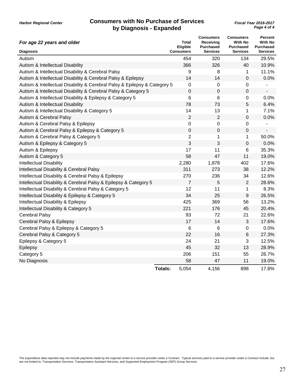| For age 22 years and older                                                | <b>Total</b><br><b>Eligible</b> | <b>Consumers</b><br>Receiving<br><b>Purchased</b> | <b>Consumers</b><br><b>With No</b><br><b>Purchased</b> | Percent<br><b>With No</b><br><b>Purchased</b> |
|---------------------------------------------------------------------------|---------------------------------|---------------------------------------------------|--------------------------------------------------------|-----------------------------------------------|
| <b>Diagnosis</b>                                                          | <b>Consumers</b>                | <b>Services</b>                                   | <b>Services</b>                                        | <b>Services</b>                               |
| Autism                                                                    | 454                             | 320                                               | 134                                                    | 29.5%                                         |
| Autism & Intellectual Disability                                          | 366                             | 326                                               | 40                                                     | 10.9%                                         |
| Autism & Intellectual Disability & Cerebral Palsy                         | 9                               | 8                                                 | 1                                                      | 11.1%                                         |
| Autism & Intellectual Disability & Cerebral Palsy & Epilepsy              | 14                              | 14                                                | 0                                                      | 0.0%                                          |
| Autism & Intellectual Disability & Cerebral Palsy & Epilepsy & Category 5 | $\mathbf 0$                     | 0                                                 | 0                                                      |                                               |
| Autism & Intellectual Disability & Cerebral Palsy & Category 5            | 0                               | $\mathbf 0$                                       | 0                                                      | $\qquad \qquad \blacksquare$                  |
| Autism & Intellectual Disability & Epilepsy & Category 5                  | 6                               | 6                                                 | 0                                                      | 0.0%                                          |
| Autism & Intellectual Disability                                          | 78                              | 73                                                | 5                                                      | 6.4%                                          |
| Autism & Intellectual Disability & Category 5                             | 14                              | 13                                                | 1                                                      | 7.1%                                          |
| Autism & Cerebral Palsy                                                   | $\overline{2}$                  | $\overline{2}$                                    | 0                                                      | 0.0%                                          |
| Autism & Cerebral Palsy & Epilepsy                                        | $\mathbf 0$                     | $\mathbf 0$                                       | 0                                                      |                                               |
| Autism & Cerebral Palsy & Epilepsy & Category 5                           | $\mathbf 0$                     | $\boldsymbol{0}$                                  | $\overline{0}$                                         | $\overline{\phantom{a}}$                      |
| Autism & Cerebral Palsy & Category 5                                      | $\mathbf 2$                     | 1                                                 | 1                                                      | 50.0%                                         |
| Autism & Epilepsy & Category 5                                            | 3                               | 3                                                 | $\mathbf 0$                                            | 0.0%                                          |
| Autism & Epilepsy                                                         | 17                              | 11                                                | 6                                                      | 35.3%                                         |
| Autism & Category 5                                                       | 58                              | 47                                                | 11                                                     | 19.0%                                         |
| <b>Intellectual Disability</b>                                            | 2,280                           | 1,878                                             | 402                                                    | 17.6%                                         |
| Intellectual Disability & Cerebral Palsy                                  | 311                             | 273                                               | 38                                                     | 12.2%                                         |
| Intellectual Disability & Cerebral Palsy & Epilepsy                       | 270                             | 236                                               | 34                                                     | 12.6%                                         |
| Intellectual Disability & Cerebral Palsy & Epilepsy & Category 5          | $\overline{7}$                  | 5                                                 | $\overline{2}$                                         | 28.6%                                         |
| Intellectual Disability & Cerebral Palsy & Category 5                     | 12                              | 11                                                | 1                                                      | 8.3%                                          |
| Intellectual Disability & Epilepsy & Category 5                           | 34                              | 25                                                | 9                                                      | 26.5%                                         |
| Intellectual Disability & Epilepsy                                        | 425                             | 369                                               | 56                                                     | 13.2%                                         |
| Intellectual Disability & Category 5                                      | 221                             | 176                                               | 45                                                     | 20.4%                                         |
| <b>Cerebral Palsy</b>                                                     | 93                              | 72                                                | 21                                                     | 22.6%                                         |
| Cerebral Palsy & Epilepsy                                                 | 17                              | 14                                                | 3                                                      | 17.6%                                         |
| Cerebral Palsy & Epilepsy & Category 5                                    | 6                               | 6                                                 | 0                                                      | 0.0%                                          |
| Cerebral Palsy & Category 5                                               | 22                              | 16                                                | 6                                                      | 27.3%                                         |
| Epilepsy & Category 5                                                     | 24                              | 21                                                | 3                                                      | 12.5%                                         |
| Epilepsy                                                                  | 45                              | 32                                                | 13                                                     | 28.9%                                         |
| Category 5                                                                | 206                             | 151                                               | 55                                                     | 26.7%                                         |
| No Diagnosis                                                              | 58                              | 47                                                | 11                                                     | 19.0%                                         |
|                                                                           | 5,054<br><b>Totals:</b>         | 4,156                                             | 898                                                    | 17.8%                                         |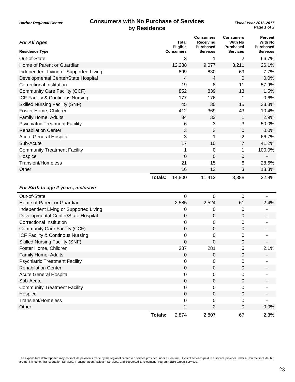|  | <b>Harbor Regional Center</b> |  |
|--|-------------------------------|--|
|--|-------------------------------|--|

| <b>For All Ages</b>                    | Eligible          | <b>Total</b> | <b>Consumers</b><br>Receiving<br><b>Purchased</b> | <b>Consumers</b><br><b>With No</b><br>Purchased | <b>Percent</b><br><b>With No</b><br><b>Purchased</b> |
|----------------------------------------|-------------------|--------------|---------------------------------------------------|-------------------------------------------------|------------------------------------------------------|
| <b>Residence Type</b>                  | <b>Consumers</b>  |              | <b>Services</b>                                   | <b>Services</b>                                 | <b>Services</b>                                      |
| Out-of-State                           |                   | 3            | 1                                                 | 2                                               | 66.7%                                                |
| Home of Parent or Guardian             | 12,288            |              | 9,077                                             | 3,211                                           | 26.1%                                                |
| Independent Living or Supported Living |                   | 899          | 830                                               | 69                                              | 7.7%                                                 |
| Developmental Center/State Hospital    |                   | 4            | 4                                                 | $\mathbf 0$                                     | 0.0%                                                 |
| <b>Correctional Institution</b>        |                   | 19           | 8                                                 | 11                                              | 57.9%                                                |
| Community Care Facility (CCF)          |                   | 852          | 839                                               | 13                                              | 1.5%                                                 |
| ICF Facility & Continous Nursing       |                   | 177          | 176                                               | 1                                               | 0.6%                                                 |
| <b>Skilled Nursing Facility (SNF)</b>  |                   | 45           | 30                                                | 15                                              | 33.3%                                                |
| Foster Home, Children                  |                   | 412          | 369                                               | 43                                              | 10.4%                                                |
| Family Home, Adults                    |                   | 34           | 33                                                | $\mathbf{1}$                                    | 2.9%                                                 |
| <b>Psychiatric Treatment Facility</b>  |                   | 6            | 3                                                 | 3                                               | 50.0%                                                |
| <b>Rehabilation Center</b>             |                   | 3            | 3                                                 | 0                                               | 0.0%                                                 |
| <b>Acute General Hospital</b>          |                   | 3            | 1                                                 | $\overline{2}$                                  | 66.7%                                                |
| Sub-Acute                              |                   | 17           | 10                                                | $\overline{7}$                                  | 41.2%                                                |
| <b>Community Treatment Facility</b>    |                   | 1            | 0                                                 | 1                                               | 100.0%                                               |
| Hospice                                |                   | 0            | 0                                                 | 0                                               |                                                      |
| Transient/Homeless                     |                   | 21           | 15                                                | 6                                               | 28.6%                                                |
| Other                                  |                   | 16           | 13                                                | 3                                               | 18.8%                                                |
|                                        | 14,800<br>Totals: |              | 11,412                                            | 3,388                                           | 22.9%                                                |
| For Birth to age 2 years, inclusive    |                   |              |                                                   |                                                 |                                                      |
| Out-of-State                           |                   | 0            | 0                                                 | $\mathbf 0$                                     |                                                      |
| Home of Parent or Guardian             |                   | 2,585        | 2,524                                             | 61                                              | 2.4%                                                 |
| Independent Living or Supported Living |                   | 0            | 0                                                 | 0                                               |                                                      |
| Developmental Center/State Hospital    |                   | 0            | 0                                                 | $\mathbf 0$                                     |                                                      |
| <b>Correctional Institution</b>        |                   | 0            | 0                                                 | 0                                               |                                                      |
| Community Care Facility (CCF)          |                   | 0            | 0                                                 | $\mathbf 0$                                     |                                                      |
| ICF Facility & Continous Nursing       |                   | 0            | 0                                                 | 0                                               |                                                      |
| <b>Skilled Nursing Facility (SNF)</b>  |                   | 0            | 0                                                 | $\mathbf 0$                                     |                                                      |
| Foster Home, Children                  |                   | 287          | 281                                               | 6                                               | 2.1%                                                 |
| Family Home, Adults                    |                   | 0            | 0                                                 | $\mathbf 0$                                     |                                                      |
| <b>Psychiatric Treatment Facility</b>  |                   | 0            | 0                                                 | 0                                               |                                                      |
| <b>Rehabilation Center</b>             |                   | 0            | $\pmb{0}$                                         | $\mathbf 0$                                     |                                                      |
| <b>Acute General Hospital</b>          |                   | 0            | 0                                                 | 0                                               |                                                      |
| Sub-Acute                              |                   | $\pmb{0}$    | 0                                                 | 0                                               |                                                      |
| <b>Community Treatment Facility</b>    |                   | 0            | 0                                                 | 0                                               |                                                      |
| Hospice                                |                   | 0            | $\pmb{0}$                                         | $\mathbf 0$                                     |                                                      |
| <b>Transient/Homeless</b>              |                   | 0            | 0                                                 | 0                                               |                                                      |
| Other                                  |                   | 2            | 2                                                 | 0                                               | 0.0%                                                 |
|                                        | <b>Totals:</b>    | 2,874        | 2,807                                             | 67                                              | 2.3%                                                 |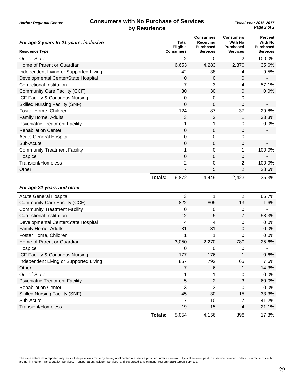| For age 3 years to 21 years, inclusive |                | Total<br>Eligible | <b>Consumers</b><br>Receiving<br><b>Purchased</b> | <b>Consumers</b><br><b>With No</b><br><b>Purchased</b> | <b>Percent</b><br>With No<br><b>Purchased</b> |
|----------------------------------------|----------------|-------------------|---------------------------------------------------|--------------------------------------------------------|-----------------------------------------------|
| <b>Residence Type</b>                  |                | <b>Consumers</b>  | Services                                          | <b>Services</b>                                        | Services                                      |
| Out-of-State                           |                | 2                 | 0                                                 | $\overline{2}$                                         | 100.0%                                        |
| Home of Parent or Guardian             |                | 6,653             | 4,283                                             | 2,370                                                  | 35.6%                                         |
| Independent Living or Supported Living |                | 42                | 38                                                | 4                                                      | 9.5%                                          |
| Developmental Center/State Hospital    |                | 0                 | 0                                                 | 0                                                      |                                               |
| <b>Correctional Institution</b>        |                | 7                 | 3                                                 | 4                                                      | 57.1%                                         |
| Community Care Facility (CCF)          |                | 30                | 30                                                | $\mathbf 0$                                            | 0.0%                                          |
| ICF Facility & Continous Nursing       |                | 0                 | 0                                                 | 0                                                      |                                               |
| <b>Skilled Nursing Facility (SNF)</b>  |                | 0                 | 0                                                 | 0                                                      |                                               |
| Foster Home, Children                  |                | 124               | 87                                                | 37                                                     | 29.8%                                         |
| Family Home, Adults                    |                | 3                 | 2                                                 | $\mathbf 1$                                            | 33.3%                                         |
| <b>Psychiatric Treatment Facility</b>  |                | 1                 | 1                                                 | 0                                                      | 0.0%                                          |
| <b>Rehabilation Center</b>             |                | 0                 | 0                                                 | 0                                                      |                                               |
| <b>Acute General Hospital</b>          |                | 0                 | 0                                                 | 0                                                      | $\overline{\phantom{a}}$                      |
| Sub-Acute                              |                | 0                 | 0                                                 | 0                                                      |                                               |
| <b>Community Treatment Facility</b>    |                | 1                 | 0                                                 | 1                                                      | 100.0%                                        |
| Hospice                                |                | 0                 | 0                                                 | 0                                                      |                                               |
| Transient/Homeless                     |                | 2                 | 0                                                 | 2                                                      | 100.0%                                        |
| Other                                  |                | 7                 | 5                                                 | $\overline{2}$                                         | 28.6%                                         |
|                                        | <b>Totals:</b> | 6,872             | 4,449                                             | 2,423                                                  | 35.3%                                         |
|                                        |                |                   |                                                   |                                                        |                                               |
| For age 22 years and older             |                |                   |                                                   |                                                        |                                               |
| <b>Acute General Hospital</b>          |                | 3                 | 1                                                 | $\overline{2}$                                         | 66.7%                                         |
| Community Care Facility (CCF)          |                | 822               | 809                                               | 13                                                     | 1.6%                                          |
| <b>Community Treatment Facility</b>    |                | 0                 | 0                                                 | 0                                                      |                                               |
| <b>Correctional Institution</b>        |                | 12                | 5                                                 | $\overline{7}$                                         | 58.3%                                         |
| Developmental Center/State Hospital    |                | 4                 | 4                                                 | 0                                                      | 0.0%                                          |
| Family Home, Adults                    |                | 31                | 31                                                | 0                                                      | 0.0%                                          |
| Foster Home, Children                  |                | 1                 | 1                                                 | 0                                                      | 0.0%                                          |
| Home of Parent or Guardian             |                | 3,050             | 2,270                                             | 780                                                    | 25.6%                                         |
| Hospice                                |                | 0                 | 0                                                 | 0                                                      | $\overline{\phantom{a}}$                      |
| ICF Facility & Continous Nursing       |                | 177               | 176                                               | $\mathbf 1$                                            | 0.6%                                          |
| Independent Living or Supported Living |                | 857               | 792                                               | 65                                                     | 7.6%                                          |
| Other                                  |                | 7                 | 6                                                 | 1                                                      | 14.3%                                         |
| Out-of-State                           |                | 1                 |                                                   | 0                                                      | 0.0%                                          |
| <b>Psychiatric Treatment Facility</b>  |                | $\overline{5}$    | $\overline{2}$                                    | 3                                                      | 60.0%                                         |
| <b>Rehabilation Center</b>             |                | 3                 | 3                                                 | $\pmb{0}$                                              | 0.0%                                          |
| <b>Skilled Nursing Facility (SNF)</b>  |                | 45                | 30                                                | 15                                                     | 33.3%                                         |
| Sub-Acute                              |                | 17                | 10                                                | 7                                                      | 41.2%                                         |
| <b>Transient/Homeless</b>              |                | 19                | 15                                                | 4                                                      | 21.1%                                         |
|                                        | <b>Totals:</b> | 5,054             | 4,156                                             | 898                                                    | 17.8%                                         |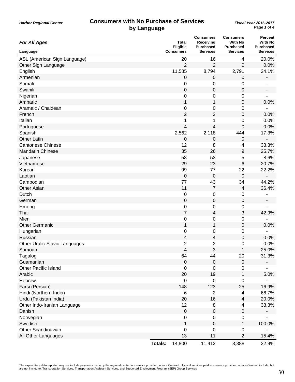| <b>For All Ages</b>           |         | <b>Total</b><br>Eligible | <b>Consumers</b><br>Receiving<br><b>Purchased</b> | <b>Consumers</b><br><b>With No</b><br><b>Purchased</b> | <b>Percent</b><br><b>With No</b><br><b>Purchased</b> |
|-------------------------------|---------|--------------------------|---------------------------------------------------|--------------------------------------------------------|------------------------------------------------------|
| Language                      |         | <b>Consumers</b>         | <b>Services</b>                                   | <b>Services</b>                                        | <b>Services</b>                                      |
| ASL (American Sign Language)  |         | 20                       | 16                                                | 4                                                      | 20.0%                                                |
| Other Sign Language           |         | $\overline{2}$           | 2                                                 | 0                                                      | 0.0%                                                 |
| English                       |         | 11,585                   | 8,794                                             | 2,791                                                  | 24.1%                                                |
| Armenian                      |         | 0                        | $\pmb{0}$                                         | 0                                                      |                                                      |
| Somali                        |         | 0                        | 0                                                 | 0                                                      |                                                      |
| Swahili                       |         | $\boldsymbol{0}$         | $\pmb{0}$                                         | $\mathbf 0$                                            |                                                      |
| Nigerian                      |         | 0                        | 0                                                 | 0                                                      |                                                      |
| Amharic                       |         | $\mathbf 1$              | 1                                                 | $\pmb{0}$                                              | 0.0%                                                 |
| Aramaic / Chaldean            |         | 0                        | 0                                                 | 0                                                      |                                                      |
| French                        |         | $\overline{2}$           | 2                                                 | 0                                                      | 0.0%                                                 |
| Italian                       |         | 1                        | 1                                                 | 0                                                      | 0.0%                                                 |
| Portuguese                    |         | $\overline{\mathbf{4}}$  | 4                                                 | 0                                                      | 0.0%                                                 |
| Spanish                       |         | 2,562                    | 2,118                                             | 444                                                    | 17.3%                                                |
| <b>Other Latin</b>            |         | $\mathbf 0$              | 0                                                 | $\mathbf 0$                                            |                                                      |
| <b>Cantonese Chinese</b>      |         | 12                       | 8                                                 | 4                                                      | 33.3%                                                |
| <b>Mandarin Chinese</b>       |         | 35                       | 26                                                | 9                                                      | 25.7%                                                |
| Japanese                      |         | 58                       | 53                                                | 5                                                      | 8.6%                                                 |
| Vietnamese                    |         | 29                       | 23                                                | 6                                                      | 20.7%                                                |
| Korean                        |         | 99                       | 77                                                | 22                                                     | 22.2%                                                |
| Laotian                       |         | $\mathbf 0$              | $\mathbf 0$                                       | $\mathbf 0$                                            |                                                      |
| Cambodian                     |         | 77                       | 43                                                | 34                                                     | 44.2%                                                |
| <b>Other Asian</b>            |         | 11                       | $\overline{7}$                                    | $\overline{\mathcal{A}}$                               | 36.4%                                                |
| Dutch                         |         | 0                        | 0                                                 | 0                                                      |                                                      |
| German                        |         | $\mathbf 0$              | $\pmb{0}$                                         | $\pmb{0}$                                              |                                                      |
| Hmong                         |         | $\mathbf 0$              | $\pmb{0}$                                         | 0                                                      |                                                      |
| Thai                          |         | $\overline{7}$           | 4                                                 | 3                                                      | 42.9%                                                |
| Mien                          |         | 0                        | 0                                                 | 0                                                      |                                                      |
| <b>Other Germanic</b>         |         | $\mathbf 1$              | 1                                                 | $\mathbf 0$                                            | 0.0%                                                 |
| Hungarian                     |         | 0                        | 0                                                 | 0                                                      |                                                      |
| Russian                       |         | 4                        | 4                                                 | $\mathbf 0$                                            | 0.0%                                                 |
| Other Uralic-Slavic Languages |         | $\overline{c}$           | 2                                                 | 0                                                      | 0.0%                                                 |
| Samoan                        |         | 4                        | 3                                                 | 1                                                      | 25.0%                                                |
| Tagalog                       |         | 64                       | 44                                                | 20                                                     | 31.3%                                                |
| Guamanian                     |         | $\mathbf 0$              | $\mathbf 0$                                       | $\pmb{0}$                                              |                                                      |
| <b>Other Pacific Island</b>   |         | $\mathbf 0$              | $\mathbf 0$                                       | 0                                                      |                                                      |
| Arabic                        |         | 20                       | 19                                                | $\mathbf 1$                                            | 5.0%                                                 |
| Hebrew                        |         | $\mathbf 0$              | $\mathbf 0$                                       | 0                                                      |                                                      |
| Farsi (Persian)               |         | 148                      | 123                                               | 25                                                     | 16.9%                                                |
| Hindi (Northern India)        |         | 6                        | $\overline{c}$                                    | $\overline{\mathbf{4}}$                                | 66.7%                                                |
| Urdu (Pakistan India)         |         | 20                       | 16                                                | 4                                                      | 20.0%                                                |
| Other Indo-Iranian Language   |         | 12                       | 8                                                 | 4                                                      | 33.3%                                                |
| Danish                        |         | $\mathbf 0$              | $\pmb{0}$                                         | $\pmb{0}$                                              |                                                      |
| Norwegian                     |         | $\mathbf 0$              | 0                                                 | 0                                                      |                                                      |
| Swedish                       |         | $\mathbf{1}$             | $\pmb{0}$                                         | $\mathbf 1$                                            | 100.0%                                               |
| Other Scandinavian            |         | 0                        | 0                                                 | 0                                                      |                                                      |
| All Other Languages           |         | 13                       | 11                                                | $\overline{2}$                                         | 15.4%                                                |
|                               | Totals: | 14,800                   | 11,412                                            | 3,388                                                  | 22.9%                                                |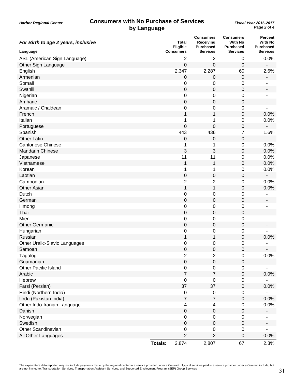| For Birth to age 2 years, inclusive |                  | <b>Total</b><br>Eligible | <b>Consumers</b><br>Receiving<br><b>Purchased</b> | <b>Consumers</b><br>With No<br><b>Purchased</b> | <b>Percent</b><br><b>With No</b><br><b>Purchased</b> |
|-------------------------------------|------------------|--------------------------|---------------------------------------------------|-------------------------------------------------|------------------------------------------------------|
| Language                            | <b>Consumers</b> |                          | <b>Services</b>                                   | <b>Services</b>                                 | <b>Services</b>                                      |
| ASL (American Sign Language)        |                  | 2                        | 2                                                 | $\boldsymbol{0}$                                | 0.0%                                                 |
| Other Sign Language                 |                  | 0                        | 0                                                 | $\mathbf 0$                                     |                                                      |
| English                             |                  | 2,347                    | 2,287                                             | 60                                              | 2.6%                                                 |
| Armenian                            |                  | 0                        | $\pmb{0}$                                         | $\mathbf 0$                                     | $\overline{\phantom{a}}$                             |
| Somali                              |                  | 0                        | 0                                                 | 0                                               |                                                      |
| Swahili                             |                  | $\mathbf 0$              | 0                                                 | $\boldsymbol{0}$                                |                                                      |
| Nigerian                            |                  | 0                        | 0                                                 | $\pmb{0}$                                       |                                                      |
| Amharic                             |                  | 0                        | $\pmb{0}$                                         | $\boldsymbol{0}$                                |                                                      |
| Aramaic / Chaldean                  |                  | 0                        | 0                                                 | $\boldsymbol{0}$                                |                                                      |
| French                              |                  | 1                        | 1                                                 | $\mathbf 0$                                     | 0.0%                                                 |
| Italian                             |                  | 1                        | 1                                                 | $\boldsymbol{0}$                                | 0.0%                                                 |
| Portuguese                          |                  | 0                        | 0                                                 | $\boldsymbol{0}$                                |                                                      |
| Spanish                             |                  | 443                      | 436                                               | $\overline{7}$                                  | 1.6%                                                 |
| <b>Other Latin</b>                  |                  | 0                        | 0                                                 | $\mathbf 0$                                     |                                                      |
| <b>Cantonese Chinese</b>            |                  | 1                        | 1                                                 | $\mathbf 0$                                     | 0.0%                                                 |
| <b>Mandarin Chinese</b>             |                  | 3                        | 3                                                 | $\boldsymbol{0}$                                | 0.0%                                                 |
| Japanese                            |                  | 11                       | 11                                                | 0                                               | 0.0%                                                 |
| Vietnamese                          |                  | 1                        | 1                                                 | $\boldsymbol{0}$                                | 0.0%                                                 |
| Korean                              |                  | 1                        | 1                                                 | 0                                               | 0.0%                                                 |
| Laotian                             |                  | 0                        | $\pmb{0}$                                         | $\boldsymbol{0}$                                | $\overline{\phantom{a}}$                             |
| Cambodian                           |                  | $\overline{c}$           | 2                                                 | 0                                               | 0.0%                                                 |
| <b>Other Asian</b>                  |                  | $\mathbf 1$              | 1                                                 | $\boldsymbol{0}$                                | 0.0%                                                 |
| Dutch                               |                  | 0                        | 0                                                 | $\mathbf 0$                                     |                                                      |
| German                              |                  | 0                        | $\boldsymbol{0}$                                  | $\boldsymbol{0}$                                |                                                      |
| Hmong                               |                  | 0                        | 0                                                 | $\boldsymbol{0}$                                |                                                      |
| Thai                                |                  | 0                        | 0                                                 | $\mathbf 0$                                     |                                                      |
| Mien                                |                  | 0                        | 0                                                 | $\boldsymbol{0}$                                |                                                      |
| <b>Other Germanic</b>               |                  | 0                        | $\pmb{0}$                                         | $\boldsymbol{0}$                                |                                                      |
| Hungarian                           |                  | 0                        | 0                                                 | 0                                               |                                                      |
| Russian                             |                  | 1                        | 1                                                 | $\boldsymbol{0}$                                | 0.0%                                                 |
| Other Uralic-Slavic Languages       |                  | 0                        | 0                                                 | 0                                               |                                                      |
| Samoan                              |                  | 0                        | 0                                                 | 0                                               | $\overline{\phantom{0}}$                             |
| Tagalog                             |                  | 2                        | $\mathbf{2}$                                      | $\mathbf 0$                                     | 0.0%                                                 |
| Guamanian                           |                  | 0                        | $\pmb{0}$                                         | $\mathbf 0$                                     |                                                      |
| <b>Other Pacific Island</b>         |                  | $\boldsymbol{0}$         | $\pmb{0}$                                         | $\mathbf 0$                                     |                                                      |
| Arabic                              |                  | $\overline{7}$           | $\overline{7}$                                    | $\pmb{0}$                                       | 0.0%                                                 |
| Hebrew                              |                  | 0                        | 0                                                 | $\boldsymbol{0}$                                |                                                      |
| Farsi (Persian)                     |                  | 37                       | 37                                                | $\boldsymbol{0}$                                | 0.0%                                                 |
| Hindi (Northern India)              |                  | $\pmb{0}$                | $\pmb{0}$                                         | $\pmb{0}$                                       |                                                      |
| Urdu (Pakistan India)               |                  | $\overline{7}$           | $\overline{7}$                                    | $\pmb{0}$                                       | 0.0%                                                 |
| Other Indo-Iranian Language         |                  | 4                        | 4                                                 | $\boldsymbol{0}$                                | 0.0%                                                 |
| Danish                              |                  | 0                        | $\pmb{0}$                                         | 0                                               |                                                      |
| Norwegian                           |                  | $\pmb{0}$                | $\pmb{0}$                                         | $\boldsymbol{0}$                                |                                                      |
| Swedish                             |                  | $\pmb{0}$                | $\pmb{0}$                                         | $\pmb{0}$                                       |                                                      |
| <b>Other Scandinavian</b>           |                  | 0                        | 0                                                 | $\boldsymbol{0}$                                |                                                      |
| All Other Languages                 |                  | $\overline{2}$           | 2                                                 | $\pmb{0}$                                       | 0.0%                                                 |
|                                     | <b>Totals:</b>   | 2,874                    | 2,807                                             | 67                                              | 2.3%                                                 |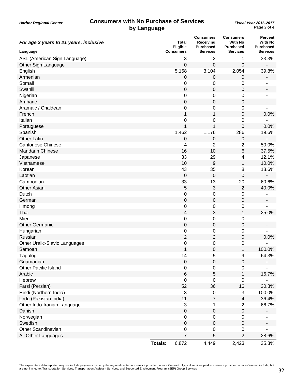| For age 3 years to 21 years, inclusive | Eligible                | <b>Total</b>     | <b>Consumers</b><br>Receiving<br><b>Purchased</b> | <b>Consumers</b><br><b>With No</b><br><b>Purchased</b> | <b>Percent</b><br><b>With No</b><br><b>Purchased</b> |
|----------------------------------------|-------------------------|------------------|---------------------------------------------------|--------------------------------------------------------|------------------------------------------------------|
| Language                               | <b>Consumers</b>        |                  | <b>Services</b>                                   | <b>Services</b>                                        | <b>Services</b>                                      |
| ASL (American Sign Language)           |                         | 3                | $\overline{2}$                                    | 1                                                      | 33.3%                                                |
| Other Sign Language                    |                         | 0                | 0                                                 | $\mathbf 0$                                            |                                                      |
| English                                | 5,158                   |                  | 3,104                                             | 2,054                                                  | 39.8%                                                |
| Armenian                               |                         | 0                | $\pmb{0}$                                         | $\pmb{0}$                                              | $\blacksquare$                                       |
| Somali                                 |                         | 0                | 0                                                 | 0                                                      |                                                      |
| Swahili                                |                         | $\mathbf 0$      | 0                                                 | $\mathbf 0$                                            |                                                      |
| Nigerian                               |                         | 0                | 0                                                 | 0                                                      |                                                      |
| Amharic                                |                         | $\pmb{0}$        | 0                                                 | $\mathbf 0$                                            |                                                      |
| Aramaic / Chaldean                     |                         | 0                | 0                                                 | $\mathbf 0$                                            |                                                      |
| French                                 |                         | 1                | 1                                                 | 0                                                      | 0.0%                                                 |
| Italian                                |                         | 0                | 0                                                 | $\mathbf 0$                                            |                                                      |
| Portuguese                             |                         | 1                | 1                                                 | $\mathbf 0$                                            | 0.0%                                                 |
| Spanish                                | 1,462                   |                  | 1,176                                             | 286                                                    | 19.6%                                                |
| <b>Other Latin</b>                     |                         | 0                | 0                                                 | $\mathbf 0$                                            |                                                      |
| <b>Cantonese Chinese</b>               |                         | 4                | $\overline{2}$                                    | $\overline{2}$                                         | 50.0%                                                |
| <b>Mandarin Chinese</b>                |                         | 16               | 10                                                | 6                                                      | 37.5%                                                |
| Japanese                               |                         | 33               | 29                                                | 4                                                      | 12.1%                                                |
| Vietnamese                             |                         | 10               | 9                                                 | 1                                                      | 10.0%                                                |
| Korean                                 |                         | 43               | 35                                                | 8                                                      | 18.6%                                                |
| Laotian                                |                         | $\mathbf 0$      | 0                                                 | $\mathbf 0$                                            |                                                      |
| Cambodian                              |                         | 33               | 13                                                | 20                                                     | 60.6%                                                |
| <b>Other Asian</b>                     |                         | 5                | 3                                                 | $\overline{c}$                                         | 40.0%                                                |
| Dutch                                  |                         | 0                | 0                                                 | 0                                                      |                                                      |
| German                                 |                         | $\pmb{0}$        | $\pmb{0}$                                         | $\boldsymbol{0}$                                       |                                                      |
| Hmong                                  |                         | 0                | 0                                                 | 0                                                      |                                                      |
| Thai                                   |                         | 4                | 3                                                 | 1                                                      | 25.0%                                                |
| Mien                                   |                         | 0                | 0                                                 | $\mathbf 0$                                            |                                                      |
| <b>Other Germanic</b>                  |                         | $\mathbf 0$      | $\pmb{0}$                                         | $\mathbf 0$                                            |                                                      |
| Hungarian                              |                         | 0                | 0                                                 | 0                                                      |                                                      |
| Russian                                |                         | $\overline{2}$   | $\overline{2}$                                    | $\mathbf 0$                                            | 0.0%                                                 |
| Other Uralic-Slavic Languages          |                         | 0                | 0                                                 | 0                                                      |                                                      |
| Samoan                                 |                         | 1                | 0                                                 | 1                                                      | 100.0%                                               |
| Tagalog                                |                         | 14               | 5                                                 | 9                                                      | 64.3%                                                |
| Guamanian                              |                         | $\Omega$         | 0                                                 | 0                                                      |                                                      |
| <b>Other Pacific Island</b>            |                         | 0                | 0                                                 | 0                                                      |                                                      |
| Arabic                                 |                         | 6                | 5                                                 | $\mathbf{1}$                                           | 16.7%                                                |
| Hebrew                                 |                         | 0                | 0                                                 | 0                                                      |                                                      |
| Farsi (Persian)                        |                         | 52               | 36                                                | 16                                                     | 30.8%                                                |
| Hindi (Northern India)                 |                         | 3                | 0                                                 | 3                                                      | 100.0%                                               |
| Urdu (Pakistan India)                  |                         | 11               | $\overline{7}$                                    | $\overline{\mathbf{4}}$                                | 36.4%                                                |
| Other Indo-Iranian Language            |                         | 3                | 1                                                 | $\overline{2}$                                         | 66.7%                                                |
| Danish                                 |                         | 0                | $\pmb{0}$                                         | 0                                                      |                                                      |
| Norwegian                              |                         | 0                | 0                                                 | $\mathbf 0$                                            |                                                      |
| Swedish                                |                         | $\boldsymbol{0}$ | $\pmb{0}$                                         | $\pmb{0}$                                              |                                                      |
| <b>Other Scandinavian</b>              |                         | 0                | 0                                                 | 0                                                      |                                                      |
| All Other Languages                    |                         | 7                | 5                                                 | $\overline{2}$                                         | 28.6%                                                |
|                                        | <b>Totals:</b><br>6,872 |                  | 4,449                                             | 2,423                                                  | 35.3%                                                |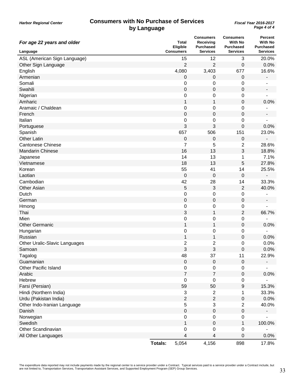| For age 22 years and older    | Total<br>Eligible       | <b>Consumers</b><br>Receiving<br><b>Purchased</b> | <b>Consumers</b><br><b>With No</b><br><b>Purchased</b> | <b>Percent</b><br><b>With No</b><br><b>Purchased</b> |
|-------------------------------|-------------------------|---------------------------------------------------|--------------------------------------------------------|------------------------------------------------------|
| Language                      | <b>Consumers</b>        | <b>Services</b>                                   | <b>Services</b>                                        | <b>Services</b>                                      |
| ASL (American Sign Language)  |                         | 15<br>12                                          | 3                                                      | 20.0%                                                |
| Other Sign Language           |                         | $\overline{2}$<br>2                               | $\mathbf 0$                                            | 0.0%                                                 |
| English                       | 4,080                   | 3,403                                             | 677                                                    | 16.6%                                                |
| Armenian                      |                         | $\mathbf 0$<br>$\pmb{0}$                          | $\pmb{0}$                                              | -                                                    |
| Somali                        |                         | 0<br>0                                            | 0                                                      |                                                      |
| Swahili                       |                         | $\pmb{0}$<br>0                                    | $\mathbf 0$                                            |                                                      |
| Nigerian                      |                         | 0<br>0                                            | 0                                                      |                                                      |
| Amharic                       |                         | $\mathbf 1$<br>$\mathbf{1}$                       | $\boldsymbol{0}$                                       | 0.0%                                                 |
| Aramaic / Chaldean            |                         | 0<br>0                                            | 0                                                      |                                                      |
| French                        |                         | 0<br>0                                            | 0                                                      |                                                      |
| Italian                       |                         | 0<br>0                                            | 0                                                      |                                                      |
| Portuguese                    |                         | 3<br>3                                            | 0                                                      | 0.0%                                                 |
| Spanish                       | 657                     | 506                                               | 151                                                    | 23.0%                                                |
| <b>Other Latin</b>            |                         | $\pmb{0}$<br>0                                    | 0                                                      |                                                      |
| <b>Cantonese Chinese</b>      |                         | 7<br>5                                            | $\overline{2}$                                         | 28.6%                                                |
| <b>Mandarin Chinese</b>       |                         | 16<br>13                                          | 3                                                      | 18.8%                                                |
| Japanese                      |                         | 14<br>13                                          | 1                                                      | 7.1%                                                 |
| Vietnamese                    |                         | 18<br>13                                          | 5                                                      | 27.8%                                                |
| Korean                        |                         | 55<br>41                                          | 14                                                     | 25.5%                                                |
| Laotian                       |                         | $\mathbf 0$<br>0                                  | $\mathbf 0$                                            | $\overline{a}$                                       |
| Cambodian                     |                         | 42<br>28                                          | 14                                                     | 33.3%                                                |
| <b>Other Asian</b>            |                         | 5<br>3                                            | $\overline{2}$                                         | 40.0%                                                |
| Dutch                         |                         | 0<br>0                                            | 0                                                      |                                                      |
| German                        |                         | $\pmb{0}$<br>$\boldsymbol{0}$                     | $\boldsymbol{0}$                                       |                                                      |
| Hmong                         |                         | 0<br>0                                            | 0                                                      |                                                      |
| Thai                          |                         | 3<br>1                                            | $\overline{2}$                                         | 66.7%                                                |
| Mien                          |                         | 0<br>0                                            | $\pmb{0}$                                              |                                                      |
| <b>Other Germanic</b>         |                         | 1<br>1                                            | $\boldsymbol{0}$                                       | 0.0%                                                 |
| Hungarian                     |                         | 0<br>0                                            | 0                                                      |                                                      |
| Russian                       |                         | 1<br>$\mathbf{1}$                                 | $\mathbf 0$                                            | 0.0%                                                 |
| Other Uralic-Slavic Languages |                         | $\overline{\mathbf{c}}$<br>2                      | 0                                                      | 0.0%                                                 |
| Samoan                        |                         | 3<br>3                                            | 0                                                      | 0.0%                                                 |
| Tagalog                       |                         | 48<br>37                                          | 11                                                     | 22.9%                                                |
| Guamanian                     |                         | $\mathbf 0$<br>0                                  | $\pmb{0}$                                              |                                                      |
| <b>Other Pacific Island</b>   |                         | $\pmb{0}$<br>0                                    | $\pmb{0}$                                              |                                                      |
| Arabic                        |                         | $\overline{7}$<br>$\overline{7}$                  | $\pmb{0}$                                              | 0.0%                                                 |
| Hebrew                        |                         | 0<br>0                                            | 0                                                      |                                                      |
| Farsi (Persian)               |                         | 59<br>50                                          | $\boldsymbol{9}$                                       | 15.3%                                                |
| Hindi (Northern India)        |                         | 3<br>2                                            | 1                                                      | 33.3%                                                |
| Urdu (Pakistan India)         |                         | $\overline{2}$<br>$\overline{2}$                  | $\pmb{0}$                                              | 0.0%                                                 |
| Other Indo-Iranian Language   |                         | 5<br>3                                            | $\mathbf 2$                                            | 40.0%                                                |
| Danish                        |                         | 0<br>$\pmb{0}$                                    | $\pmb{0}$                                              |                                                      |
| Norwegian                     |                         | $\mathbf 0$<br>0                                  | $\pmb{0}$                                              |                                                      |
| Swedish                       |                         | 1<br>$\pmb{0}$                                    | $\mathbf 1$                                            | 100.0%                                               |
| <b>Other Scandinavian</b>     |                         | 0<br>0                                            | 0                                                      |                                                      |
| All Other Languages           |                         | 4<br>4                                            | 0                                                      | 0.0%                                                 |
|                               | <b>Totals:</b><br>5,054 | 4,156                                             | 898                                                    | 17.8%                                                |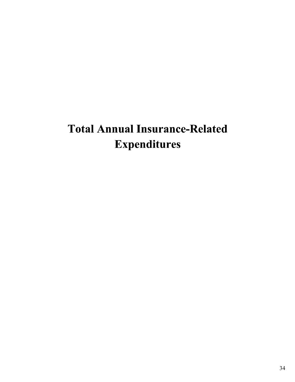## Total Annual Insurance-Related Expenditures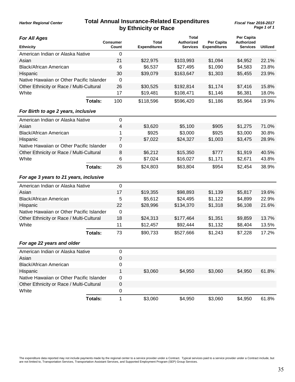## **Total Annual Insurance-Related Expenditures** *Fiscal Year 2016-2017* **by Ethnicity or Race**

*Harbor Regional Center*

| <b>For All Ages</b>                       |                | <b>Consumer</b> | <b>Total</b>        | <b>Total</b><br><b>Authorized</b> | <b>Per Capita</b>   | Per Capita<br><b>Authorized</b> |                 |
|-------------------------------------------|----------------|-----------------|---------------------|-----------------------------------|---------------------|---------------------------------|-----------------|
| <b>Ethnicity</b>                          |                | Count           | <b>Expenditures</b> | <b>Services</b>                   | <b>Expenditures</b> | <b>Services</b>                 | <b>Utilized</b> |
| American Indian or Alaska Native          |                | 0               |                     |                                   |                     |                                 |                 |
| Asian                                     |                | 21              | \$22,975            | \$103,993                         | \$1,094             | \$4,952                         | 22.1%           |
| <b>Black/African American</b>             |                | 6               | \$6,537             | \$27,495                          | \$1,090             | \$4,583                         | 23.8%           |
| Hispanic                                  |                | 30              | \$39,079            | \$163,647                         | \$1,303             | \$5,455                         | 23.9%           |
| Native Hawaiian or Other Pacific Islander |                | $\overline{0}$  |                     |                                   |                     |                                 |                 |
| Other Ethnicity or Race / Multi-Cultural  |                | 26              | \$30,525            | \$192,814                         | \$1,174             | \$7,416                         | 15.8%           |
| White                                     |                | 17              | \$19,481            | \$108,471                         | \$1,146             | \$6,381                         | 18.0%           |
|                                           | <b>Totals:</b> | 100             | \$118,596           | \$596,420                         | \$1,186             | \$5,964                         | 19.9%           |
| For Birth to age 2 years, inclusive       |                |                 |                     |                                   |                     |                                 |                 |
| American Indian or Alaska Native          |                | $\pmb{0}$       |                     |                                   |                     |                                 |                 |
| Asian                                     |                | 4               | \$3,620             | \$5,100                           | \$905               | \$1,275                         | 71.0%           |
| <b>Black/African American</b>             |                | 1               | \$925               | \$3,000                           | \$925               | \$3,000                         | 30.8%           |
| Hispanic                                  |                | 7               | \$7,022             | \$24,327                          | \$1,003             | \$3,475                         | 28.9%           |
| Native Hawaiian or Other Pacific Islander |                | 0               |                     |                                   |                     |                                 |                 |
| Other Ethnicity or Race / Multi-Cultural  |                | 8               | \$6,212             | \$15,350                          | \$777               | \$1,919                         | 40.5%           |
| White                                     |                | 6               | \$7,024             | \$16,027                          | \$1,171             | \$2,671                         | 43.8%           |
|                                           | Totals:        | 26              | \$24,803            | \$63,804                          | \$954               | \$2,454                         | 38.9%           |
| For age 3 years to 21 years, inclusive    |                |                 |                     |                                   |                     |                                 |                 |
| American Indian or Alaska Native          |                | 0               |                     |                                   |                     |                                 |                 |
| Asian                                     |                | 17              | \$19,355            | \$98,893                          | \$1,139             | \$5,817                         | 19.6%           |
| <b>Black/African American</b>             |                | 5               | \$5,612             | \$24,495                          | \$1,122             | \$4,899                         | 22.9%           |
| Hispanic                                  |                | 22              | \$28,996            | \$134,370                         | \$1,318             | \$6,108                         | 21.6%           |
| Native Hawaiian or Other Pacific Islander |                | $\mathbf 0$     |                     |                                   |                     |                                 |                 |
| Other Ethnicity or Race / Multi-Cultural  |                | 18              | \$24,313            | \$177,464                         | \$1,351             | \$9,859                         | 13.7%           |
| White                                     |                | 11              | \$12,457            | \$92,444                          | \$1,132             | \$8,404                         | 13.5%           |
|                                           | Totals:        | 73              | \$90,733            | \$527,666                         | \$1,243             | \$7,228                         | 17.2%           |
| For age 22 years and older                |                |                 |                     |                                   |                     |                                 |                 |
| American Indian or Alaska Native          |                | $\pmb{0}$       |                     |                                   |                     |                                 |                 |
| Asian                                     |                | $\pmb{0}$       |                     |                                   |                     |                                 |                 |
| <b>Black/African American</b>             |                | $\pmb{0}$       |                     |                                   |                     |                                 |                 |
| Hispanic                                  |                | 1               | \$3,060             | \$4,950                           | \$3,060             | \$4,950                         | 61.8%           |
| Native Hawaiian or Other Pacific Islander |                | 0               |                     |                                   |                     |                                 |                 |
| Other Ethnicity or Race / Multi-Cultural  |                | $\pmb{0}$       |                     |                                   |                     |                                 |                 |
| White                                     |                | $\pmb{0}$       |                     |                                   |                     |                                 |                 |
|                                           | <b>Totals:</b> | $\mathbf{1}$    | \$3,060             | \$4,950                           | \$3,060             | \$4,950                         | 61.8%           |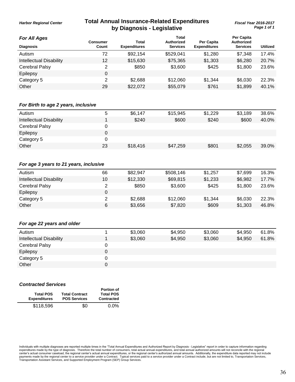### **Total Annual Insurance-Related Expenditures** *Fiscal Year 2016-2017* **by Diagnosis - Legislative**

**Per Capita**

#### *For All Ages*

*Harbor Regional Center*

| For All Ages            | Consumer | Total               | ι υιαι<br>Authorized | Per Capita          | rei Gabild<br><b>Authorized</b> |                 |
|-------------------------|----------|---------------------|----------------------|---------------------|---------------------------------|-----------------|
| <b>Diagnosis</b>        | Count    | <b>Expenditures</b> | <b>Services</b>      | <b>Expenditures</b> | <b>Services</b>                 | <b>Utilized</b> |
| Autism                  | 72       | \$92,154            | \$529,041            | \$1,280             | \$7,348                         | 17.4%           |
| Intellectual Disability | 12       | \$15,630            | \$75,365             | \$1,303             | \$6,280                         | 20.7%           |
| Cerebral Palsy          |          | \$850               | \$3,600              | \$425               | \$1,800                         | 23.6%           |
| Epilepsy                | 0        |                     |                      |                     |                                 |                 |
| Category 5              | 2        | \$2,688             | \$12,060             | \$1,344             | \$6,030                         | 22.3%           |
| Other                   | 29       | \$22,072            | \$55,079             | \$761               | \$1,899                         | 40.1%           |

**Total**

#### *For Birth to age 2 years, inclusive*

| Autism                         | 5  | \$6,147  | \$15,945 | \$1,229 | \$3,189 | 38.6% |
|--------------------------------|----|----------|----------|---------|---------|-------|
| <b>Intellectual Disability</b> |    | \$240    | \$600    | \$240   | \$600   | 40.0% |
| <b>Cerebral Palsy</b>          |    |          |          |         |         |       |
| Epilepsy                       |    |          |          |         |         |       |
| Category 5                     |    |          |          |         |         |       |
| Other                          | 23 | \$18,416 | \$47,259 | \$801   | \$2,055 | 39.0% |

#### *For age 3 years to 21 years, inclusive*

| Autism                  | 66 | \$82,947 | \$508,146 | \$1,257 | \$7,699 | 16.3% |
|-------------------------|----|----------|-----------|---------|---------|-------|
| Intellectual Disability | 10 | \$12,330 | \$69,815  | \$1,233 | \$6,982 | 17.7% |
| Cerebral Palsy          |    | \$850    | \$3,600   | \$425   | \$1,800 | 23.6% |
| Epilepsy                |    |          |           |         |         |       |
| Category 5              |    | \$2,688  | \$12,060  | \$1,344 | \$6,030 | 22.3% |
| Other                   | 6  | \$3,656  | \$7,820   | \$609   | \$1,303 | 46.8% |

#### *For age 22 years and older*

| Autism                         | \$3,060 | \$4,950 | \$3,060 | \$4,950 | 61.8% |
|--------------------------------|---------|---------|---------|---------|-------|
| <b>Intellectual Disability</b> | \$3,060 | \$4,950 | \$3,060 | \$4,950 | 61.8% |
| <b>Cerebral Palsy</b>          |         |         |         |         |       |
| Epilepsy                       |         |         |         |         |       |
| Category 5                     |         |         |         |         |       |
| Other                          |         |         |         |         |       |
|                                |         |         |         |         |       |

#### *Contracted Services*

| <b>Total POS</b><br><b>Expenditures</b> | <b>Total Contract</b><br><b>POS Services</b> | <b>Portion of</b><br><b>Total POS</b><br><b>Contracted</b> |
|-----------------------------------------|----------------------------------------------|------------------------------------------------------------|
| \$118,596                               | \$0                                          | $0.0\%$                                                    |

Individuals with multiple diagnoses are reported multiple times in the "Total Annual Expenditures and Authorized Report by Diagnosis - Legislative" report in order to capture information regarding<br>expenditures made by the center's actual consumer caseload, the regional center's actual annual expenditures, or the regional center's authorized annual amounts. Additionally, the expenditure data reported may not include<br>payments made by the regi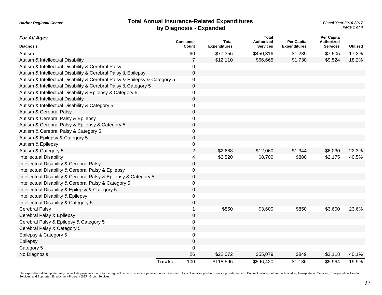#### **Total Annual Insurance-Related Expenditures** *Fiscal Year 2016-2017* **by Diagnosis - Expanded**

*Harbor Regional Center*

*Page 1 of 4*

| <b>For All Ages</b>                                                       | <b>Consumer</b> |                  | <b>Total</b>        | <b>Total</b><br><b>Authorized</b> | Per Capita          | Per Capita<br><b>Authorized</b> |                 |
|---------------------------------------------------------------------------|-----------------|------------------|---------------------|-----------------------------------|---------------------|---------------------------------|-----------------|
| <b>Diagnosis</b>                                                          |                 | Count            | <b>Expenditures</b> | <b>Services</b>                   | <b>Expenditures</b> | <b>Services</b>                 | <b>Utilized</b> |
| Autism                                                                    |                 | 60               | \$77,356            | \$450,316                         | \$1,289             | \$7,505                         | 17.2%           |
| Autism & Intellectual Disability                                          |                 | 7                | \$12,110            | \$66,665                          | \$1,730             | \$9,524                         | 18.2%           |
| Autism & Intellectual Disability & Cerebral Palsy                         |                 | 0                |                     |                                   |                     |                                 |                 |
| Autism & Intellectual Disability & Cerebral Palsy & Epilepsy              |                 | $\mathbf 0$      |                     |                                   |                     |                                 |                 |
| Autism & Intellectual Disability & Cerebral Palsy & Epilepsy & Category 5 |                 | 0                |                     |                                   |                     |                                 |                 |
| Autism & Intellectual Disability & Cerebral Palsy & Category 5            |                 | $\pmb{0}$        |                     |                                   |                     |                                 |                 |
| Autism & Intellectual Disability & Epilepsy & Category 5                  |                 | 0                |                     |                                   |                     |                                 |                 |
| Autism & Intellectual Disability                                          |                 | $\pmb{0}$        |                     |                                   |                     |                                 |                 |
| Autism & Intellectual Disability & Category 5                             |                 | $\boldsymbol{0}$ |                     |                                   |                     |                                 |                 |
| Autism & Cerebral Palsy                                                   |                 | 0                |                     |                                   |                     |                                 |                 |
| Autism & Cerebral Palsy & Epilepsy                                        |                 | 0                |                     |                                   |                     |                                 |                 |
| Autism & Cerebral Palsy & Epilepsy & Category 5                           |                 | 0                |                     |                                   |                     |                                 |                 |
| Autism & Cerebral Palsy & Category 5                                      |                 | $\boldsymbol{0}$ |                     |                                   |                     |                                 |                 |
| Autism & Epilepsy & Category 5                                            |                 | $\mathbf 0$      |                     |                                   |                     |                                 |                 |
| Autism & Epilepsy                                                         |                 | 0                |                     |                                   |                     |                                 |                 |
| Autism & Category 5                                                       |                 | $\overline{2}$   | \$2,688             | \$12,060                          | \$1,344             | \$6,030                         | 22.3%           |
| <b>Intellectual Disability</b>                                            |                 | 4                | \$3,520             | \$8,700                           | \$880               | \$2,175                         | 40.5%           |
| Intellectual Disability & Cerebral Palsy                                  |                 | $\mathbf 0$      |                     |                                   |                     |                                 |                 |
| Intellectual Disability & Cerebral Palsy & Epilepsy                       |                 | 0                |                     |                                   |                     |                                 |                 |
| Intellectual Disability & Cerebral Palsy & Epilepsy & Category 5          |                 | 0                |                     |                                   |                     |                                 |                 |
| Intellectual Disability & Cerebral Palsy & Category 5                     |                 | 0                |                     |                                   |                     |                                 |                 |
| Intellectual Disability & Epilepsy & Category 5                           |                 | $\boldsymbol{0}$ |                     |                                   |                     |                                 |                 |
| Intellectual Disability & Epilepsy                                        |                 | 0                |                     |                                   |                     |                                 |                 |
| Intellectual Disability & Category 5                                      |                 | 0                |                     |                                   |                     |                                 |                 |
| <b>Cerebral Palsy</b>                                                     |                 | 1                | \$850               | \$3,600                           | \$850               | \$3,600                         | 23.6%           |
| Cerebral Palsy & Epilepsy                                                 |                 | $\pmb{0}$        |                     |                                   |                     |                                 |                 |
| Cerebral Palsy & Epilepsy & Category 5                                    |                 | 0                |                     |                                   |                     |                                 |                 |
| Cerebral Palsy & Category 5                                               |                 | $\mathbf 0$      |                     |                                   |                     |                                 |                 |
| Epilepsy & Category 5                                                     |                 | 0                |                     |                                   |                     |                                 |                 |
| Epilepsy                                                                  |                 | $\mathbf 0$      |                     |                                   |                     |                                 |                 |
| Category 5                                                                |                 | 0                |                     |                                   |                     |                                 |                 |
| No Diagnosis                                                              |                 | 26               | \$22,072            | \$55,079                          | \$849               | \$2,118                         | 40.1%           |
|                                                                           | <b>Totals:</b>  | 100              | \$118,596           | \$596,420                         | \$1.186             | \$5.964                         | 19.9%           |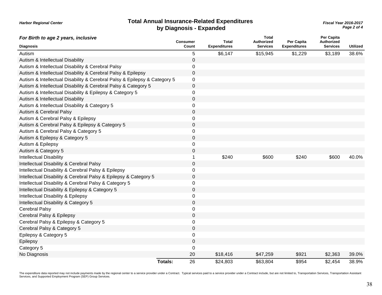| <b>Total Annual Insurance-Related Expenditures</b> |  |
|----------------------------------------------------|--|
| by Diagnosis - Expanded                            |  |

*Page 2 of 4* **Total Annual Insurance-Related Expenditures** *Fiscal Year 2016-2017*

| For Birth to age 2 years, inclusive                                       | <b>Consumer</b>      | <b>Total</b>        | <b>Total</b><br><b>Authorized</b> | Per Capita          | <b>Per Capita</b><br>Authorized |                 |
|---------------------------------------------------------------------------|----------------------|---------------------|-----------------------------------|---------------------|---------------------------------|-----------------|
| <b>Diagnosis</b>                                                          | Count                | <b>Expenditures</b> | <b>Services</b>                   | <b>Expenditures</b> | <b>Services</b>                 | <b>Utilized</b> |
| Autism                                                                    | 5                    | \$6,147             | \$15,945                          | \$1,229             | \$3,189                         | 38.6%           |
| Autism & Intellectual Disability                                          | 0                    |                     |                                   |                     |                                 |                 |
| Autism & Intellectual Disability & Cerebral Palsy                         | 0                    |                     |                                   |                     |                                 |                 |
| Autism & Intellectual Disability & Cerebral Palsy & Epilepsy              | $\mathbf{0}$         |                     |                                   |                     |                                 |                 |
| Autism & Intellectual Disability & Cerebral Palsy & Epilepsy & Category 5 | 0                    |                     |                                   |                     |                                 |                 |
| Autism & Intellectual Disability & Cerebral Palsy & Category 5            | 0                    |                     |                                   |                     |                                 |                 |
| Autism & Intellectual Disability & Epilepsy & Category 5                  | 0                    |                     |                                   |                     |                                 |                 |
| Autism & Intellectual Disability                                          | 0                    |                     |                                   |                     |                                 |                 |
| Autism & Intellectual Disability & Category 5                             | 0                    |                     |                                   |                     |                                 |                 |
| Autism & Cerebral Palsy                                                   | 0                    |                     |                                   |                     |                                 |                 |
| Autism & Cerebral Palsy & Epilepsy                                        | $\Omega$             |                     |                                   |                     |                                 |                 |
| Autism & Cerebral Palsy & Epilepsy & Category 5                           | 0                    |                     |                                   |                     |                                 |                 |
| Autism & Cerebral Palsy & Category 5                                      | 0                    |                     |                                   |                     |                                 |                 |
| Autism & Epilepsy & Category 5                                            | 0                    |                     |                                   |                     |                                 |                 |
| Autism & Epilepsy                                                         | 0                    |                     |                                   |                     |                                 |                 |
| Autism & Category 5                                                       | 0                    |                     |                                   |                     |                                 |                 |
| <b>Intellectual Disability</b>                                            |                      | \$240               | \$600                             | \$240               | \$600                           | 40.0%           |
| Intellectual Disability & Cerebral Palsy                                  | 0                    |                     |                                   |                     |                                 |                 |
| Intellectual Disability & Cerebral Palsy & Epilepsy                       | 0                    |                     |                                   |                     |                                 |                 |
| Intellectual Disability & Cerebral Palsy & Epilepsy & Category 5          | 0                    |                     |                                   |                     |                                 |                 |
| Intellectual Disability & Cerebral Palsy & Category 5                     | 0                    |                     |                                   |                     |                                 |                 |
| Intellectual Disability & Epilepsy & Category 5                           | 0                    |                     |                                   |                     |                                 |                 |
| Intellectual Disability & Epilepsy                                        | 0                    |                     |                                   |                     |                                 |                 |
| Intellectual Disability & Category 5                                      | $\mathbf{0}$         |                     |                                   |                     |                                 |                 |
| <b>Cerebral Palsy</b>                                                     | 0                    |                     |                                   |                     |                                 |                 |
| Cerebral Palsy & Epilepsy                                                 | 0                    |                     |                                   |                     |                                 |                 |
| Cerebral Palsy & Epilepsy & Category 5                                    | 0                    |                     |                                   |                     |                                 |                 |
| Cerebral Palsy & Category 5                                               | $\mathbf{0}$         |                     |                                   |                     |                                 |                 |
| Epilepsy & Category 5                                                     | 0                    |                     |                                   |                     |                                 |                 |
| Epilepsy                                                                  | 0                    |                     |                                   |                     |                                 |                 |
| Category 5                                                                | $\Omega$             |                     |                                   |                     |                                 |                 |
| No Diagnosis                                                              | 20                   | \$18,416            | \$47,259                          | \$921               | \$2,363                         | 39.0%           |
|                                                                           | 26<br><b>Totals:</b> | \$24.803            | \$63,804                          | \$954               | \$2.454                         | 38.9%           |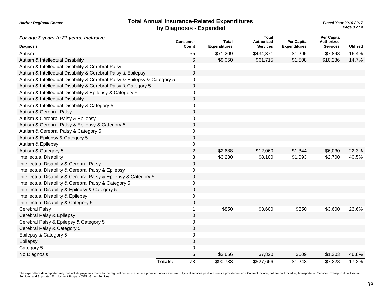#### **Total Annual Insurance-Related Expenditures** *Fiscal Year 2016-2017* **by Diagnosis - Expanded**

*Page 3 of 4*

| For age 3 years to 21 years, inclusive                                    | <b>Consumer</b>      | <b>Total</b>              | <b>Total</b><br><b>Authorized</b> | Per Capita          | Per Capita<br>Authorized |                 |
|---------------------------------------------------------------------------|----------------------|---------------------------|-----------------------------------|---------------------|--------------------------|-----------------|
| <b>Diagnosis</b>                                                          | Count                | <b>Expenditures</b>       | <b>Services</b>                   | <b>Expenditures</b> | <b>Services</b>          | <b>Utilized</b> |
| Autism                                                                    | 55                   | \$71,209                  | \$434,371                         | \$1,295             | \$7,898                  | 16.4%           |
| Autism & Intellectual Disability                                          |                      | \$9,050<br>6              | \$61,715                          | \$1,508             | \$10,286                 | 14.7%           |
| Autism & Intellectual Disability & Cerebral Palsy                         |                      | $\Omega$                  |                                   |                     |                          |                 |
| Autism & Intellectual Disability & Cerebral Palsy & Epilepsy              |                      | 0                         |                                   |                     |                          |                 |
| Autism & Intellectual Disability & Cerebral Palsy & Epilepsy & Category 5 |                      | 0                         |                                   |                     |                          |                 |
| Autism & Intellectual Disability & Cerebral Palsy & Category 5            |                      | 0                         |                                   |                     |                          |                 |
| Autism & Intellectual Disability & Epilepsy & Category 5                  |                      | 0                         |                                   |                     |                          |                 |
| Autism & Intellectual Disability                                          |                      | 0                         |                                   |                     |                          |                 |
| Autism & Intellectual Disability & Category 5                             |                      | 0                         |                                   |                     |                          |                 |
| Autism & Cerebral Palsy                                                   |                      | 0                         |                                   |                     |                          |                 |
| Autism & Cerebral Palsy & Epilepsy                                        |                      | 0                         |                                   |                     |                          |                 |
| Autism & Cerebral Palsy & Epilepsy & Category 5                           |                      | 0                         |                                   |                     |                          |                 |
| Autism & Cerebral Palsy & Category 5                                      |                      | 0                         |                                   |                     |                          |                 |
| Autism & Epilepsy & Category 5                                            |                      | $\mathbf 0$               |                                   |                     |                          |                 |
| Autism & Epilepsy                                                         |                      | 0                         |                                   |                     |                          |                 |
| Autism & Category 5                                                       |                      | $\overline{2}$<br>\$2,688 | \$12,060                          | \$1,344             | \$6,030                  | 22.3%           |
| <b>Intellectual Disability</b>                                            |                      | 3<br>\$3,280              | \$8,100                           | \$1,093             | \$2,700                  | 40.5%           |
| Intellectual Disability & Cerebral Palsy                                  |                      | 0                         |                                   |                     |                          |                 |
| Intellectual Disability & Cerebral Palsy & Epilepsy                       |                      | 0                         |                                   |                     |                          |                 |
| Intellectual Disability & Cerebral Palsy & Epilepsy & Category 5          |                      | 0                         |                                   |                     |                          |                 |
| Intellectual Disability & Cerebral Palsy & Category 5                     |                      | 0                         |                                   |                     |                          |                 |
| Intellectual Disability & Epilepsy & Category 5                           |                      | 0                         |                                   |                     |                          |                 |
| Intellectual Disability & Epilepsy                                        |                      | 0                         |                                   |                     |                          |                 |
| Intellectual Disability & Category 5                                      |                      | 0                         |                                   |                     |                          |                 |
| Cerebral Palsy                                                            |                      | \$850                     | \$3,600                           | \$850               | \$3,600                  | 23.6%           |
| Cerebral Palsy & Epilepsy                                                 |                      | 0                         |                                   |                     |                          |                 |
| Cerebral Palsy & Epilepsy & Category 5                                    |                      | 0                         |                                   |                     |                          |                 |
| Cerebral Palsy & Category 5                                               |                      | $\mathbf 0$               |                                   |                     |                          |                 |
| Epilepsy & Category 5                                                     |                      | 0                         |                                   |                     |                          |                 |
| Epilepsy                                                                  |                      | 0                         |                                   |                     |                          |                 |
| Category 5                                                                |                      | 0                         |                                   |                     |                          |                 |
| No Diagnosis                                                              |                      | 6<br>\$3,656              | \$7,820                           | \$609               | \$1,303                  | 46.8%           |
|                                                                           | 73<br><b>Totals:</b> | \$90,733                  | \$527,666                         | \$1,243             | \$7,228                  | 17.2%           |

The expenditure data reported may not include payments made by the regional center to a service provider under a Contract. Typical services paid to a service provider under a Contract include, but are not limited to, Trans Services, and Supported Employment Program (SEP) Group Services.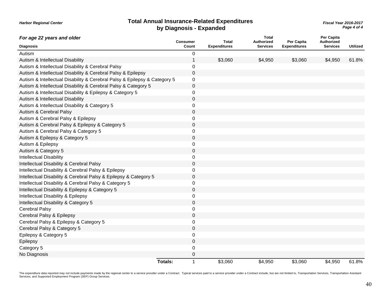#### **Total Annual Insurance-Related Expenditures** *Fiscal Year 2016-2017* **by Diagnosis - Expanded**

*Harbor Regional Center*

*Page 4 of 4*

| For age 22 years and older                                                | <b>Consumer</b>        | <b>Total</b>        | <b>Total</b><br>Authorized | Per Capita          | <b>Per Capita</b><br>Authorized |                 |
|---------------------------------------------------------------------------|------------------------|---------------------|----------------------------|---------------------|---------------------------------|-----------------|
| <b>Diagnosis</b>                                                          | Count                  | <b>Expenditures</b> | <b>Services</b>            | <b>Expenditures</b> | <b>Services</b>                 | <b>Utilized</b> |
| Autism                                                                    | 0                      |                     |                            |                     |                                 |                 |
| Autism & Intellectual Disability                                          |                        | \$3,060             | \$4,950                    | \$3,060             | \$4,950                         | 61.8%           |
| Autism & Intellectual Disability & Cerebral Palsy                         | 0                      |                     |                            |                     |                                 |                 |
| Autism & Intellectual Disability & Cerebral Palsy & Epilepsy              | 0                      |                     |                            |                     |                                 |                 |
| Autism & Intellectual Disability & Cerebral Palsy & Epilepsy & Category 5 | 0                      |                     |                            |                     |                                 |                 |
| Autism & Intellectual Disability & Cerebral Palsy & Category 5            | 0                      |                     |                            |                     |                                 |                 |
| Autism & Intellectual Disability & Epilepsy & Category 5                  | 0                      |                     |                            |                     |                                 |                 |
| Autism & Intellectual Disability                                          | 0                      |                     |                            |                     |                                 |                 |
| Autism & Intellectual Disability & Category 5                             | 0                      |                     |                            |                     |                                 |                 |
| Autism & Cerebral Palsy                                                   | 0                      |                     |                            |                     |                                 |                 |
| Autism & Cerebral Palsy & Epilepsy                                        | 0                      |                     |                            |                     |                                 |                 |
| Autism & Cerebral Palsy & Epilepsy & Category 5                           | 0                      |                     |                            |                     |                                 |                 |
| Autism & Cerebral Palsy & Category 5                                      | 0                      |                     |                            |                     |                                 |                 |
| Autism & Epilepsy & Category 5                                            | 0                      |                     |                            |                     |                                 |                 |
| Autism & Epilepsy                                                         | 0                      |                     |                            |                     |                                 |                 |
| Autism & Category 5                                                       | 0                      |                     |                            |                     |                                 |                 |
| <b>Intellectual Disability</b>                                            | 0                      |                     |                            |                     |                                 |                 |
| Intellectual Disability & Cerebral Palsy                                  | 0                      |                     |                            |                     |                                 |                 |
| Intellectual Disability & Cerebral Palsy & Epilepsy                       | 0                      |                     |                            |                     |                                 |                 |
| Intellectual Disability & Cerebral Palsy & Epilepsy & Category 5          | 0                      |                     |                            |                     |                                 |                 |
| Intellectual Disability & Cerebral Palsy & Category 5                     | 0                      |                     |                            |                     |                                 |                 |
| Intellectual Disability & Epilepsy & Category 5                           | 0                      |                     |                            |                     |                                 |                 |
| Intellectual Disability & Epilepsy                                        | 0                      |                     |                            |                     |                                 |                 |
| Intellectual Disability & Category 5                                      | 0                      |                     |                            |                     |                                 |                 |
| <b>Cerebral Palsy</b>                                                     | 0                      |                     |                            |                     |                                 |                 |
| Cerebral Palsy & Epilepsy                                                 | 0                      |                     |                            |                     |                                 |                 |
| Cerebral Palsy & Epilepsy & Category 5                                    | 0                      |                     |                            |                     |                                 |                 |
| Cerebral Palsy & Category 5                                               | 0                      |                     |                            |                     |                                 |                 |
| Epilepsy & Category 5                                                     | 0                      |                     |                            |                     |                                 |                 |
| Epilepsy                                                                  | 0                      |                     |                            |                     |                                 |                 |
| Category 5                                                                | 0                      |                     |                            |                     |                                 |                 |
| No Diagnosis                                                              | 0                      |                     |                            |                     |                                 |                 |
|                                                                           | Totals:<br>$\mathbf 1$ | \$3,060             | \$4,950                    | \$3,060             | \$4,950                         | 61.8%           |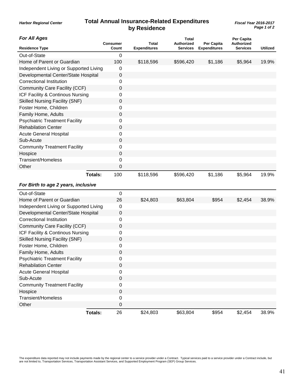## **Total Annual Insurance-Related Expenditures** *Fiscal Year 2016-2017* **by Residence**

#### *For All Ages*

| FOR AIL AGES                           |                | <b>Consumer</b>  | Total               | Total<br><b>Authorized</b> | Per Capita          | Per Capita<br><b>Authorized</b> |                 |
|----------------------------------------|----------------|------------------|---------------------|----------------------------|---------------------|---------------------------------|-----------------|
| <b>Residence Type</b>                  |                | Count            | <b>Expenditures</b> | <b>Services</b>            | <b>Expenditures</b> | <b>Services</b>                 | <b>Utilized</b> |
| Out-of-State                           |                | $\boldsymbol{0}$ |                     |                            |                     |                                 |                 |
| Home of Parent or Guardian             |                | 100              | \$118,596           | \$596,420                  | \$1,186             | \$5,964                         | 19.9%           |
| Independent Living or Supported Living |                | 0                |                     |                            |                     |                                 |                 |
| Developmental Center/State Hospital    |                | 0                |                     |                            |                     |                                 |                 |
| <b>Correctional Institution</b>        |                | 0                |                     |                            |                     |                                 |                 |
| Community Care Facility (CCF)          |                | 0                |                     |                            |                     |                                 |                 |
| ICF Facility & Continous Nursing       |                | 0                |                     |                            |                     |                                 |                 |
| <b>Skilled Nursing Facility (SNF)</b>  |                | 0                |                     |                            |                     |                                 |                 |
| Foster Home, Children                  |                | 0                |                     |                            |                     |                                 |                 |
| Family Home, Adults                    |                | 0                |                     |                            |                     |                                 |                 |
| <b>Psychiatric Treatment Facility</b>  |                | 0                |                     |                            |                     |                                 |                 |
| <b>Rehabilation Center</b>             |                | 0                |                     |                            |                     |                                 |                 |
| <b>Acute General Hospital</b>          |                | 0                |                     |                            |                     |                                 |                 |
| Sub-Acute                              |                | 0                |                     |                            |                     |                                 |                 |
| <b>Community Treatment Facility</b>    |                | 0                |                     |                            |                     |                                 |                 |
| Hospice                                |                | 0                |                     |                            |                     |                                 |                 |
| <b>Transient/Homeless</b>              |                | 0                |                     |                            |                     |                                 |                 |
| Other                                  |                | 0                |                     |                            |                     |                                 |                 |
|                                        | <b>Totals:</b> | 100              | \$118,596           | \$596,420                  | \$1,186             | \$5,964                         | 19.9%           |
| For Birth to age 2 years, inclusive    |                |                  |                     |                            |                     |                                 |                 |
| Out-of-State                           |                | 0                |                     |                            |                     |                                 |                 |
| Home of Parent or Guardian             |                | 26               | \$24,803            | \$63,804                   | \$954               | \$2,454                         | 38.9%           |
| Independent Living or Supported Living |                | 0                |                     |                            |                     |                                 |                 |
| Developmental Center/State Hospital    |                | 0                |                     |                            |                     |                                 |                 |
| <b>Correctional Institution</b>        |                | 0                |                     |                            |                     |                                 |                 |
| Community Care Facility (CCF)          |                | 0                |                     |                            |                     |                                 |                 |
| ICF Facility & Continous Nursing       |                | 0                |                     |                            |                     |                                 |                 |
| <b>Skilled Nursing Facility (SNF)</b>  |                | 0                |                     |                            |                     |                                 |                 |
| Foster Home, Children                  |                | 0                |                     |                            |                     |                                 |                 |
| Family Home, Adults                    |                | 0                |                     |                            |                     |                                 |                 |
| <b>Psychiatric Treatment Facility</b>  |                | 0                |                     |                            |                     |                                 |                 |
| <b>Rehabilation Center</b>             |                | $\mathsf 0$      |                     |                            |                     |                                 |                 |
| <b>Acute General Hospital</b>          |                | 0                |                     |                            |                     |                                 |                 |
| Sub-Acute                              |                | $\pmb{0}$        |                     |                            |                     |                                 |                 |
| <b>Community Treatment Facility</b>    |                | 0                |                     |                            |                     |                                 |                 |
| Hospice                                |                | $\mathsf 0$      |                     |                            |                     |                                 |                 |
| Transient/Homeless                     |                | 0                |                     |                            |                     |                                 |                 |
| Other                                  |                | 0                |                     |                            |                     |                                 |                 |
|                                        |                |                  |                     |                            |                     |                                 |                 |
|                                        | <b>Totals:</b> | 26               | \$24,803            | \$63,804                   | \$954               | \$2,454                         | 38.9%           |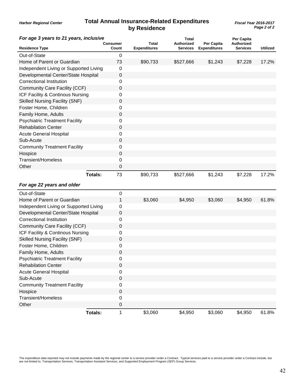## **Total Annual Insurance-Related Expenditures** *Fiscal Year 2016-2017* **by Residence**

*Page 2 of 2*

| For age 3 years to 21 years, inclusive |                |                   |                              | <b>Total</b>                         |                                   | Per Capita                    |          |
|----------------------------------------|----------------|-------------------|------------------------------|--------------------------------------|-----------------------------------|-------------------------------|----------|
| <b>Residence Type</b>                  |                | Consumer<br>Count | Total<br><b>Expenditures</b> | <b>Authorized</b><br><b>Services</b> | Per Capita<br><b>Expenditures</b> | <b>Authorized</b><br>Services | Utilized |
| Out-of-State                           |                | 0                 |                              |                                      |                                   |                               |          |
| Home of Parent or Guardian             |                | 73                | \$90,733                     | \$527,666                            | \$1,243                           | \$7,228                       | 17.2%    |
| Independent Living or Supported Living |                | 0                 |                              |                                      |                                   |                               |          |
| Developmental Center/State Hospital    |                | $\mathbf 0$       |                              |                                      |                                   |                               |          |
| <b>Correctional Institution</b>        |                | 0                 |                              |                                      |                                   |                               |          |
| Community Care Facility (CCF)          |                | 0                 |                              |                                      |                                   |                               |          |
| ICF Facility & Continous Nursing       |                | 0                 |                              |                                      |                                   |                               |          |
| <b>Skilled Nursing Facility (SNF)</b>  |                | 0                 |                              |                                      |                                   |                               |          |
| Foster Home, Children                  |                | 0                 |                              |                                      |                                   |                               |          |
| Family Home, Adults                    |                | 0                 |                              |                                      |                                   |                               |          |
| <b>Psychiatric Treatment Facility</b>  |                | 0                 |                              |                                      |                                   |                               |          |
| <b>Rehabilation Center</b>             |                | 0                 |                              |                                      |                                   |                               |          |
| <b>Acute General Hospital</b>          |                | 0                 |                              |                                      |                                   |                               |          |
| Sub-Acute                              |                | 0                 |                              |                                      |                                   |                               |          |
| <b>Community Treatment Facility</b>    |                | 0                 |                              |                                      |                                   |                               |          |
| Hospice                                |                | 0                 |                              |                                      |                                   |                               |          |
| <b>Transient/Homeless</b>              |                | 0                 |                              |                                      |                                   |                               |          |
| Other                                  |                | 0                 |                              |                                      |                                   |                               |          |
|                                        | Totals:        | 73                | \$90,733                     | \$527,666                            | \$1,243                           | \$7,228                       | 17.2%    |
| For age 22 years and older             |                |                   |                              |                                      |                                   |                               |          |
| Out-of-State                           |                | 0                 |                              |                                      |                                   |                               |          |
| Home of Parent or Guardian             |                | 1                 | \$3,060                      | \$4,950                              | \$3,060                           | \$4,950                       | 61.8%    |
| Independent Living or Supported Living |                | 0                 |                              |                                      |                                   |                               |          |
| Developmental Center/State Hospital    |                | 0                 |                              |                                      |                                   |                               |          |
| <b>Correctional Institution</b>        |                | 0                 |                              |                                      |                                   |                               |          |
| Community Care Facility (CCF)          |                | 0                 |                              |                                      |                                   |                               |          |
| ICF Facility & Continous Nursing       |                | 0                 |                              |                                      |                                   |                               |          |
| <b>Skilled Nursing Facility (SNF)</b>  |                | 0                 |                              |                                      |                                   |                               |          |
| Foster Home, Children                  |                | 0                 |                              |                                      |                                   |                               |          |
| Family Home, Adults                    |                | 0                 |                              |                                      |                                   |                               |          |
| <b>Psychiatric Treatment Facility</b>  |                | 0                 |                              |                                      |                                   |                               |          |
| <b>Rehabilation Center</b>             |                | $\mathbf 0$       |                              |                                      |                                   |                               |          |
| <b>Acute General Hospital</b>          |                | 0                 |                              |                                      |                                   |                               |          |
| Sub-Acute                              |                | $\boldsymbol{0}$  |                              |                                      |                                   |                               |          |
| <b>Community Treatment Facility</b>    |                | 0                 |                              |                                      |                                   |                               |          |
| Hospice                                |                | 0                 |                              |                                      |                                   |                               |          |
| <b>Transient/Homeless</b>              |                | 0                 |                              |                                      |                                   |                               |          |
| Other                                  |                | 0                 |                              |                                      |                                   |                               |          |
|                                        | <b>Totals:</b> | 1                 | \$3,060                      | \$4,950                              | \$3,060                           | \$4,950                       | 61.8%    |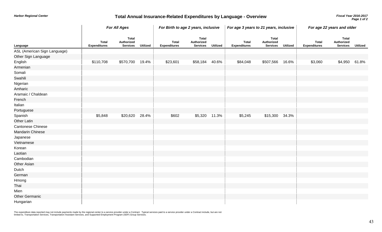## *Fiscal Year 2016-2017* **Total Annual Insurance-Related Expenditures by Language - Overview**

|                              | <b>For All Ages</b>                 |                                               |                 | For Birth to age 2 years, inclusive |                                               |                 | For age 3 years to 21 years, inclusive |                                               |                 | For age 22 years and older          |                                               |                 |
|------------------------------|-------------------------------------|-----------------------------------------------|-----------------|-------------------------------------|-----------------------------------------------|-----------------|----------------------------------------|-----------------------------------------------|-----------------|-------------------------------------|-----------------------------------------------|-----------------|
| Language                     | <b>Total</b><br><b>Expenditures</b> | <b>Total</b><br>Authorized<br><b>Services</b> | <b>Utilized</b> | <b>Total</b><br><b>Expenditures</b> | <b>Total</b><br>Authorized<br><b>Services</b> | <b>Utilized</b> | <b>Total</b><br><b>Expenditures</b>    | <b>Total</b><br>Authorized<br><b>Services</b> | <b>Utilized</b> | <b>Total</b><br><b>Expenditures</b> | <b>Total</b><br>Authorized<br><b>Services</b> | <b>Utilized</b> |
| ASL (American Sign Language) |                                     |                                               |                 |                                     |                                               |                 |                                        |                                               |                 |                                     |                                               |                 |
| Other Sign Language          |                                     |                                               |                 |                                     |                                               |                 |                                        |                                               |                 |                                     |                                               |                 |
| English                      | \$110,708                           | \$570,700                                     | 19.4%           | \$23,601                            | \$58,184                                      | 40.6%           | \$84,048                               | \$507,566                                     | 16.6%           | \$3,060                             | \$4,950                                       | 61.8%           |
| Armenian                     |                                     |                                               |                 |                                     |                                               |                 |                                        |                                               |                 |                                     |                                               |                 |
| Somali                       |                                     |                                               |                 |                                     |                                               |                 |                                        |                                               |                 |                                     |                                               |                 |
| Swahili                      |                                     |                                               |                 |                                     |                                               |                 |                                        |                                               |                 |                                     |                                               |                 |
| Nigerian                     |                                     |                                               |                 |                                     |                                               |                 |                                        |                                               |                 |                                     |                                               |                 |
| Amharic                      |                                     |                                               |                 |                                     |                                               |                 |                                        |                                               |                 |                                     |                                               |                 |
| Aramaic / Chaldean           |                                     |                                               |                 |                                     |                                               |                 |                                        |                                               |                 |                                     |                                               |                 |
| French                       |                                     |                                               |                 |                                     |                                               |                 |                                        |                                               |                 |                                     |                                               |                 |
| Italian                      |                                     |                                               |                 |                                     |                                               |                 |                                        |                                               |                 |                                     |                                               |                 |
| Portuguese                   |                                     |                                               |                 |                                     |                                               |                 |                                        |                                               |                 |                                     |                                               |                 |
| Spanish                      | \$5,848                             | \$20,620 28.4%                                |                 | \$602                               |                                               | \$5,320 11.3%   | \$5,245                                | \$15,300 34.3%                                |                 |                                     |                                               |                 |
| <b>Other Latin</b>           |                                     |                                               |                 |                                     |                                               |                 |                                        |                                               |                 |                                     |                                               |                 |
| Cantonese Chinese            |                                     |                                               |                 |                                     |                                               |                 |                                        |                                               |                 |                                     |                                               |                 |
| Mandarin Chinese             |                                     |                                               |                 |                                     |                                               |                 |                                        |                                               |                 |                                     |                                               |                 |
| Japanese                     |                                     |                                               |                 |                                     |                                               |                 |                                        |                                               |                 |                                     |                                               |                 |
| Vietnamese                   |                                     |                                               |                 |                                     |                                               |                 |                                        |                                               |                 |                                     |                                               |                 |
| Korean                       |                                     |                                               |                 |                                     |                                               |                 |                                        |                                               |                 |                                     |                                               |                 |
| Laotian                      |                                     |                                               |                 |                                     |                                               |                 |                                        |                                               |                 |                                     |                                               |                 |
| Cambodian                    |                                     |                                               |                 |                                     |                                               |                 |                                        |                                               |                 |                                     |                                               |                 |
| <b>Other Asian</b>           |                                     |                                               |                 |                                     |                                               |                 |                                        |                                               |                 |                                     |                                               |                 |
| Dutch                        |                                     |                                               |                 |                                     |                                               |                 |                                        |                                               |                 |                                     |                                               |                 |
| German                       |                                     |                                               |                 |                                     |                                               |                 |                                        |                                               |                 |                                     |                                               |                 |
| Hmong                        |                                     |                                               |                 |                                     |                                               |                 |                                        |                                               |                 |                                     |                                               |                 |
| Thai                         |                                     |                                               |                 |                                     |                                               |                 |                                        |                                               |                 |                                     |                                               |                 |
| Mien                         |                                     |                                               |                 |                                     |                                               |                 |                                        |                                               |                 |                                     |                                               |                 |
| <b>Other Germanic</b>        |                                     |                                               |                 |                                     |                                               |                 |                                        |                                               |                 |                                     |                                               |                 |
| Hungarian                    |                                     |                                               |                 |                                     |                                               |                 |                                        |                                               |                 |                                     |                                               |                 |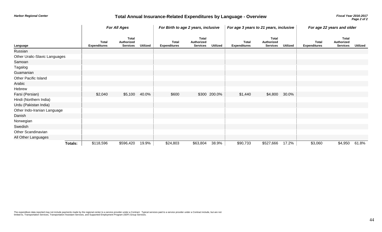## *Fiscal Year 2016-2017* **Total Annual Insurance-Related Expenditures by Language - Overview**

|                               |         | <b>For All Ages</b>                 |                                               |                 | For Birth to age 2 years, inclusive |                                               | For age 3 years to 21 years, inclusive |                                     |                                               | For age 22 years and older |                                     |                                               |                 |
|-------------------------------|---------|-------------------------------------|-----------------------------------------------|-----------------|-------------------------------------|-----------------------------------------------|----------------------------------------|-------------------------------------|-----------------------------------------------|----------------------------|-------------------------------------|-----------------------------------------------|-----------------|
| Language                      |         | <b>Total</b><br><b>Expenditures</b> | <b>Total</b><br>Authorized<br><b>Services</b> | <b>Utilized</b> | <b>Total</b><br><b>Expenditures</b> | <b>Total</b><br>Authorized<br><b>Services</b> | <b>Utilized</b>                        | <b>Total</b><br><b>Expenditures</b> | <b>Total</b><br>Authorized<br><b>Services</b> | <b>Utilized</b>            | <b>Total</b><br><b>Expenditures</b> | <b>Total</b><br>Authorized<br><b>Services</b> | <b>Utilized</b> |
| Russian                       |         |                                     |                                               |                 |                                     |                                               |                                        |                                     |                                               |                            |                                     |                                               |                 |
| Other Uralic-Slavic Languages |         |                                     |                                               |                 |                                     |                                               |                                        |                                     |                                               |                            |                                     |                                               |                 |
| Samoan                        |         |                                     |                                               |                 |                                     |                                               |                                        |                                     |                                               |                            |                                     |                                               |                 |
| Tagalog                       |         |                                     |                                               |                 |                                     |                                               |                                        |                                     |                                               |                            |                                     |                                               |                 |
| Guamanian                     |         |                                     |                                               |                 |                                     |                                               |                                        |                                     |                                               |                            |                                     |                                               |                 |
| <b>Other Pacific Island</b>   |         |                                     |                                               |                 |                                     |                                               |                                        |                                     |                                               |                            |                                     |                                               |                 |
| Arabic                        |         |                                     |                                               |                 |                                     |                                               |                                        |                                     |                                               |                            |                                     |                                               |                 |
| Hebrew                        |         |                                     |                                               |                 |                                     |                                               |                                        |                                     |                                               |                            |                                     |                                               |                 |
| Farsi (Persian)               |         | \$2,040                             | \$5,100                                       | 40.0%           | \$600                               |                                               | \$300 200.0%                           | \$1,440                             | \$4,800                                       | 30.0%                      |                                     |                                               |                 |
| Hindi (Northern India)        |         |                                     |                                               |                 |                                     |                                               |                                        |                                     |                                               |                            |                                     |                                               |                 |
| Urdu (Pakistan India)         |         |                                     |                                               |                 |                                     |                                               |                                        |                                     |                                               |                            |                                     |                                               |                 |
| Other Indo-Iranian Language   |         |                                     |                                               |                 |                                     |                                               |                                        |                                     |                                               |                            |                                     |                                               |                 |
| Danish                        |         |                                     |                                               |                 |                                     |                                               |                                        |                                     |                                               |                            |                                     |                                               |                 |
| Norwegian                     |         |                                     |                                               |                 |                                     |                                               |                                        |                                     |                                               |                            |                                     |                                               |                 |
| Swedish                       |         |                                     |                                               |                 |                                     |                                               |                                        |                                     |                                               |                            |                                     |                                               |                 |
| Other Scandinavian            |         |                                     |                                               |                 |                                     |                                               |                                        |                                     |                                               |                            |                                     |                                               |                 |
| All Other Languages           |         |                                     |                                               |                 |                                     |                                               |                                        |                                     |                                               |                            |                                     |                                               |                 |
|                               | Totals: | \$118,596                           | \$596,420                                     | 19.9%           | \$24,803                            | \$63,804                                      | 38.9%                                  | \$90,733                            | \$527,666                                     | 17.2%                      | \$3,060                             | \$4,950                                       | 61.8%           |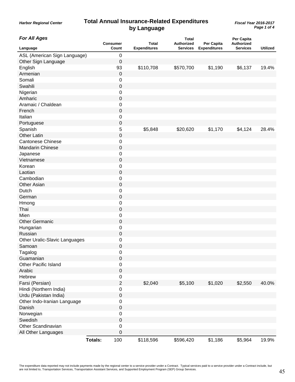## **Total Annual Insurance-Related Expenditures** *Fiscal Year 2016-2017* **by Language**

*Harbor Regional Center*

*Page 1 of 4*

| <b>For All Ages</b>           |                | <b>Consumer</b>  | Total               | <b>Total</b><br><b>Authorized</b> | Per Capita          | Per Capita<br>Authorized |                 |
|-------------------------------|----------------|------------------|---------------------|-----------------------------------|---------------------|--------------------------|-----------------|
| Language                      |                | Count            | <b>Expenditures</b> | <b>Services</b>                   | <b>Expenditures</b> | <b>Services</b>          | <b>Utilized</b> |
| ASL (American Sign Language)  |                | $\mathbf 0$      |                     |                                   |                     |                          |                 |
| Other Sign Language           |                | 0                |                     |                                   |                     |                          |                 |
| English                       |                | 93               | \$110,708           | \$570,700                         | \$1,190             | \$6,137                  | 19.4%           |
| Armenian                      |                | $\boldsymbol{0}$ |                     |                                   |                     |                          |                 |
| Somali                        |                | 0                |                     |                                   |                     |                          |                 |
| Swahili                       |                | $\boldsymbol{0}$ |                     |                                   |                     |                          |                 |
| Nigerian                      |                | $\pmb{0}$        |                     |                                   |                     |                          |                 |
| Amharic                       |                | $\boldsymbol{0}$ |                     |                                   |                     |                          |                 |
| Aramaic / Chaldean            |                | $\mathbf 0$      |                     |                                   |                     |                          |                 |
| French                        |                | $\mathbf 0$      |                     |                                   |                     |                          |                 |
| Italian                       |                | $\boldsymbol{0}$ |                     |                                   |                     |                          |                 |
| Portuguese                    |                | $\boldsymbol{0}$ |                     |                                   |                     |                          |                 |
| Spanish                       |                | 5                | \$5,848             | \$20,620                          | \$1,170             | \$4,124                  | 28.4%           |
| <b>Other Latin</b>            |                | $\boldsymbol{0}$ |                     |                                   |                     |                          |                 |
| <b>Cantonese Chinese</b>      |                | $\pmb{0}$        |                     |                                   |                     |                          |                 |
| Mandarin Chinese              |                | $\boldsymbol{0}$ |                     |                                   |                     |                          |                 |
| Japanese                      |                | $\mathbf 0$      |                     |                                   |                     |                          |                 |
| Vietnamese                    |                | $\mathbf 0$      |                     |                                   |                     |                          |                 |
| Korean                        |                | $\mathbf 0$      |                     |                                   |                     |                          |                 |
| Laotian                       |                | $\boldsymbol{0}$ |                     |                                   |                     |                          |                 |
| Cambodian                     |                | 0                |                     |                                   |                     |                          |                 |
| Other Asian                   |                | $\pmb{0}$        |                     |                                   |                     |                          |                 |
| Dutch                         |                | $\pmb{0}$        |                     |                                   |                     |                          |                 |
| German                        |                | $\boldsymbol{0}$ |                     |                                   |                     |                          |                 |
| Hmong                         |                | $\mathbf 0$      |                     |                                   |                     |                          |                 |
| Thai                          |                | $\boldsymbol{0}$ |                     |                                   |                     |                          |                 |
| Mien                          |                | $\pmb{0}$        |                     |                                   |                     |                          |                 |
| <b>Other Germanic</b>         |                | $\boldsymbol{0}$ |                     |                                   |                     |                          |                 |
| Hungarian                     |                | $\pmb{0}$        |                     |                                   |                     |                          |                 |
| Russian                       |                | $\boldsymbol{0}$ |                     |                                   |                     |                          |                 |
| Other Uralic-Slavic Languages |                | $\pmb{0}$        |                     |                                   |                     |                          |                 |
| Samoan                        |                | 0                |                     |                                   |                     |                          |                 |
|                               |                |                  |                     |                                   |                     |                          |                 |
| Tagalog<br>Guamanian          |                | 0<br>$\mathbf 0$ |                     |                                   |                     |                          |                 |
| <b>Other Pacific Island</b>   |                |                  |                     |                                   |                     |                          |                 |
|                               |                | $\pmb{0}$        |                     |                                   |                     |                          |                 |
| Arabic                        |                | $\mathbf 0$      |                     |                                   |                     |                          |                 |
| Hebrew                        |                | 0                |                     |                                   |                     |                          |                 |
| Farsi (Persian)               |                | $\sqrt{2}$       | \$2,040             | \$5,100                           | \$1,020             | \$2,550                  | 40.0%           |
| Hindi (Northern India)        |                | $\pmb{0}$        |                     |                                   |                     |                          |                 |
| Urdu (Pakistan India)         |                | $\pmb{0}$        |                     |                                   |                     |                          |                 |
| Other Indo-Iranian Language   |                | $\boldsymbol{0}$ |                     |                                   |                     |                          |                 |
| Danish                        |                | $\pmb{0}$        |                     |                                   |                     |                          |                 |
| Norwegian                     |                | $\pmb{0}$        |                     |                                   |                     |                          |                 |
| Swedish                       |                | $\mathbf 0$      |                     |                                   |                     |                          |                 |
| Other Scandinavian            |                | $\pmb{0}$        |                     |                                   |                     |                          |                 |
| All Other Languages           |                | $\boldsymbol{0}$ |                     |                                   |                     |                          |                 |
|                               | <b>Totals:</b> | 100              | \$118,596           | \$596,420                         | \$1,186             | \$5,964                  | 19.9%           |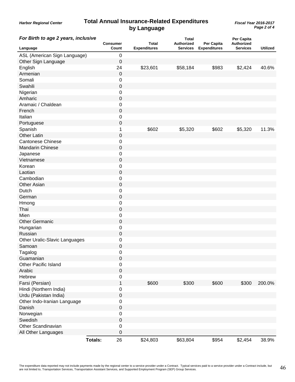#### **Total Annual Insurance-Related Expenditures** *Fiscal Year 2016-2017* **by Language**

*Harbor Regional Center*

*Page 2 of 4*

| For Birth to age 2 years, inclusive | <b>Consumer</b>      | <b>Total</b>        | <b>Total</b><br><b>Authorized</b> | Per Capita          | Per Capita<br>Authorized |                 |
|-------------------------------------|----------------------|---------------------|-----------------------------------|---------------------|--------------------------|-----------------|
| Language                            | Count                | <b>Expenditures</b> | <b>Services</b>                   | <b>Expenditures</b> | <b>Services</b>          | <b>Utilized</b> |
| ASL (American Sign Language)        | $\,0\,$              |                     |                                   |                     |                          |                 |
| Other Sign Language                 | 0                    |                     |                                   |                     |                          |                 |
| English                             | 24                   | \$23,601            | \$58,184                          | \$983               | \$2,424                  | 40.6%           |
| Armenian                            | $\pmb{0}$            |                     |                                   |                     |                          |                 |
| Somali                              | 0                    |                     |                                   |                     |                          |                 |
| Swahili                             | $\pmb{0}$            |                     |                                   |                     |                          |                 |
| Nigerian                            | $\,0\,$              |                     |                                   |                     |                          |                 |
| Amharic                             | $\boldsymbol{0}$     |                     |                                   |                     |                          |                 |
| Aramaic / Chaldean                  | 0                    |                     |                                   |                     |                          |                 |
| French                              | $\pmb{0}$            |                     |                                   |                     |                          |                 |
| Italian                             | $\mathbf 0$          |                     |                                   |                     |                          |                 |
| Portuguese                          | $\pmb{0}$            |                     |                                   |                     |                          |                 |
| Spanish                             | 1                    | \$602               | \$5,320                           | \$602               | \$5,320                  | 11.3%           |
| <b>Other Latin</b>                  | $\boldsymbol{0}$     |                     |                                   |                     |                          |                 |
| <b>Cantonese Chinese</b>            | $\mathbf 0$          |                     |                                   |                     |                          |                 |
| <b>Mandarin Chinese</b>             | $\boldsymbol{0}$     |                     |                                   |                     |                          |                 |
| Japanese                            | 0                    |                     |                                   |                     |                          |                 |
| Vietnamese                          | $\pmb{0}$            |                     |                                   |                     |                          |                 |
| Korean                              | $\mathbf 0$          |                     |                                   |                     |                          |                 |
| Laotian                             | $\boldsymbol{0}$     |                     |                                   |                     |                          |                 |
| Cambodian                           | $\,0\,$              |                     |                                   |                     |                          |                 |
| <b>Other Asian</b>                  | 0                    |                     |                                   |                     |                          |                 |
| Dutch                               | 0                    |                     |                                   |                     |                          |                 |
| German                              | $\boldsymbol{0}$     |                     |                                   |                     |                          |                 |
|                                     |                      |                     |                                   |                     |                          |                 |
| Hmong<br>Thai                       | 0                    |                     |                                   |                     |                          |                 |
|                                     | $\mathbf 0$          |                     |                                   |                     |                          |                 |
| Mien                                | $\mathbf 0$          |                     |                                   |                     |                          |                 |
| <b>Other Germanic</b>               | $\boldsymbol{0}$     |                     |                                   |                     |                          |                 |
| Hungarian                           | 0                    |                     |                                   |                     |                          |                 |
| Russian                             | $\boldsymbol{0}$     |                     |                                   |                     |                          |                 |
| Other Uralic-Slavic Languages       | 0                    |                     |                                   |                     |                          |                 |
| Samoan                              | $\pmb{0}$            |                     |                                   |                     |                          |                 |
| Tagalog                             | 0                    |                     |                                   |                     |                          |                 |
| Guamanian                           | $\mathbf 0$          |                     |                                   |                     |                          |                 |
| <b>Other Pacific Island</b>         | $\mathsf 0$          |                     |                                   |                     |                          |                 |
| Arabic                              | $\mathbf 0$          |                     |                                   |                     |                          |                 |
| Hebrew                              | $\,0\,$              |                     |                                   |                     |                          |                 |
| Farsi (Persian)                     | 1                    | \$600               | \$300                             | \$600               | \$300                    | 200.0%          |
| Hindi (Northern India)              | $\,0\,$              |                     |                                   |                     |                          |                 |
| Urdu (Pakistan India)               | $\pmb{0}$            |                     |                                   |                     |                          |                 |
| Other Indo-Iranian Language         | $\,0\,$              |                     |                                   |                     |                          |                 |
| Danish                              | $\pmb{0}$            |                     |                                   |                     |                          |                 |
| Norwegian                           | $\mathbf 0$          |                     |                                   |                     |                          |                 |
| Swedish                             | $\pmb{0}$            |                     |                                   |                     |                          |                 |
| Other Scandinavian                  | $\,0\,$              |                     |                                   |                     |                          |                 |
| All Other Languages                 | 0                    |                     |                                   |                     |                          |                 |
|                                     | 26<br><b>Totals:</b> | \$24,803            | \$63,804                          | \$954               | \$2,454                  | 38.9%           |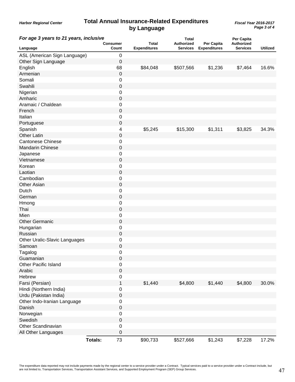### **Total Annual Insurance-Related Expenditures** *Fiscal Year 2016-2017* **by Language**

*Harbor Regional Center*

| For age 3 years to 21 years, inclusive | Consumer       |                  | <b>Total</b>        | Total<br><b>Authorized</b> | Per Capita          | Per Capita<br>Authorized |                 |
|----------------------------------------|----------------|------------------|---------------------|----------------------------|---------------------|--------------------------|-----------------|
| Language                               |                | Count            | <b>Expenditures</b> | <b>Services</b>            | <b>Expenditures</b> | Services                 | <b>Utilized</b> |
| ASL (American Sign Language)           |                | 0                |                     |                            |                     |                          |                 |
| Other Sign Language                    |                | 0                |                     |                            |                     |                          |                 |
| English                                |                | 68               | \$84,048            | \$507,566                  | \$1,236             | \$7,464                  | 16.6%           |
| Armenian                               |                | 0                |                     |                            |                     |                          |                 |
| Somali                                 |                | 0                |                     |                            |                     |                          |                 |
| Swahili                                |                | 0                |                     |                            |                     |                          |                 |
| Nigerian                               |                | 0                |                     |                            |                     |                          |                 |
| Amharic                                |                | 0                |                     |                            |                     |                          |                 |
| Aramaic / Chaldean                     |                | 0                |                     |                            |                     |                          |                 |
| French                                 |                | 0                |                     |                            |                     |                          |                 |
| Italian                                |                | 0                |                     |                            |                     |                          |                 |
| Portuguese                             |                | 0                |                     |                            |                     |                          |                 |
| Spanish                                |                | 4                | \$5,245             | \$15,300                   | \$1,311             | \$3,825                  | 34.3%           |
| <b>Other Latin</b>                     |                | 0                |                     |                            |                     |                          |                 |
| <b>Cantonese Chinese</b>               |                | 0                |                     |                            |                     |                          |                 |
| Mandarin Chinese                       |                | 0                |                     |                            |                     |                          |                 |
| Japanese                               |                | 0                |                     |                            |                     |                          |                 |
| Vietnamese                             |                | 0                |                     |                            |                     |                          |                 |
| Korean                                 |                | 0                |                     |                            |                     |                          |                 |
| Laotian                                |                | 0                |                     |                            |                     |                          |                 |
| Cambodian                              |                | 0                |                     |                            |                     |                          |                 |
| <b>Other Asian</b>                     |                | 0                |                     |                            |                     |                          |                 |
| Dutch                                  |                | 0                |                     |                            |                     |                          |                 |
| German                                 |                | 0                |                     |                            |                     |                          |                 |
| Hmong                                  |                | 0                |                     |                            |                     |                          |                 |
| Thai                                   |                | 0                |                     |                            |                     |                          |                 |
| Mien                                   |                |                  |                     |                            |                     |                          |                 |
|                                        |                | 0<br>0           |                     |                            |                     |                          |                 |
| <b>Other Germanic</b>                  |                |                  |                     |                            |                     |                          |                 |
| Hungarian                              |                | 0                |                     |                            |                     |                          |                 |
| Russian                                |                | 0                |                     |                            |                     |                          |                 |
| Other Uralic-Slavic Languages          |                | 0                |                     |                            |                     |                          |                 |
| Samoan                                 |                | 0                |                     |                            |                     |                          |                 |
| Tagalog                                |                | $\,0\,$          |                     |                            |                     |                          |                 |
| Guamanian                              |                | 0                |                     |                            |                     |                          |                 |
| <b>Other Pacific Island</b>            |                | 0                |                     |                            |                     |                          |                 |
| Arabic                                 |                | $\pmb{0}$        |                     |                            |                     |                          |                 |
| Hebrew                                 |                | 0                |                     |                            |                     |                          |                 |
| Farsi (Persian)                        |                | $\mathbf{1}$     | \$1,440             | \$4,800                    | \$1,440             | \$4,800                  | 30.0%           |
| Hindi (Northern India)                 |                | 0                |                     |                            |                     |                          |                 |
| Urdu (Pakistan India)                  |                | 0                |                     |                            |                     |                          |                 |
| Other Indo-Iranian Language            |                | 0                |                     |                            |                     |                          |                 |
| Danish                                 |                | $\boldsymbol{0}$ |                     |                            |                     |                          |                 |
| Norwegian                              |                | 0                |                     |                            |                     |                          |                 |
| Swedish                                |                | $\pmb{0}$        |                     |                            |                     |                          |                 |
| Other Scandinavian                     |                | $\pmb{0}$        |                     |                            |                     |                          |                 |
| All Other Languages                    |                | 0                |                     |                            |                     |                          |                 |
|                                        | <b>Totals:</b> | 73               | \$90,733            | \$527,666                  | \$1,243             | \$7,228                  | 17.2%           |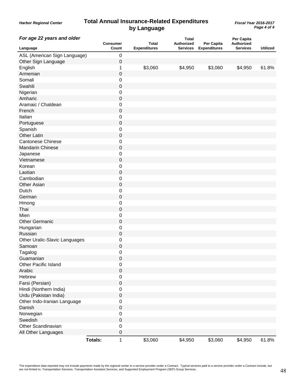#### *Harbor Regional Center* **Total Annual Insurance-Related Expenditures** *Fiscal Year 2016-2017* **by Language**

*Page 4 of 4*

| For age 22 years and older    | <b>Consumer</b> |                  | <b>Total</b>        | <b>Total</b><br>Authorized | Per Capita          | Per Capita<br>Authorized |                 |
|-------------------------------|-----------------|------------------|---------------------|----------------------------|---------------------|--------------------------|-----------------|
| Language                      |                 | Count            | <b>Expenditures</b> | <b>Services</b>            | <b>Expenditures</b> | <b>Services</b>          | <b>Utilized</b> |
| ASL (American Sign Language)  |                 | $\pmb{0}$        |                     |                            |                     |                          |                 |
| Other Sign Language           |                 | 0                |                     |                            |                     |                          |                 |
| English                       |                 | 1                | \$3,060             | \$4,950                    | \$3,060             | \$4,950                  | 61.8%           |
| Armenian                      |                 | 0                |                     |                            |                     |                          |                 |
| Somali                        |                 | 0                |                     |                            |                     |                          |                 |
| Swahili                       |                 | $\mathbf 0$      |                     |                            |                     |                          |                 |
| Nigerian                      |                 | $\mathbf 0$      |                     |                            |                     |                          |                 |
| Amharic                       |                 | $\pmb{0}$        |                     |                            |                     |                          |                 |
| Aramaic / Chaldean            |                 | 0                |                     |                            |                     |                          |                 |
| French                        |                 | $\boldsymbol{0}$ |                     |                            |                     |                          |                 |
| Italian                       |                 | 0                |                     |                            |                     |                          |                 |
| Portuguese                    |                 | $\pmb{0}$        |                     |                            |                     |                          |                 |
| Spanish                       |                 | 0                |                     |                            |                     |                          |                 |
| <b>Other Latin</b>            |                 | $\mathbf 0$      |                     |                            |                     |                          |                 |
| <b>Cantonese Chinese</b>      |                 | $\mathbf 0$      |                     |                            |                     |                          |                 |
| Mandarin Chinese              |                 | $\pmb{0}$        |                     |                            |                     |                          |                 |
| Japanese                      |                 | 0                |                     |                            |                     |                          |                 |
| Vietnamese                    |                 | $\boldsymbol{0}$ |                     |                            |                     |                          |                 |
| Korean                        |                 | 0                |                     |                            |                     |                          |                 |
| Laotian                       |                 | $\boldsymbol{0}$ |                     |                            |                     |                          |                 |
| Cambodian                     |                 | 0                |                     |                            |                     |                          |                 |
| <b>Other Asian</b>            |                 | $\pmb{0}$        |                     |                            |                     |                          |                 |
| Dutch                         |                 | $\mathbf 0$      |                     |                            |                     |                          |                 |
| German                        |                 | $\boldsymbol{0}$ |                     |                            |                     |                          |                 |
| Hmong                         |                 | 0                |                     |                            |                     |                          |                 |
| Thai                          |                 | $\boldsymbol{0}$ |                     |                            |                     |                          |                 |
| Mien                          |                 | 0                |                     |                            |                     |                          |                 |
| <b>Other Germanic</b>         |                 | $\boldsymbol{0}$ |                     |                            |                     |                          |                 |
| Hungarian                     |                 | 0                |                     |                            |                     |                          |                 |
| Russian                       |                 | $\pmb{0}$        |                     |                            |                     |                          |                 |
| Other Uralic-Slavic Languages |                 | 0                |                     |                            |                     |                          |                 |
| Samoan                        |                 | $\pmb{0}$        |                     |                            |                     |                          |                 |
|                               |                 | 0                |                     |                            |                     |                          |                 |
| Tagalog<br>Guamanian          |                 | $\pmb{0}$        |                     |                            |                     |                          |                 |
| <b>Other Pacific Island</b>   |                 | $\,0\,$          |                     |                            |                     |                          |                 |
|                               |                 |                  |                     |                            |                     |                          |                 |
| Arabic                        |                 | $\boldsymbol{0}$ |                     |                            |                     |                          |                 |
| Hebrew                        |                 | $\,0\,$          |                     |                            |                     |                          |                 |
| Farsi (Persian)               |                 | $\mathbf 0$      |                     |                            |                     |                          |                 |
| Hindi (Northern India)        |                 | $\mathbf 0$      |                     |                            |                     |                          |                 |
| Urdu (Pakistan India)         |                 | $\boldsymbol{0}$ |                     |                            |                     |                          |                 |
| Other Indo-Iranian Language   |                 | $\,0\,$          |                     |                            |                     |                          |                 |
| Danish                        |                 | $\pmb{0}$        |                     |                            |                     |                          |                 |
| Norwegian                     |                 | $\,0\,$          |                     |                            |                     |                          |                 |
| Swedish                       |                 | $\boldsymbol{0}$ |                     |                            |                     |                          |                 |
| Other Scandinavian            |                 | $\,0\,$          |                     |                            |                     |                          |                 |
| All Other Languages           |                 | $\pmb{0}$        |                     |                            |                     |                          |                 |
|                               | <b>Totals:</b>  | $\mathbf{1}$     | \$3,060             | \$4,950                    | \$3,060             | \$4,950                  | 61.8%           |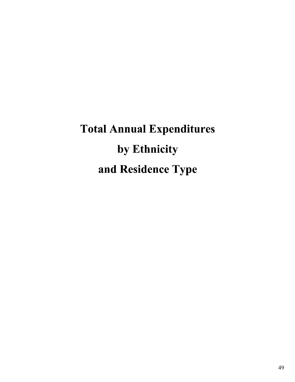Total Annual Expenditures by Ethnicity and Residence Type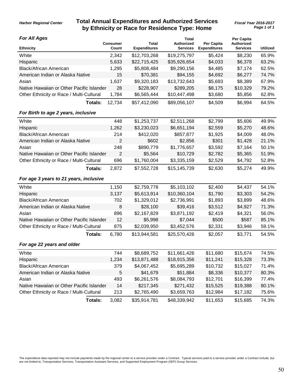## **Total Annual Expenditures and Authorized Services by Ethnicity or Race for Residence Type: Home**

#### *For All Ages*

| For All Ages<br><b>Ethnicity</b>          | <b>Consumer</b><br>Count | <b>Total</b><br><b>Expenditures</b> | <b>Total</b><br><b>Authorized</b><br><b>Services</b> | Per Capita<br><b>Expenditures</b> | Per Capita<br>Authorized<br><b>Services</b> | <b>Utilized</b> |
|-------------------------------------------|--------------------------|-------------------------------------|------------------------------------------------------|-----------------------------------|---------------------------------------------|-----------------|
| White                                     | 2,342                    | \$12,703,268                        | \$19,275,797                                         | \$5,424                           | \$8,230                                     | 65.9%           |
| Hispanic                                  | 5,633                    | \$22,715,425                        | \$35,926,654                                         | \$4,033                           | \$6,378                                     | 63.2%           |
| <b>Black/African American</b>             | 1,295                    | \$5,808,484                         | \$9,290,156                                          | \$4,485                           | \$7,174                                     | 62.5%           |
| American Indian or Alaska Native          | 15                       | \$70,381                            | \$94,155                                             | \$4,692                           | \$6,277                                     | 74.7%           |
| Asian                                     | 1,637                    | \$9,320,183                         | \$13,732,643                                         | \$5,693                           | \$8,389                                     | 67.9%           |
| Native Hawaiian or Other Pacific Islander | 28                       | \$228,907                           | \$289,205                                            | \$8,175                           | \$10,329                                    | 79.2%           |
| Other Ethnicity or Race / Multi-Cultural  | 1,784                    | \$6,565,444                         | \$10,447,498                                         | \$3,680                           | \$5,856                                     | 62.8%           |
| Totals:                                   | 12,734                   | \$57,412,090                        | \$89,056,107                                         | \$4,509                           | \$6,994                                     | 64.5%           |
|                                           |                          |                                     |                                                      |                                   |                                             |                 |
| For Birth to age 2 years, inclusive       |                          |                                     |                                                      |                                   |                                             |                 |
| White                                     | 448                      | \$1,253,737                         | \$2,511,268                                          | \$2,799                           | \$5,606                                     | 49.9%           |
| Hispanic                                  | 1,262                    | \$3,230,023                         | \$6,651,194                                          | \$2,559                           | \$5,270                                     | 48.6%           |
| <b>Black/African American</b>             | 214                      | \$412,020                           | \$857,877                                            | \$1,925                           | \$4,009                                     | 48.0%           |
| American Indian or Alaska Native          | 2                        | \$602                               | \$2,856                                              | \$301                             | \$1,428                                     | 21.1%           |
| Asian                                     | 248                      | \$890,779                           | \$1,776,657                                          | \$3,592                           | \$7,164                                     | 50.1%           |
| Native Hawaiian or Other Pacific Islander | $\overline{2}$           | \$5,564                             | \$10,729                                             | \$2,782                           | \$5,365                                     | 51.9%           |
| Other Ethnicity or Race / Multi-Cultural  | 696                      | \$1,760,004                         | \$3,335,159                                          | \$2,529                           | \$4,792                                     | 52.8%           |
| Totals:                                   | 2,872                    | \$7,552,728                         | \$15,145,739                                         | \$2,630                           | \$5,274                                     | 49.9%           |
| For age 3 years to 21 years, inclusive    |                          |                                     |                                                      |                                   |                                             |                 |
| White                                     | 1,150                    | \$2,759,778                         | \$5,103,102                                          | \$2,400                           | \$4,437                                     | 54.1%           |
| Hispanic                                  | 3,137                    | \$5,613,914                         | \$10,360,104                                         | \$1,790                           | \$3,303                                     | 54.2%           |
| <b>Black/African American</b>             | 702                      | \$1,329,012                         | \$2,736,991                                          | \$1,893                           | \$3,899                                     | 48.6%           |
| American Indian or Alaska Native          | 8                        | \$28,100                            | \$39,416                                             | \$3,512                           | \$4,927                                     | 71.3%           |
| Asian                                     | 896                      | \$2,167,829                         | \$3,871,192                                          | \$2,419                           | \$4,321                                     | 56.0%           |
| Native Hawaiian or Other Pacific Islander | 12                       | \$5,998                             | \$7,044                                              | \$500                             | \$587                                       | 85.1%           |
| Other Ethnicity or Race / Multi-Cultural  | 875                      | \$2,039,950                         | \$3,452,576                                          | \$2,331                           | \$3,946                                     | 59.1%           |
| Totals:                                   | 6,780                    | \$13,944,581                        | \$25,570,426                                         | \$2,057                           | \$3,771                                     | 54.5%           |
| For age 22 years and older                |                          |                                     |                                                      |                                   |                                             |                 |
| White                                     | 744                      | \$8,689,752                         | \$11,661,426                                         | \$11,680                          | \$15,674                                    | 74.5%           |
| Hispanic                                  | 1,234                    | \$13,871,488                        | \$18,915,356                                         | \$11,241                          | \$15,328                                    | 73.3%           |
| <b>Black/African American</b>             | 379                      | \$4,067,452                         | \$5,695,289                                          | \$10,732                          | \$15,027                                    | 71.4%           |
| American Indian or Alaska Native          | 5                        | \$41,679                            | \$51,884                                             | \$8,336                           | \$10,377                                    | 80.3%           |
| Asian                                     | 493                      | \$6,261,576                         | \$8,084,793                                          | \$12,701                          | \$16,399                                    | 77.4%           |
| Native Hawaiian or Other Pacific Islander | 14                       | \$217,345                           | \$271,432                                            | \$15,525                          | \$19,388                                    | 80.1%           |
| Other Ethnicity or Race / Multi-Cultural  | 213                      | \$2,765,490                         | \$3,659,763                                          | \$12,984                          | \$17,182                                    | 75.6%           |
| Totals:                                   | 3,082                    | \$35,914,781                        | \$48,339,942                                         | \$11,653                          | \$15,685                                    | 74.3%           |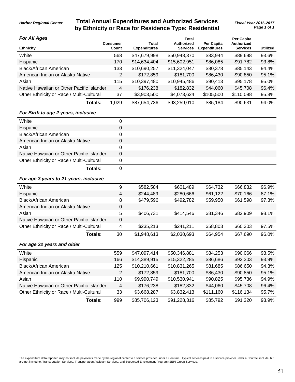## **Total Annual Expenditures and Authorized Services** *Fiscal Year 2016-2017* **by Ethnicity or Race for Residence Type: Residential**

*Page 1 of 1*

#### *For All Ages*

| <b>For All Ages</b>                       |                          |                              | Total                         |                                   | Per Capita                           |                 |
|-------------------------------------------|--------------------------|------------------------------|-------------------------------|-----------------------------------|--------------------------------------|-----------------|
| <b>Ethnicity</b>                          | <b>Consumer</b><br>Count | Total<br><b>Expenditures</b> | Authorized<br><b>Services</b> | Per Capita<br><b>Expenditures</b> | <b>Authorized</b><br><b>Services</b> | <b>Utilized</b> |
| White                                     | 568                      | \$47,679,998                 | \$50,948,370                  | \$83,944                          | \$89,698                             | 93.6%           |
| Hispanic                                  | 170                      | \$14,634,404                 | \$15,602,951                  | \$86,085                          | \$91,782                             | 93.8%           |
| <b>Black/African American</b>             | 133                      | \$10,690,257                 | \$11,324,047                  | \$80,378                          | \$85,143                             | 94.4%           |
| American Indian or Alaska Native          | $\overline{2}$           | \$172,859                    | \$181,700                     | \$86,430                          | \$90,850                             | 95.1%           |
| Asian                                     | 115                      | \$10,397,480                 | \$10,945,486                  | \$90,413                          | \$95,178                             | 95.0%           |
| Native Hawaiian or Other Pacific Islander | 4                        | \$176,238                    | \$182,832                     | \$44,060                          | \$45,708                             | 96.4%           |
| Other Ethnicity or Race / Multi-Cultural  | 37                       | \$3,903,500                  | \$4,073,624                   | \$105,500                         | \$110,098                            | 95.8%           |
| Totals:                                   | 1.029                    | \$87,654,736                 | \$93,259,010                  | \$85,184                          | \$90,631                             | 94.0%           |

#### *For Birth to age 2 years, inclusive*

| White                                     |   |
|-------------------------------------------|---|
| Hispanic                                  | 0 |
| <b>Black/African American</b>             |   |
| American Indian or Alaska Native          |   |
| Asian                                     |   |
| Native Hawaiian or Other Pacific Islander | 0 |
| Other Ethnicity or Race / Multi-Cultural  |   |
| Totals:                                   |   |

#### *For age 3 years to 21 years, inclusive*

| White                                     | 9           | \$582,584    | \$601,489    | \$64,732  | \$66,832  | 96.9% |
|-------------------------------------------|-------------|--------------|--------------|-----------|-----------|-------|
| Hispanic                                  | 4           | \$244,489    | \$280,666    | \$61,122  | \$70,166  | 87.1% |
| Black/African American                    | 8           | \$479,596    | \$492,782    | \$59,950  | \$61,598  | 97.3% |
| American Indian or Alaska Native          | 0           |              |              |           |           |       |
| Asian                                     | 5           | \$406,731    | \$414,546    | \$81,346  | \$82,909  | 98.1% |
| Native Hawaiian or Other Pacific Islander | $\mathbf 0$ |              |              |           |           |       |
| Other Ethnicity or Race / Multi-Cultural  | 4           | \$235,213    | \$241,211    | \$58,803  | \$60,303  | 97.5% |
| Totals:                                   | 30          | \$1,948,613  | \$2,030,693  | \$64,954  | \$67,690  | 96.0% |
| For age 22 years and older                |             |              |              |           |           |       |
| White                                     | 559         | \$47,097,414 | \$50,346,881 | \$84,253  | \$90,066  | 93.5% |
| Hispanic                                  | 166         | \$14,389,915 | \$15,322,285 | \$86,686  | \$92,303  | 93.9% |
| <b>Black/African American</b>             | 125         | \$10,210,661 | \$10,831,265 | \$81,685  | \$86,650  | 94.3% |
| American Indian or Alaska Native          | 2           | \$172,859    | \$181,700    | \$86,430  | \$90,850  | 95.1% |
| Asian                                     | 110         | \$9,990,749  | \$10,530,941 | \$90,825  | \$95,736  | 94.9% |
| Native Hawaiian or Other Pacific Islander | 4           | \$176,238    | \$182,832    | \$44,060  | \$45,708  | 96.4% |
| Other Ethnicity or Race / Multi-Cultural  | 33          | \$3,668,287  | \$3,832,413  | \$111,160 | \$116,134 | 95.7% |
| Totals:                                   | 999         | \$85,706,123 | \$91,228,316 | \$85,792  | \$91,320  | 93.9% |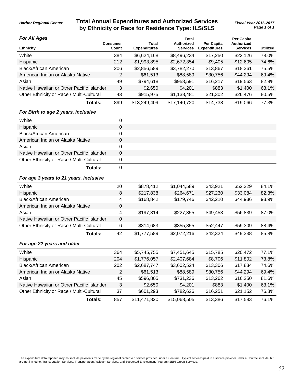## **Total Annual Expenditures and Authorized Services** *Fiscal Year 2016-2017* **by Ethnicity or Race for Residence Type: ILS/SLS**

*Page 1 of 1*

#### *For All Ages*

| <b>For All Ages</b>                       | <b>Consumer</b> | Total               | Total<br>Authorized | <b>Per Capita</b>   | <b>Per Capita</b><br>Authorized |                 |
|-------------------------------------------|-----------------|---------------------|---------------------|---------------------|---------------------------------|-----------------|
| <b>Ethnicity</b>                          | Count           | <b>Expenditures</b> | <b>Services</b>     | <b>Expenditures</b> | <b>Services</b>                 | <b>Utilized</b> |
| White                                     | 384             | \$6,624,168         | \$8,496,234         | \$17,250            | \$22,126                        | 78.0%           |
| Hispanic                                  | 212             | \$1,993,895         | \$2,672,354         | \$9,405             | \$12,605                        | 74.6%           |
| <b>Black/African American</b>             | 206             | \$2,856,589         | \$3,782,270         | \$13,867            | \$18,361                        | 75.5%           |
| American Indian or Alaska Native          | 2               | \$61,513            | \$88,589            | \$30,756            | \$44,294                        | 69.4%           |
| Asian                                     | 49              | \$794,618           | \$958,591           | \$16,217            | \$19,563                        | 82.9%           |
| Native Hawaiian or Other Pacific Islander | 3               | \$2,650             | \$4,201             | \$883               | \$1,400                         | 63.1%           |
| Other Ethnicity or Race / Multi-Cultural  | 43              | \$915,975           | \$1,138,481         | \$21,302            | \$26,476                        | 80.5%           |
| Totals:                                   | 899             | \$13,249,409        | \$17,140,720        | \$14,738            | \$19,066                        | 77.3%           |

#### *For Birth to age 2 years, inclusive*

| White                                     |        |
|-------------------------------------------|--------|
| Hispanic                                  | 0      |
| <b>Black/African American</b>             |        |
| American Indian or Alaska Native          |        |
| Asian                                     |        |
| Native Hawaiian or Other Pacific Islander | 0      |
| Other Ethnicity or Race / Multi-Cultural  |        |
| $T = 1 - 1 - 1$                           | $\sim$ |

**Totals:** 0

#### *For age 3 years to 21 years, inclusive*

| White                                     | 20          | \$878,412    | \$1,044,589  | \$43,921 | \$52,229 | 84.1% |
|-------------------------------------------|-------------|--------------|--------------|----------|----------|-------|
| Hispanic                                  | 8           | \$217,838    | \$264,671    | \$27,230 | \$33,084 | 82.3% |
| Black/African American                    | 4           | \$168,842    | \$179,746    | \$42,210 | \$44,936 | 93.9% |
| American Indian or Alaska Native          | 0           |              |              |          |          |       |
| Asian                                     | 4           | \$197,814    | \$227,355    | \$49,453 | \$56,839 | 87.0% |
| Native Hawaiian or Other Pacific Islander | $\mathbf 0$ |              |              |          |          |       |
| Other Ethnicity or Race / Multi-Cultural  | 6           | \$314,683    | \$355,855    | \$52,447 | \$59,309 | 88.4% |
| Totals:                                   | 42          | \$1,777,589  | \$2,072,216  | \$42,324 | \$49,338 | 85.8% |
| For age 22 years and older                |             |              |              |          |          |       |
| White                                     | 364         | \$5,745,755  | \$7,451,645  | \$15,785 | \$20,472 | 77.1% |
| Hispanic                                  | 204         | \$1,776,057  | \$2,407,684  | \$8,706  | \$11,802 | 73.8% |
| <b>Black/African American</b>             | 202         | \$2,687,747  | \$3,602,524  | \$13,306 | \$17,834 | 74.6% |
| American Indian or Alaska Native          | 2           | \$61,513     | \$88,589     | \$30,756 | \$44,294 | 69.4% |
| Asian                                     | 45          | \$596,805    | \$731,236    | \$13,262 | \$16,250 | 81.6% |
| Native Hawaiian or Other Pacific Islander | 3           | \$2,650      | \$4,201      | \$883    | \$1,400  | 63.1% |
| Other Ethnicity or Race / Multi-Cultural  | 37          | \$601,293    | \$782,626    | \$16,251 | \$21,152 | 76.8% |
| Totals:                                   | 857         | \$11,471,820 | \$15,068,505 | \$13,386 | \$17,583 | 76.1% |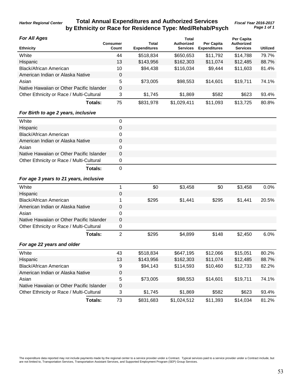### **Total Annual Expenditures and Authorized Services** *Fiscal Year 2016-2017* **by Ethnicity or Race for Residence Type: Med/Rehab/Psych**

#### *For All Ages*

| <b>For All Ages</b>                       | <b>Consumer</b> | Total               | Total<br>Authorized | Per Capita          | <b>Per Capita</b><br>Authorized |                 |
|-------------------------------------------|-----------------|---------------------|---------------------|---------------------|---------------------------------|-----------------|
| <b>Ethnicity</b>                          | Count           | <b>Expenditures</b> | <b>Services</b>     | <b>Expenditures</b> | <b>Services</b>                 | <b>Utilized</b> |
| White                                     | 44              | \$518,834           | \$650,653           | \$11,792            | \$14,788                        | 79.7%           |
| Hispanic                                  | 13              | \$143,956           | \$162,303           | \$11,074            | \$12,485                        | 88.7%           |
| <b>Black/African American</b>             | 10              | \$94,438            | \$116,034           | \$9,444             | \$11,603                        | 81.4%           |
| American Indian or Alaska Native          | 0               |                     |                     |                     |                                 |                 |
| Asian                                     | 5               | \$73,005            | \$98,553            | \$14,601            | \$19,711                        | 74.1%           |
| Native Hawaiian or Other Pacific Islander | $\mathbf 0$     |                     |                     |                     |                                 |                 |
| Other Ethnicity or Race / Multi-Cultural  | 3               | \$1,745             | \$1,869             | \$582               | \$623                           | 93.4%           |
| Totals:                                   | 75              | \$831,978           | \$1,029,411         | \$11,093            | \$13,725                        | 80.8%           |

#### *For Birth to age 2 years, inclusive*

| White                                     |   |
|-------------------------------------------|---|
| Hispanic                                  | 0 |
| <b>Black/African American</b>             |   |
| American Indian or Alaska Native          |   |
| Asian                                     |   |
| Native Hawaiian or Other Pacific Islander | 0 |
| Other Ethnicity or Race / Multi-Cultural  |   |
| Totals:                                   |   |

#### *For age 3 years to 21 years, inclusive*

| White                                     |                | \$0       | \$3,458     | \$0      | \$3,458  | 0.0%  |
|-------------------------------------------|----------------|-----------|-------------|----------|----------|-------|
| Hispanic                                  | 0              |           |             |          |          |       |
| <b>Black/African American</b>             |                | \$295     | \$1,441     | \$295    | \$1,441  | 20.5% |
| American Indian or Alaska Native          | 0              |           |             |          |          |       |
| Asian                                     | 0              |           |             |          |          |       |
| Native Hawaiian or Other Pacific Islander | 0              |           |             |          |          |       |
| Other Ethnicity or Race / Multi-Cultural  | 0              |           |             |          |          |       |
| Totals:                                   | $\overline{2}$ | \$295     | \$4,899     | \$148    | \$2,450  | 6.0%  |
| For age 22 years and older                |                |           |             |          |          |       |
| White                                     | 43             | \$518,834 | \$647,195   | \$12,066 | \$15,051 | 80.2% |
| Hispanic                                  | 13             | \$143,956 | \$162,303   | \$11,074 | \$12,485 | 88.7% |
| Black/African American                    | 9              | \$94,143  | \$114,593   | \$10,460 | \$12,733 | 82.2% |
| American Indian or Alaska Native          | 0              |           |             |          |          |       |
| Asian                                     | 5              | \$73,005  | \$98,553    | \$14,601 | \$19,711 | 74.1% |
| Native Hawaiian or Other Pacific Islander | $\Omega$       |           |             |          |          |       |
| Other Ethnicity or Race / Multi-Cultural  | 3              | \$1,745   | \$1,869     | \$582    | \$623    | 93.4% |
| Totals:                                   | 73             | \$831,683 | \$1,024,512 | \$11,393 | \$14,034 | 81.2% |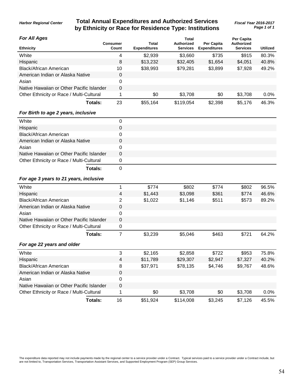## **Total Annual Expenditures and Authorized Services** *Fiscal Year 2016-2017* **by Ethnicity or Race for Residence Type: Institutions**

**Total**

*Page 1 of 1*

#### *For All Ages*

| FOR AIL AGES                              |                          |                              | Гоtal                                |                                   | Per Capita                    |                 |
|-------------------------------------------|--------------------------|------------------------------|--------------------------------------|-----------------------------------|-------------------------------|-----------------|
| <b>Ethnicity</b>                          | <b>Consumer</b><br>Count | Total<br><b>Expenditures</b> | <b>Authorized</b><br><b>Services</b> | Per Capita<br><b>Expenditures</b> | Authorized<br><b>Services</b> | <b>Utilized</b> |
| White                                     | 4                        | \$2,939                      | \$3,660                              | \$735                             | \$915                         | 80.3%           |
| Hispanic                                  | 8                        | \$13,232                     | \$32,405                             | \$1,654                           | \$4,051                       | 40.8%           |
| <b>Black/African American</b>             | 10                       | \$38,993                     | \$79,281                             | \$3,899                           | \$7,928                       | 49.2%           |
| American Indian or Alaska Native          | $\mathbf 0$              |                              |                                      |                                   |                               |                 |
| Asian                                     | 0                        |                              |                                      |                                   |                               |                 |
| Native Hawaiian or Other Pacific Islander | $\mathbf 0$              |                              |                                      |                                   |                               |                 |
| Other Ethnicity or Race / Multi-Cultural  |                          | \$0                          | \$3,708                              | \$0                               | \$3,708                       | 0.0%            |
| Totals:                                   | 23                       | \$55,164                     | \$119,054                            | \$2,398                           | \$5,176                       | 46.3%           |
| For Birth to age 2 years, inclusive       |                          |                              |                                      |                                   |                               |                 |
| White                                     | 0                        |                              |                                      |                                   |                               |                 |

## Hispanic 0 Black/African American 0 American Indian or Alaska Native **0** 0 Asian 0 Native Hawaiian or Other Pacific Islander 0 Other Ethnicity or Race / Multi-Cultural 0 **Totals:** 0

#### *For age 3 years to 21 years, inclusive*

| White                                     |         |                | \$774    | \$802     | \$774   | \$802   | 96.5%   |
|-------------------------------------------|---------|----------------|----------|-----------|---------|---------|---------|
| Hispanic                                  |         | 4              | \$1,443  | \$3,098   | \$361   | \$774   | 46.6%   |
| Black/African American                    |         | 2              | \$1,022  | \$1,146   | \$511   | \$573   | 89.2%   |
| American Indian or Alaska Native          |         | 0              |          |           |         |         |         |
| Asian                                     |         | 0              |          |           |         |         |         |
| Native Hawaiian or Other Pacific Islander |         | 0              |          |           |         |         |         |
| Other Ethnicity or Race / Multi-Cultural  |         | 0              |          |           |         |         |         |
|                                           | Totals: | 7              | \$3,239  | \$5,046   | \$463   | \$721   | 64.2%   |
| For age 22 years and older                |         |                |          |           |         |         |         |
| White                                     |         | 3              | \$2,165  | \$2,858   | \$722   | \$953   | 75.8%   |
| Hispanic                                  |         | $\overline{4}$ | \$11,789 | \$29,307  | \$2,947 | \$7,327 | 40.2%   |
| Black/African American                    |         | 8              | \$37,971 | \$78,135  | \$4,746 | \$9,767 | 48.6%   |
| American Indian or Alaska Native          |         | 0              |          |           |         |         |         |
| Asian                                     |         | $\mathbf 0$    |          |           |         |         |         |
| Native Hawaiian or Other Pacific Islander |         | $\mathbf 0$    |          |           |         |         |         |
| Other Ethnicity or Race / Multi-Cultural  |         | 1              | \$0      | \$3,708   | \$0     | \$3,708 | $0.0\%$ |
|                                           | Totals: | 16             | \$51,924 | \$114,008 | \$3,245 | \$7,126 | 45.5%   |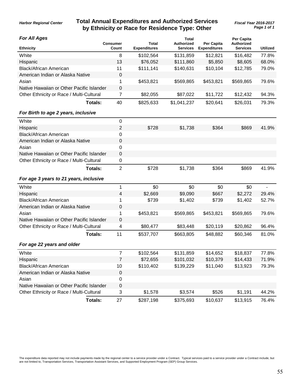## **Total Annual Expenditures and Authorized Services** *Fiscal Year 2016-2017* **by Ethnicity or Race for Residence Type: Other**

*Page 1 of 1*

#### *For All Ages*

| For All Ages<br><b>Ethnicity</b>          | <b>Consumer</b><br>Count | Total<br><b>Expenditures</b> | Total<br><b>Authorized</b><br><b>Services</b> | Per Capita<br><b>Expenditures</b> | <b>Per Capita</b><br><b>Authorized</b><br><b>Services</b> | <b>Utilized</b> |
|-------------------------------------------|--------------------------|------------------------------|-----------------------------------------------|-----------------------------------|-----------------------------------------------------------|-----------------|
| White                                     | 8                        | \$102,564                    | \$131,859                                     | \$12,821                          | \$16,482                                                  | 77.8%           |
| Hispanic                                  | 13                       | \$76,052                     | \$111,860                                     | \$5,850                           | \$8,605                                                   | 68.0%           |
| <b>Black/African American</b>             | 11                       | \$111,141                    | \$140,631                                     | \$10,104                          | \$12,785                                                  | 79.0%           |
| American Indian or Alaska Native          | 0                        |                              |                                               |                                   |                                                           |                 |
| Asian                                     | 1                        | \$453,821                    | \$569,865                                     | \$453,821                         | \$569,865                                                 | 79.6%           |
| Native Hawaiian or Other Pacific Islander | 0                        |                              |                                               |                                   |                                                           |                 |
| Other Ethnicity or Race / Multi-Cultural  | 7                        | \$82,055                     | \$87,022                                      | \$11,722                          | \$12,432                                                  | 94.3%           |
| Totals:                                   | 40                       | \$825,633                    | \$1,041,237                                   | \$20,641                          | \$26,031                                                  | 79.3%           |
| For Birth to age 2 years, inclusive       |                          |                              |                                               |                                   |                                                           |                 |
| White                                     | 0                        |                              |                                               |                                   |                                                           |                 |
| Hispanic                                  | $\overline{2}$           | \$728                        | \$1,738                                       | \$364                             | \$869                                                     | 41.9%           |
| <b>Black/African American</b>             | 0                        |                              |                                               |                                   |                                                           |                 |
| American Indian or Alaska Native          | $\pmb{0}$                |                              |                                               |                                   |                                                           |                 |
| Asian                                     | 0                        |                              |                                               |                                   |                                                           |                 |
| Native Hawaiian or Other Pacific Islander | $\pmb{0}$                |                              |                                               |                                   |                                                           |                 |
| Other Ethnicity or Race / Multi-Cultural  | 0                        |                              |                                               |                                   |                                                           |                 |
| Totals:                                   | $\overline{2}$           | \$728                        | \$1,738                                       | \$364                             | \$869                                                     | 41.9%           |
| For age 3 years to 21 years, inclusive    |                          |                              |                                               |                                   |                                                           |                 |
| White                                     | 1                        | \$0                          | \$0                                           | \$0                               | \$0                                                       |                 |
| Hispanic                                  | $\overline{\mathbf{4}}$  | \$2,669                      | \$9,090                                       | \$667                             | \$2,272                                                   | 29.4%           |
| <b>Black/African American</b>             | 1                        | \$739                        | \$1,402                                       | \$739                             | \$1,402                                                   | 52.7%           |
| American Indian or Alaska Native          | $\pmb{0}$                |                              |                                               |                                   |                                                           |                 |
| Asian                                     | 1                        | \$453,821                    | \$569,865                                     | \$453,821                         | \$569,865                                                 | 79.6%           |
| Native Hawaiian or Other Pacific Islander | $\pmb{0}$                |                              |                                               |                                   |                                                           |                 |
| Other Ethnicity or Race / Multi-Cultural  | 4                        | \$80,477                     | \$83,448                                      | \$20,119                          | \$20,862                                                  | 96.4%           |
| Totals:                                   | 11                       | \$537,707                    | \$663,805                                     | \$48,882                          | \$60,346                                                  | 81.0%           |
| For age 22 years and older                |                          |                              |                                               |                                   |                                                           |                 |
| White                                     | $\overline{7}$           | \$102,564                    | \$131,859                                     | \$14,652                          | \$18,837                                                  | 77.8%           |
| Hispanic                                  | $\overline{7}$           | \$72,655                     | \$101,032                                     | \$10,379                          | \$14,433                                                  | 71.9%           |
| <b>Black/African American</b>             | 10                       | \$110,402                    | \$139,229                                     | \$11,040                          | \$13,923                                                  | 79.3%           |
| American Indian or Alaska Native          | 0                        |                              |                                               |                                   |                                                           |                 |
| Asian                                     | $\pmb{0}$                |                              |                                               |                                   |                                                           |                 |
| Native Hawaiian or Other Pacific Islander | $\pmb{0}$                |                              |                                               |                                   |                                                           |                 |
| Other Ethnicity or Race / Multi-Cultural  | 3                        | \$1,578                      | \$3,574                                       | \$526                             | \$1,191                                                   | 44.2%           |
| <b>Totals:</b>                            | 27                       | \$287,198                    | \$375,693                                     | \$10,637                          | \$13,915                                                  | 76.4%           |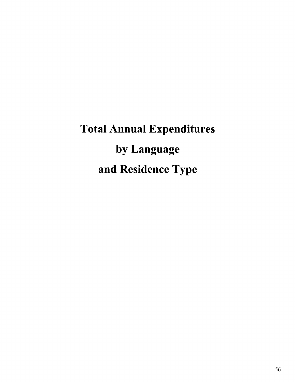# Total Annual Expenditures by Language and Residence Type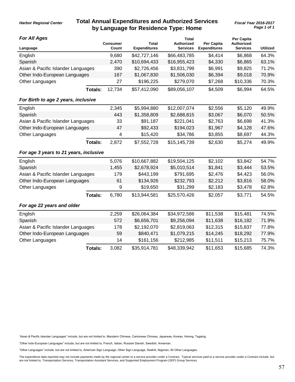## **Total Annual Expenditures and Authorized Services** *Fiscal Year 2016-2017* **by Language for Residence Type: Home**

#### *For All Ages*

*Harbor Regional Center*

| <b>For All Ages</b>                    | <b>Consumer</b> | <b>Total</b>        | Total<br>Authorized | Per Capita          | Per Capita<br><b>Authorized</b> |                 |
|----------------------------------------|-----------------|---------------------|---------------------|---------------------|---------------------------------|-----------------|
| Language                               | Count           | <b>Expenditures</b> | <b>Services</b>     | <b>Expenditures</b> | <b>Services</b>                 | <b>Utilized</b> |
| English                                | 9,680           | \$42,727,146        | \$66,483,785        | \$4,414             | \$6,868                         | 64.3%           |
| Spanish                                | 2,470           | \$10,694,433        | \$16,955,423        | \$4,330             | \$6,865                         | 63.1%           |
| Asian & Pacific Islander Languages     | 390             | \$2,726,456         | \$3,831,799         | \$6,991             | \$9,825                         | 71.2%           |
| Other Indo-European Languages          | 167             | \$1,067,830         | \$1,506,030         | \$6,394             | \$9,018                         | 70.9%           |
| Other Languages                        | 27              | \$196,225           | \$279,070           | \$7,268             | \$10,336                        | 70.3%           |
| <b>Totals:</b>                         | 12,734          | \$57,412,090        | \$89,056,107        | \$4,509             | \$6,994                         | 64.5%           |
| For Birth to age 2 years, inclusive    |                 |                     |                     |                     |                                 |                 |
| English                                | 2,345           | \$5,994,880         | \$12,007,074        | \$2,556             | \$5,120                         | 49.9%           |
| Spanish                                | 443             | \$1,358,809         | \$2,688,815         | \$3,067             | \$6,070                         | 50.5%           |
| Asian & Pacific Islander Languages     | 33              | \$91,187            | \$221,041           | \$2,763             | \$6,698                         | 41.3%           |
| Other Indo-European Languages          | 47              | \$92,433            | \$194,023           | \$1,967             | \$4,128                         | 47.6%           |
| Other Languages                        | 4               | \$15,420            | \$34,786            | \$3,855             | \$8,697                         | 44.3%           |
| <b>Totals:</b>                         | 2,872           | \$7,552,728         | \$15,145,739        | \$2,630             | \$5,274                         | 49.9%           |
| For age 3 years to 21 years, inclusive |                 |                     |                     |                     |                                 |                 |
| English                                | 5,076           | \$10,667,882        | \$19,504,125        | \$2,102             | \$3,842                         | 54.7%           |
| Spanish                                | 1,455           | \$2,678,924         | \$5,010,514         | \$1,841             | \$3,444                         | 53.5%           |
| Asian & Pacific Islander Languages     | 179             | \$443,199           | \$791,695           | \$2,476             | \$4,423                         | 56.0%           |
| Other Indo-European Languages          | 61              | \$134,926           | \$232,793           | \$2,212             | \$3,816                         | 58.0%           |
| Other Languages                        | 9               | \$19,650            | \$31,299            | \$2,183             | \$3,478                         | 62.8%           |
| <b>Totals:</b>                         | 6,780           | \$13,944,581        | \$25,570,426        | \$2,057             | \$3,771                         | 54.5%           |
| For age 22 years and older             |                 |                     |                     |                     |                                 |                 |
| English                                | 2,259           | \$26,064,384        | \$34,972,586        | \$11,538            | \$15,481                        | 74.5%           |
| Spanish                                | 572             | \$6,656,701         | \$9,256,094         | \$11,638            | \$16,182                        | 71.9%           |
| Asian & Pacific Islander Languages     | 178             | \$2,192,070         | \$2,819,063         | \$12,315            | \$15,837                        | 77.8%           |
| Other Indo-European Languages          | 59              | \$840,471           | \$1,079,215         | \$14,245            | \$18,292                        | 77.9%           |
| Other Languages                        | 14              | \$161,156           | \$212,985           | \$11,511            | \$15,213                        | 75.7%           |
| <b>Totals:</b>                         | 3,082           | \$35,914,781        | \$48,339,942        | \$11,653            | \$15,685                        | 74.3%           |

"Asian & Pacific Islander Languages" include, but are not limited to, Mandarin Chinese, Cantonese Chinese, Japanese, Korean, Hmong, Tagalog.

"Other Indo-European Languages" include, but are not limited to, French, Italian, Russian Danish, Swedish, Armenian.

"Other Languages" include, but are not limited to, American Sign Language, Other Sign Language, Swahili, Nigerian, All Other Languages.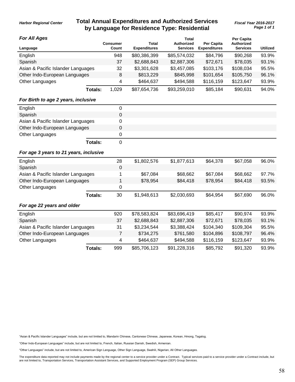## **Total Annual Expenditures and Authorized Services** *Fiscal Year 2016-2017* **by Language for Residence Type: Residential**

*Page 1 of 1*

#### *For All Ages*

*Harbor Regional Center*

| <b>For All Ages</b>                    |                |                          |                                     | Total                                |                                          | Per Capita                           |                 |
|----------------------------------------|----------------|--------------------------|-------------------------------------|--------------------------------------|------------------------------------------|--------------------------------------|-----------------|
| Language                               |                | <b>Consumer</b><br>Count | <b>Total</b><br><b>Expenditures</b> | <b>Authorized</b><br><b>Services</b> | <b>Per Capita</b><br><b>Expenditures</b> | <b>Authorized</b><br><b>Services</b> | <b>Utilized</b> |
| English                                |                | 948                      | \$80,386,399                        | \$85,574,032                         | \$84,796                                 | \$90,268                             | 93.9%           |
| Spanish                                |                | 37                       | \$2,688,843                         | \$2,887,306                          | \$72,671                                 | \$78,035                             | 93.1%           |
| Asian & Pacific Islander Languages     |                | 32                       | \$3,301,628                         | \$3,457,085                          | \$103,176                                | \$108,034                            | 95.5%           |
| Other Indo-European Languages          |                | 8                        | \$813,229                           | \$845,998                            | \$101,654                                | \$105,750                            | 96.1%           |
| Other Languages                        |                | 4                        | \$464,637                           | \$494,588                            | \$116,159                                | \$123,647                            | 93.9%           |
|                                        | Totals:        | 1,029                    | \$87,654,736                        | \$93,259,010                         | \$85,184                                 | \$90,631                             | 94.0%           |
| For Birth to age 2 years, inclusive    |                |                          |                                     |                                      |                                          |                                      |                 |
| English                                |                | $\mathbf 0$              |                                     |                                      |                                          |                                      |                 |
| Spanish                                |                | 0                        |                                     |                                      |                                          |                                      |                 |
| Asian & Pacific Islander Languages     |                | 0                        |                                     |                                      |                                          |                                      |                 |
| Other Indo-European Languages          |                | 0                        |                                     |                                      |                                          |                                      |                 |
| Other Languages                        |                | 0                        |                                     |                                      |                                          |                                      |                 |
|                                        | <b>Totals:</b> | 0                        |                                     |                                      |                                          |                                      |                 |
| For age 3 years to 21 years, inclusive |                |                          |                                     |                                      |                                          |                                      |                 |
| English                                |                | 28                       | \$1,802,576                         | \$1,877,613                          | \$64,378                                 | \$67,058                             | 96.0%           |
| Spanish                                |                | $\mathbf 0$              |                                     |                                      |                                          |                                      |                 |
| Asian & Pacific Islander Languages     |                | 1                        | \$67,084                            | \$68,662                             | \$67,084                                 | \$68,662                             | 97.7%           |
| Other Indo-European Languages          |                | 1                        | \$78,954                            | \$84,418                             | \$78,954                                 | \$84,418                             | 93.5%           |
| Other Languages                        |                | 0                        |                                     |                                      |                                          |                                      |                 |
|                                        | <b>Totals:</b> | 30                       | \$1,948,613                         | \$2,030,693                          | \$64,954                                 | \$67,690                             | 96.0%           |
| For age 22 years and older             |                |                          |                                     |                                      |                                          |                                      |                 |
| English                                |                | 920                      | \$78,583,824                        | \$83,696,419                         | \$85,417                                 | \$90,974                             | 93.9%           |
| Spanish                                |                | 37                       | \$2,688,843                         | \$2,887,306                          | \$72,671                                 | \$78,035                             | 93.1%           |
| Asian & Pacific Islander Languages     |                | 31                       | \$3,234,544                         | \$3,388,424                          | \$104,340                                | \$109,304                            | 95.5%           |
| Other Indo-European Languages          |                | $\overline{7}$           | \$734,275                           | \$761,580                            | \$104,896                                | \$108,797                            | 96.4%           |
| Other Languages                        |                | 4                        | \$464,637                           | \$494,588                            | \$116,159                                | \$123,647                            | 93.9%           |
|                                        | <b>Totals:</b> | 999                      | \$85,706,123                        | \$91,228,316                         | \$85,792                                 | \$91,320                             | 93.9%           |

"Asian & Pacific Islander Languages" include, but are not limited to, Mandarin Chinese, Cantonese Chinese, Japanese, Korean, Hmong, Tagalog.

"Other Indo-European Languages" include, but are not limited to, French, Italian, Russian Danish, Swedish, Armenian.

"Other Languages" include, but are not limited to, American Sign Language, Other Sign Language, Swahili, Nigerian, All Other Languages.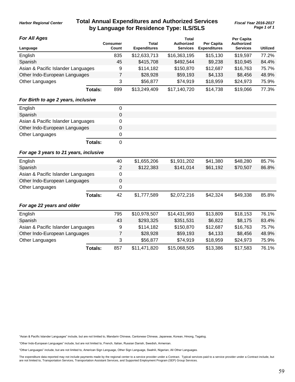## **Total Annual Expenditures and Authorized Services** *Fiscal Year 2016-2017* **by Language for Residence Type: ILS/SLS**

*Page 1 of 1*

#### *For All Ages*

*Harbor Regional Center*

| <b>For All Ages</b>                    |                |                          |                              | <b>Total</b>                         |                                          | Per Capita                    |                 |
|----------------------------------------|----------------|--------------------------|------------------------------|--------------------------------------|------------------------------------------|-------------------------------|-----------------|
| Language                               |                | <b>Consumer</b><br>Count | Total<br><b>Expenditures</b> | <b>Authorized</b><br><b>Services</b> | <b>Per Capita</b><br><b>Expenditures</b> | Authorized<br><b>Services</b> | <b>Utilized</b> |
| English                                |                | 835                      | \$12,633,713                 | \$16,363,195                         | \$15,130                                 | \$19,597                      | 77.2%           |
| Spanish                                |                | 45                       | \$415,708                    | \$492,544                            | \$9,238                                  | \$10,945                      | 84.4%           |
| Asian & Pacific Islander Languages     |                | 9                        | \$114,182                    | \$150,870                            | \$12,687                                 | \$16,763                      | 75.7%           |
| Other Indo-European Languages          |                | $\overline{7}$           | \$28,928                     | \$59,193                             | \$4,133                                  | \$8,456                       | 48.9%           |
| Other Languages                        |                | 3                        | \$56,877                     | \$74,919                             | \$18,959                                 | \$24,973                      | 75.9%           |
|                                        | <b>Totals:</b> | 899                      | \$13,249,409                 | \$17,140,720                         | \$14,738                                 | \$19,066                      | 77.3%           |
| For Birth to age 2 years, inclusive    |                |                          |                              |                                      |                                          |                               |                 |
| English                                |                | $\mathbf 0$              |                              |                                      |                                          |                               |                 |
| Spanish                                |                | $\mathbf 0$              |                              |                                      |                                          |                               |                 |
| Asian & Pacific Islander Languages     |                | 0                        |                              |                                      |                                          |                               |                 |
| Other Indo-European Languages          |                | 0                        |                              |                                      |                                          |                               |                 |
| Other Languages                        |                | 0                        |                              |                                      |                                          |                               |                 |
|                                        | <b>Totals:</b> | $\mathbf 0$              |                              |                                      |                                          |                               |                 |
| For age 3 years to 21 years, inclusive |                |                          |                              |                                      |                                          |                               |                 |
| English                                |                | 40                       | \$1,655,206                  | \$1,931,202                          | \$41,380                                 | \$48,280                      | 85.7%           |
| Spanish                                |                | $\overline{2}$           | \$122,383                    | \$141,014                            | \$61,192                                 | \$70,507                      | 86.8%           |
| Asian & Pacific Islander Languages     |                | 0                        |                              |                                      |                                          |                               |                 |
| Other Indo-European Languages          |                | $\mathsf 0$              |                              |                                      |                                          |                               |                 |
| Other Languages                        |                | 0                        |                              |                                      |                                          |                               |                 |
|                                        | Totals:        | 42                       | \$1,777,589                  | \$2,072,216                          | \$42,324                                 | \$49,338                      | 85.8%           |
| For age 22 years and older             |                |                          |                              |                                      |                                          |                               |                 |
| English                                |                | 795                      | \$10,978,507                 | \$14,431,993                         | \$13,809                                 | \$18,153                      | 76.1%           |
| Spanish                                |                | 43                       | \$293,325                    | \$351,531                            | \$6,822                                  | \$8,175                       | 83.4%           |
| Asian & Pacific Islander Languages     |                | 9                        | \$114,182                    | \$150,870                            | \$12,687                                 | \$16,763                      | 75.7%           |
| Other Indo-European Languages          |                | 7                        | \$28,928                     | \$59,193                             | \$4,133                                  | \$8,456                       | 48.9%           |
| Other Languages                        |                | 3                        | \$56,877                     | \$74,919                             | \$18,959                                 | \$24,973                      | 75.9%           |
|                                        | Totals:        | 857                      | \$11,471,820                 | \$15,068,505                         | \$13,386                                 | \$17,583                      | 76.1%           |

"Asian & Pacific Islander Languages" include, but are not limited to, Mandarin Chinese, Cantonese Chinese, Japanese, Korean, Hmong, Tagalog.

"Other Indo-European Languages" include, but are not limited to, French, Italian, Russian Danish, Swedish, Armenian.

"Other Languages" include, but are not limited to, American Sign Language, Other Sign Language, Swahili, Nigerian, All Other Languages.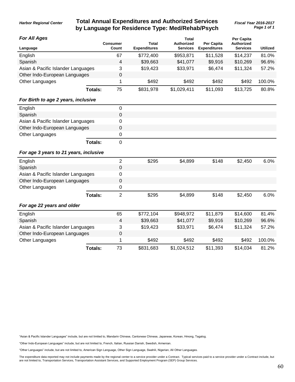### **Total Annual Expenditures and Authorized Services** *Fiscal Year 2016-2017* **by Language for Residence Type: Med/Rehab/Psych**

*Page 1 of 1*

*Harbor Regional Center*

| <b>For All Ages</b>                    |                | <b>Consumer</b> | Total               | <b>Total</b><br>Authorized | Per Capita          | Per Capita<br>Authorized |                 |
|----------------------------------------|----------------|-----------------|---------------------|----------------------------|---------------------|--------------------------|-----------------|
| Language                               |                | Count           | <b>Expenditures</b> | <b>Services</b>            | <b>Expenditures</b> | <b>Services</b>          | <b>Utilized</b> |
| English                                |                | 67              | \$772,400           | \$953,871                  | \$11,528            | \$14,237                 | 81.0%           |
| Spanish                                |                | 4               | \$39,663            | \$41,077                   | \$9,916             | \$10,269                 | 96.6%           |
| Asian & Pacific Islander Languages     |                | 3               | \$19,423            | \$33,971                   | \$6,474             | \$11,324                 | 57.2%           |
| Other Indo-European Languages          |                | 0               |                     |                            |                     |                          |                 |
| Other Languages                        |                | 1               | \$492               | \$492                      | \$492               | \$492                    | 100.0%          |
|                                        | Totals:        | 75              | \$831,978           | \$1,029,411                | \$11,093            | \$13,725                 | 80.8%           |
| For Birth to age 2 years, inclusive    |                |                 |                     |                            |                     |                          |                 |
| English                                |                | 0               |                     |                            |                     |                          |                 |
| Spanish                                |                | $\mathsf 0$     |                     |                            |                     |                          |                 |
| Asian & Pacific Islander Languages     |                | 0               |                     |                            |                     |                          |                 |
| Other Indo-European Languages          |                | 0               |                     |                            |                     |                          |                 |
| Other Languages                        |                | 0               |                     |                            |                     |                          |                 |
|                                        | Totals:        | 0               |                     |                            |                     |                          |                 |
| For age 3 years to 21 years, inclusive |                |                 |                     |                            |                     |                          |                 |
| English                                |                | $\overline{2}$  | \$295               | \$4,899                    | \$148               | \$2,450                  | 6.0%            |
| Spanish                                |                | 0               |                     |                            |                     |                          |                 |
| Asian & Pacific Islander Languages     |                | 0               |                     |                            |                     |                          |                 |
| Other Indo-European Languages          |                | 0               |                     |                            |                     |                          |                 |
| Other Languages                        |                | 0               |                     |                            |                     |                          |                 |
|                                        | <b>Totals:</b> | $\overline{2}$  | \$295               | \$4,899                    | \$148               | \$2,450                  | 6.0%            |
| For age 22 years and older             |                |                 |                     |                            |                     |                          |                 |
| English                                |                | 65              | \$772,104           | \$948,972                  | \$11,879            | \$14,600                 | 81.4%           |
| Spanish                                |                | 4               | \$39,663            | \$41,077                   | \$9,916             | \$10,269                 | 96.6%           |
| Asian & Pacific Islander Languages     |                | 3               | \$19,423            | \$33,971                   | \$6,474             | \$11,324                 | 57.2%           |
| Other Indo-European Languages          |                | 0               |                     |                            |                     |                          |                 |
| Other Languages                        |                | 1               | \$492               | \$492                      | \$492               | \$492                    | 100.0%          |
|                                        | Totals:        | 73              | \$831,683           | \$1,024,512                | \$11,393            | \$14,034                 | 81.2%           |

"Asian & Pacific Islander Languages" include, but are not limited to, Mandarin Chinese, Cantonese Chinese, Japanese, Korean, Hmong, Tagalog.

"Other Indo-European Languages" include, but are not limited to, French, Italian, Russian Danish, Swedish, Armenian.

"Other Languages" include, but are not limited to, American Sign Language, Other Sign Language, Swahili, Nigerian, All Other Languages.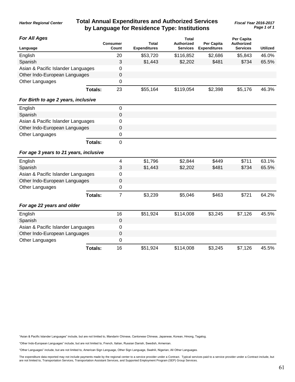## **Total Annual Expenditures and Authorized Services** *Fiscal Year 2016-2017* **by Language for Residence Type: Institutions**

| <b>For All Ages</b>                    |                |                          |                                     | <b>Total</b>                         |                                          | <b>Per Capita</b>                    |                 |
|----------------------------------------|----------------|--------------------------|-------------------------------------|--------------------------------------|------------------------------------------|--------------------------------------|-----------------|
| Language                               |                | <b>Consumer</b><br>Count | <b>Total</b><br><b>Expenditures</b> | <b>Authorized</b><br><b>Services</b> | <b>Per Capita</b><br><b>Expenditures</b> | <b>Authorized</b><br><b>Services</b> | <b>Utilized</b> |
| English                                |                | 20                       | \$53,720                            | \$116,852                            | \$2,686                                  | \$5,843                              | 46.0%           |
| Spanish                                |                | 3                        | \$1,443                             | \$2,202                              | \$481                                    | \$734                                | 65.5%           |
| Asian & Pacific Islander Languages     |                | $\mathbf 0$              |                                     |                                      |                                          |                                      |                 |
| Other Indo-European Languages          |                | $\mathbf 0$              |                                     |                                      |                                          |                                      |                 |
| Other Languages                        |                | $\mathbf 0$              |                                     |                                      |                                          |                                      |                 |
|                                        | <b>Totals:</b> | 23                       | \$55,164                            | \$119,054                            | \$2,398                                  | \$5,176                              | 46.3%           |
| For Birth to age 2 years, inclusive    |                |                          |                                     |                                      |                                          |                                      |                 |
| English                                |                | $\mathbf 0$              |                                     |                                      |                                          |                                      |                 |
| Spanish                                |                | $\mathbf 0$              |                                     |                                      |                                          |                                      |                 |
| Asian & Pacific Islander Languages     |                | $\mathbf 0$              |                                     |                                      |                                          |                                      |                 |
| Other Indo-European Languages          |                | $\mathbf 0$              |                                     |                                      |                                          |                                      |                 |
| Other Languages                        |                | $\mathbf 0$              |                                     |                                      |                                          |                                      |                 |
|                                        | <b>Totals:</b> | $\mathbf 0$              |                                     |                                      |                                          |                                      |                 |
| For age 3 years to 21 years, inclusive |                |                          |                                     |                                      |                                          |                                      |                 |
| English                                |                | $\overline{\mathcal{A}}$ | \$1,796                             | \$2,844                              | \$449                                    | \$711                                | 63.1%           |
| Spanish                                |                | $\mathbf{3}$             | \$1,443                             | \$2,202                              | \$481                                    | \$734                                | 65.5%           |
| Asian & Pacific Islander Languages     |                | 0                        |                                     |                                      |                                          |                                      |                 |
| Other Indo-European Languages          |                | $\pmb{0}$                |                                     |                                      |                                          |                                      |                 |
| Other Languages                        |                | $\boldsymbol{0}$         |                                     |                                      |                                          |                                      |                 |
|                                        | Totals:        | $\overline{7}$           | \$3,239                             | \$5,046                              | \$463                                    | \$721                                | 64.2%           |
| For age 22 years and older             |                |                          |                                     |                                      |                                          |                                      |                 |
| English                                |                | 16                       | \$51,924                            | \$114,008                            | \$3,245                                  | \$7,126                              | 45.5%           |
| Spanish                                |                | $\pmb{0}$                |                                     |                                      |                                          |                                      |                 |
| Asian & Pacific Islander Languages     |                | 0                        |                                     |                                      |                                          |                                      |                 |
| Other Indo-European Languages          |                | $\pmb{0}$                |                                     |                                      |                                          |                                      |                 |
| Other Languages                        |                | 0                        |                                     |                                      |                                          |                                      |                 |
|                                        | <b>Totals:</b> | 16                       | \$51,924                            | \$114,008                            | \$3,245                                  | \$7,126                              | 45.5%           |

"Asian & Pacific Islander Languages" include, but are not limited to, Mandarin Chinese, Cantonese Chinese, Japanese, Korean, Hmong, Tagalog.

"Other Indo-European Languages" include, but are not limited to, French, Italian, Russian Danish, Swedish, Armenian.

"Other Languages" include, but are not limited to, American Sign Language, Other Sign Language, Swahili, Nigerian, All Other Languages.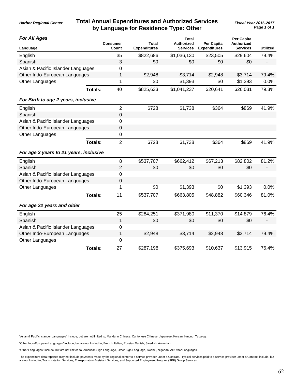## **Total Annual Expenditures and Authorized Services** *Fiscal Year 2016-2017* **by Language for Residence Type: Other**

#### *For All Ages*

*Harbor Regional Center*

| FOR AII AGES                           |                | <b>Consumer</b>  | <b>Total</b>        | Total<br><b>Authorized</b> | Per Capita          | Per Capita<br>Authorized |                 |
|----------------------------------------|----------------|------------------|---------------------|----------------------------|---------------------|--------------------------|-----------------|
| Language                               |                | Count            | <b>Expenditures</b> | <b>Services</b>            | <b>Expenditures</b> | Services                 | <b>Utilized</b> |
| English                                |                | 35               | \$822,686           | \$1,036,130                | \$23,505            | \$29,604                 | 79.4%           |
| Spanish                                |                | 3                | \$0                 | \$0                        | \$0                 | \$0                      |                 |
| Asian & Pacific Islander Languages     |                | 0                |                     |                            |                     |                          |                 |
| Other Indo-European Languages          |                | 1                | \$2,948             | \$3,714                    | \$2,948             | \$3,714                  | 79.4%           |
| Other Languages                        |                | 1                | \$0                 | \$1,393                    | \$0                 | \$1,393                  | 0.0%            |
|                                        | <b>Totals:</b> | 40               | \$825,633           | \$1,041,237                | \$20,641            | \$26,031                 | 79.3%           |
| For Birth to age 2 years, inclusive    |                |                  |                     |                            |                     |                          |                 |
| English                                |                | $\overline{2}$   | \$728               | \$1,738                    | \$364               | \$869                    | 41.9%           |
| Spanish                                |                | $\boldsymbol{0}$ |                     |                            |                     |                          |                 |
| Asian & Pacific Islander Languages     |                | $\mathbf 0$      |                     |                            |                     |                          |                 |
| Other Indo-European Languages          |                | $\mathbf 0$      |                     |                            |                     |                          |                 |
| Other Languages                        |                | $\mathbf 0$      |                     |                            |                     |                          |                 |
|                                        | Totals:        | $\overline{2}$   | \$728               | \$1,738                    | \$364               | \$869                    | 41.9%           |
| For age 3 years to 21 years, inclusive |                |                  |                     |                            |                     |                          |                 |
| English                                |                | 8                | \$537,707           | \$662,412                  | \$67,213            | \$82,802                 | 81.2%           |
| Spanish                                |                | 2                | \$0                 | \$0                        | \$0                 | \$0                      |                 |
| Asian & Pacific Islander Languages     |                | $\mathbf 0$      |                     |                            |                     |                          |                 |
| Other Indo-European Languages          |                | $\boldsymbol{0}$ |                     |                            |                     |                          |                 |
| Other Languages                        |                | 1                | \$0                 | \$1,393                    | \$0                 | \$1,393                  | 0.0%            |
|                                        | <b>Totals:</b> | 11               | \$537,707           | \$663,805                  | \$48,882            | \$60,346                 | 81.0%           |
| For age 22 years and older             |                |                  |                     |                            |                     |                          |                 |
| English                                |                | 25               | \$284,251           | \$371,980                  | \$11,370            | \$14,879                 | 76.4%           |
| Spanish                                |                | 1                | \$0                 | \$0                        | \$0                 | \$0                      |                 |
| Asian & Pacific Islander Languages     |                | $\mathbf 0$      |                     |                            |                     |                          |                 |
| Other Indo-European Languages          |                | 1                | \$2,948             | \$3,714                    | \$2,948             | \$3,714                  | 79.4%           |
| Other Languages                        |                | 0                |                     |                            |                     |                          |                 |
|                                        | <b>Totals:</b> | 27               | \$287,198           | \$375,693                  | \$10,637            | \$13,915                 | 76.4%           |

"Asian & Pacific Islander Languages" include, but are not limited to, Mandarin Chinese, Cantonese Chinese, Japanese, Korean, Hmong, Tagalog.

"Other Indo-European Languages" include, but are not limited to, French, Italian, Russian Danish, Swedish, Armenian.

"Other Languages" include, but are not limited to, American Sign Language, Other Sign Language, Swahili, Nigerian, All Other Languages.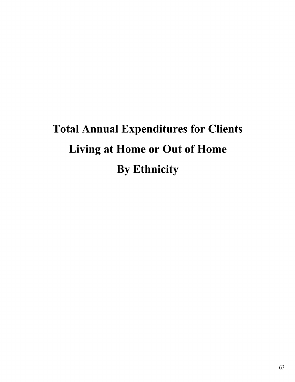# Total Annual Expenditures for Clients Living at Home or Out of Home By Ethnicity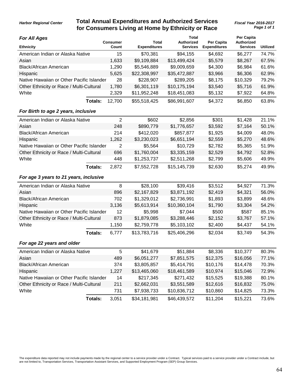## **Total Annual Expenditures and Authorized Services** *Harbor Regional Center Fiscal Year 2016-2017* **for Consumers Living at Home by Ethnicity or Race**

*Page 1 of 1*

| <b>For All Ages</b>                       |                | <b>Consumer</b> | <b>Total</b>        | Total<br><b>Authorized</b> | Per Capita          | <b>Per Capita</b><br><b>Authorized</b> |                 |
|-------------------------------------------|----------------|-----------------|---------------------|----------------------------|---------------------|----------------------------------------|-----------------|
| <b>Ethnicity</b>                          |                | Count           | <b>Expenditures</b> | <b>Services</b>            | <b>Expenditures</b> | <b>Services</b>                        | <b>Utilized</b> |
| American Indian or Alaska Native          |                | 15              | \$70,381            | \$94,155                   | \$4,692             | \$6,277                                | 74.7%           |
| Asian                                     |                | 1,633           | \$9,109,884         | \$13,499,424               | \$5,579             | \$8,267                                | 67.5%           |
| <b>Black/African American</b>             |                | 1,290           | \$5,546,889         | \$9,009,659                | \$4,300             | \$6,984                                | 61.6%           |
| Hispanic                                  |                | 5,625           | \$22,308,997        | \$35,472,887               | \$3,966             | \$6,306                                | 62.9%           |
| Native Hawaiian or Other Pacific Islander |                | 28              | \$228,907           | \$289,205                  | \$8,175             | \$10,329                               | 79.2%           |
| Other Ethnicity or Race / Multi-Cultural  |                | 1,780           | \$6,301,119         | \$10,175,194               | \$3,540             | \$5,716                                | 61.9%           |
| White                                     |                | 2,329           | \$11,952,248        | \$18,451,083               | \$5,132             | \$7,922                                | 64.8%           |
|                                           | Totals:        | 12,700          | \$55,518,425        | \$86,991,607               | \$4,372             | \$6,850                                | 63.8%           |
| For Birth to age 2 years, inclusive       |                |                 |                     |                            |                     |                                        |                 |
| American Indian or Alaska Native          |                | $\overline{2}$  | \$602               | \$2,856                    | \$301               | \$1,428                                | 21.1%           |
| Asian                                     |                | 248             | \$890,779           | \$1,776,657                | \$3,592             | \$7,164                                | 50.1%           |
| <b>Black/African American</b>             |                | 214             | \$412,020           | \$857,877                  | \$1,925             | \$4,009                                | 48.0%           |
| Hispanic                                  |                | 1,262           | \$3,230,023         | \$6,651,194                | \$2,559             | \$5,270                                | 48.6%           |
| Native Hawaiian or Other Pacific Islander |                | $\overline{2}$  | \$5,564             | \$10,729                   | \$2,782             | \$5,365                                | 51.9%           |
| Other Ethnicity or Race / Multi-Cultural  |                | 696             | \$1,760,004         | \$3,335,159                | \$2,529             | \$4,792                                | 52.8%           |
| White                                     |                | 448             | \$1,253,737         | \$2,511,268                | \$2,799             | \$5,606                                | 49.9%           |
|                                           | Totals:        | 2,872           | \$7,552,728         | \$15,145,739               | \$2,630             | \$5,274                                | 49.9%           |
| For age 3 years to 21 years, inclusive    |                |                 |                     |                            |                     |                                        |                 |
| American Indian or Alaska Native          |                | 8               | \$28,100            | \$39,416                   | \$3,512             | \$4,927                                | 71.3%           |
| Asian                                     |                | 896             | \$2,167,829         | \$3,871,192                | \$2,419             | \$4,321                                | 56.0%           |
| <b>Black/African American</b>             |                | 702             | \$1,329,012         | \$2,736,991                | \$1,893             | \$3,899                                | 48.6%           |
| Hispanic                                  |                | 3,136           | \$5,613,914         | \$10,360,104               | \$1,790             | \$3,304                                | 54.2%           |
| Native Hawaiian or Other Pacific Islander |                | 12              | \$5,998             | \$7,044                    | \$500               | \$587                                  | 85.1%           |
| Other Ethnicity or Race / Multi-Cultural  |                | 873             | \$1,879,085         | \$3,288,446                | \$2,152             | \$3,767                                | 57.1%           |
| White                                     |                | 1,150           | \$2,759,778         | \$5,103,102                | \$2,400             | \$4,437                                | 54.1%           |
|                                           | Totals:        | 6,777           | \$13,783,716        | \$25,406,296               | \$2,034             | \$3,749                                | 54.3%           |
| For age 22 years and older                |                |                 |                     |                            |                     |                                        |                 |
| American Indian or Alaska Native          |                | 5               | \$41,679            | \$51,884                   | \$8,336             | \$10,377                               | 80.3%           |
| Asian                                     |                | 489             | \$6,051,277         | \$7,851,575                | \$12,375            | \$16,056                               | 77.1%           |
| <b>Black/African American</b>             |                | 374             | \$3,805,857         | \$5,414,791                | \$10,176            | \$14,478                               | 70.3%           |
| Hispanic                                  |                | 1,227           | \$13,465,060        | \$18,461,589               | \$10,974            | \$15,046                               | 72.9%           |
| Native Hawaiian or Other Pacific Islander |                | 14              | \$217,345           | \$271,432                  | \$15,525            | \$19,388                               | 80.1%           |
| Other Ethnicity or Race / Multi-Cultural  |                | 211             | \$2,662,031         | \$3,551,589                | \$12,616            | \$16,832                               | 75.0%           |
| White                                     |                | 731             | \$7,938,733         | \$10,836,712               | \$10,860            | \$14,825                               | 73.3%           |
|                                           | <b>Totals:</b> | 3,051           | \$34,181,981        | \$46,439,572               | \$11,204            | \$15,221                               | 73.6%           |